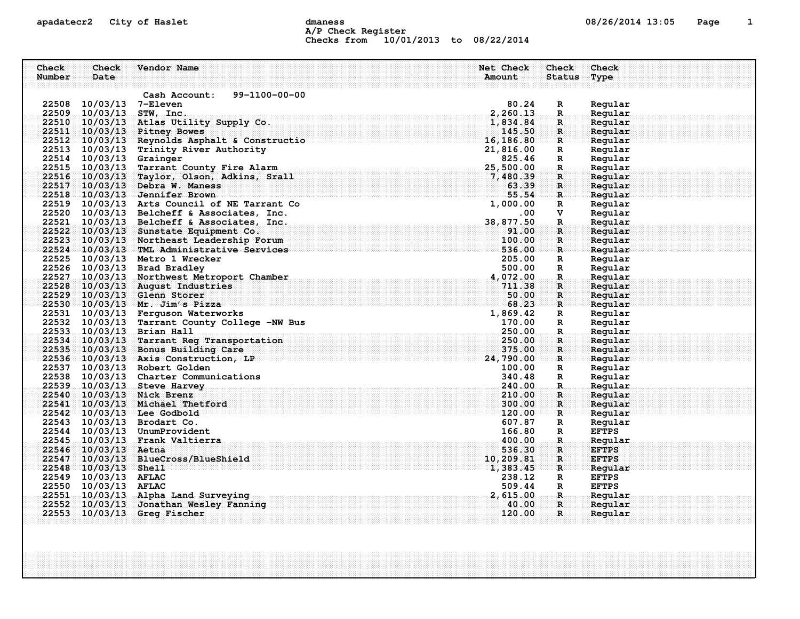#### apadatecr2 City of Haslet dmaness dmaness and the US/26/2014 13:05 Page 1 A/P Check Register Checks from 10/01/2013 to 08/22/2014

| Check          | Check                      | Vendor Name                                                                                      | Net Check        | Check             | <b>Check</b>            |
|----------------|----------------------------|--------------------------------------------------------------------------------------------------|------------------|-------------------|-------------------------|
| Number         | Date                       |                                                                                                  | Amount           | Status            | Type                    |
|                |                            | 99-1100-00-00<br>Cash Account:                                                                   |                  |                   |                         |
| 22508          | 10/03/13                   | <b>7-Eleven</b>                                                                                  | 80.24            | R                 | Reqular                 |
| 22509          | 10/03/13                   | STW, Inc.                                                                                        | 2,260.13         | R.                | Regular                 |
| 22510          | 10/03/13                   | Atlas Utility Supply Co.                                                                         | 1,834.84         | $\mathbf{R}$      | Regular                 |
| 22511          |                            | 10/03/13 Pitney Bowes                                                                            | 145.50           | $\mathbf{R}$      | Regular                 |
| 22512          |                            | 10/03/13 Reynolds Asphalt & Constructio                                                          | 16,186.80        | $\mathbf R$       | Regular                 |
| 22513          | 10/03/13                   | Trinity River Authority                                                                          | 21,816.00        | $\mathbf R$       | Regular                 |
| 22514          | 10/03/13                   | Grainger                                                                                         | 825.46           | R                 | Reqular                 |
| 22515          | 10/03/13                   | Tarrant County Fire Alarm                                                                        | 25,500.00        | $\mathbf R$       | Regular                 |
| 22516          |                            | 10/03/13 Taylor, Olson, Adkins, Srall                                                            | 7,480.39         | R                 | Regular                 |
| 22517          | 10/03/13                   | Debra W. Maness                                                                                  | 63.39            | R                 | Regular                 |
|                |                            | 22518 10/03/13 Jennifer Brown                                                                    | 55.54            | $\mathbf R$       | Regular                 |
|                |                            | 22519 10/03/13 Arts Council of NE Tarrant Co                                                     | 1,000.00         | R                 | Regular                 |
| 22520          |                            | 10/03/13 Belcheff & Associates, Inc.                                                             | .00              | v                 | Regular                 |
| 22521          |                            | 10/03/13 Belcheff & Associates, Inc.                                                             | 38,877.50        | $\mathbb{R}$      | Regular                 |
| 22522          |                            | 10/03/13 Sunstate Equipment Co.                                                                  | 91.00            | $\mathbf R$       | Regular                 |
| 22523          |                            | 10/03/13 Northeast Leadership Forum                                                              | 100.00           | R.                | Reqular                 |
| 22524          |                            | 10/03/13 TML Administrative Services                                                             | 536.00           | R                 | Regular                 |
| 22525<br>22526 |                            | 10/03/13 Metro 1 Wrecker                                                                         | 205.00<br>500.00 | R                 | Regular                 |
| 22527          |                            | 10/03/13 Brad Bradley                                                                            | 4,072.00         | R<br>$\mathbf R$  | Regular                 |
| 22528          |                            | 10/03/13 Northwest Metroport Chamber<br>10/03/13 August Industries                               | 711.38           | $\mathbf{R}$      | Regular<br>Regular      |
| 22529          |                            | $10/03/13$ Glenn Storer                                                                          | 50.00            | $\mathbf R$       | Reqular                 |
|                |                            | 22530 10/03/13 Mr. Jim's Pizza                                                                   | 68.23            | R                 | Reqular                 |
| 22531          |                            | 10/03/13 Ferguson Waterworks                                                                     | 1,869.42         | $\mathbf R$       | Regular                 |
| 22532          | 10/03/13                   | Tarrant County College -NW Bus                                                                   | 170.00           | R                 | Regular                 |
| 22533          |                            | $10/03/13$ Brian Hall                                                                            | 250.00           | $\mathbf{R}$      | Regular                 |
| 22534          |                            | 10/03/13 Tarrant Reg Transportation                                                              | 250.00           | $\mathbf R$       | Regular                 |
| 22535          |                            | 10/03/13 Bonus Building Care                                                                     | 375.00           | $\mathbf{R}$      | Regular                 |
|                |                            | na pada mangang mangang pangangan ang pangangan ang pang<br>22536 10/03/13 Axis Construction, LP | 24,790.00        | R                 | Regular                 |
| 22537          |                            | 10/03/13 Robert Golden                                                                           | 100.00           | $\mathbf R$       | Regular                 |
| 22538          |                            | 10/03/13 Charter Communications                                                                  | 340.48           | R                 | Regular                 |
| 22539          |                            | $10/03/13$ Steve Harvey                                                                          | 240.00           | R.                | Regular                 |
| 22540          |                            | $10/03/13$ Nick Brenz                                                                            | 210.00           | $\mathbf R$       | Regular                 |
| 22541          |                            | 10/03/13 Michael Thetford                                                                        | 300.00           | R                 | Reqular                 |
|                |                            | 22542 10/03/13 Lee Godbold                                                                       | 120.00           | R                 | Reqular                 |
| 22543          |                            | 10/03/13 Brodart Co.                                                                             | 607.87           | R                 | Regular                 |
| 22544          |                            | 10/03/13 UnumProvident                                                                           | 166.80           | R                 | <b>EFTPS</b>            |
| 22545<br>22546 | 10/03/13<br>10/03/13 Aetna | Frank Valtierra                                                                                  | 400.00<br>536.30 | R.<br>$\mathbf R$ | Regular<br><b>EFTPS</b> |
| 22547          |                            | 10/03/13 BlueCross/BlueShield                                                                    | 10,209.81        | R                 | <b>EFTPS</b>            |
|                | 22548 10/03/13 Shell       |                                                                                                  | 1,383.45         | $\mathbf R$       | Reqular                 |
| 22549          | 10/03/13                   | <b>AFLAC</b>                                                                                     | 238.12           | R                 | <b>EFTPS</b>            |
| 22550          | 10/03/13                   | <b>AFLAC</b>                                                                                     | 509.44           | $\mathbf R$       | <b>EFTPS</b>            |
| 22551          | 10/03/13                   | Alpha Land Surveying                                                                             | 2,615.00         | R.                | Reqular                 |
| 22552          | 10/03/13                   | Jonathan Wesley Fanning                                                                          | 40.00            | $\mathbf R$       | Reqular                 |
| 22553          |                            | $10/03/13$ Greg Fischer                                                                          | 120.00           | $\mathbf R$       | Regular                 |
|                |                            |                                                                                                  |                  |                   |                         |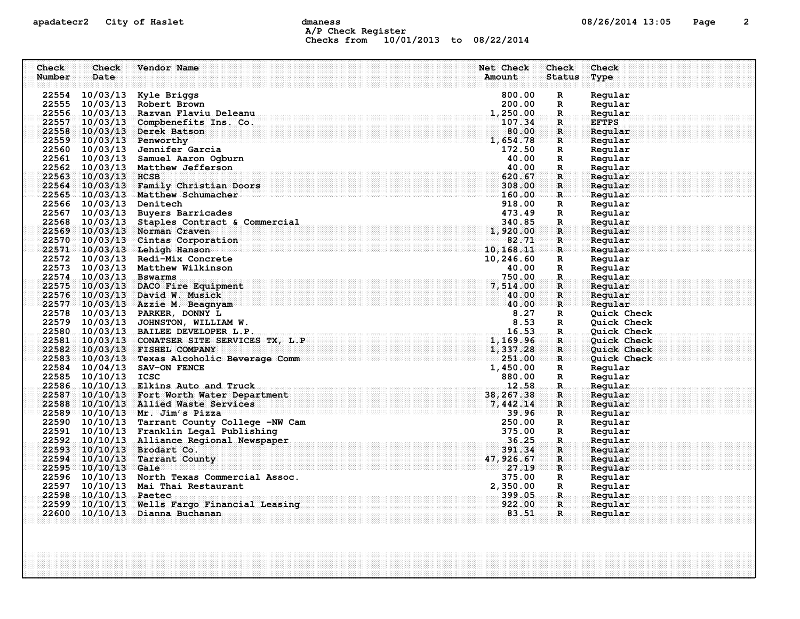## apadatecr2 City of Haslet control dmaness control dmaness control and the US/26/2014 13:05 Page 2 A/P Check Register Checks from 10/01/2013 to 08/22/2014

| Check  | Check                   | Vendor Name                                                                                                                                                                                                                           | Net Check   | Check         | Check        |
|--------|-------------------------|---------------------------------------------------------------------------------------------------------------------------------------------------------------------------------------------------------------------------------------|-------------|---------------|--------------|
| Number | Date                    |                                                                                                                                                                                                                                       | Amount      | <b>Status</b> | Type         |
|        |                         |                                                                                                                                                                                                                                       |             |               |              |
|        |                         | 22554 10/03/13 Kyle Briggs                                                                                                                                                                                                            | 800.00      | $\mathbf R$   | Regular      |
|        |                         | 22555 10/03/13 Robert Brown                                                                                                                                                                                                           | 200.00      | R             | Regular      |
|        |                         | 22556 10/03/13 Razvan Flaviu Deleanu                                                                                                                                                                                                  | 1,250.00    | $\mathbf R$   | Regular      |
|        |                         | 22557 10/03/13 Compbenefits Ins. Co.                                                                                                                                                                                                  | 107.34      | $\mathbf{R}$  | <b>EFTPS</b> |
|        |                         | 22558 10/03/13 Derek Batson                                                                                                                                                                                                           | 80.00       | R             | Regular      |
|        |                         | 22559 10/03/13 Penworthy                                                                                                                                                                                                              | 1,654.78    | R             | Regular      |
|        |                         | 22560 10/03/13 Jennifer Garcia                                                                                                                                                                                                        | 172.50      | R             | Regular      |
|        |                         | 22561 10/03/13 Samuel Aaron Ogburn                                                                                                                                                                                                    | 40.00       | $\mathbb{R}$  | Regular      |
|        |                         | 22562 10/03/13 Matthew Jefferson                                                                                                                                                                                                      | 40.00       | $\mathbf{R}$  | Regular      |
|        | 22563 10/03/13 HCSB     |                                                                                                                                                                                                                                       | 620.67      | R             | Regular      |
|        |                         | 22564 10/03/13 Family Christian Doors                                                                                                                                                                                                 | 308.00      | R             | Regular      |
|        |                         | 22565 10/03/13 Matthew Schumacher                                                                                                                                                                                                     | 160.00      | $\mathbf R$   | Regular      |
|        | 22566 10/03/13 Denitech |                                                                                                                                                                                                                                       | 918.00      | R             | Regular      |
|        |                         | 22567 10/03/13 Buyers Barricades                                                                                                                                                                                                      | 473.49      | $\mathbf R$   | Regular      |
|        |                         | 22568 10/03/13 Staples Contract & Commercial                                                                                                                                                                                          | 340.85      | R.            | Regular      |
|        |                         | 22569 10/03/13 Norman Craven                                                                                                                                                                                                          | 1,920.00    | $\mathbf{R}$  | Regular      |
|        |                         | 22570 10/03/13 Cintas Corporation                                                                                                                                                                                                     | 82.71       | R             | Regular      |
|        |                         | 22571 10/03/13 Lehigh Hanson                                                                                                                                                                                                          | 10, 168.11  | $\mathbb R$ . | Regular      |
|        |                         | 22572 10/03/13 Redi-Mix Concrete                                                                                                                                                                                                      | 10,246.60   | R             | Regular      |
|        |                         | 22573 10/03/13 Matthew Wilkinson                                                                                                                                                                                                      | 40.00       | $\mathbf R$   | Regular      |
|        | 22574 10/03/13 Bswarms  |                                                                                                                                                                                                                                       | 750.00      | $\mathbf{R}$  | Regular      |
|        |                         | 22575 10/03/13 DACO Fire Equipment                                                                                                                                                                                                    | 7,514.00    | $\mathbf{R}$  | Regular      |
|        |                         | 22576 10/03/13 David W. Musick                                                                                                                                                                                                        | 40.00       | $\mathbf{R}$  | Regular      |
|        |                         | 22577 10/03/13 Azzie M. Beagnyam                                                                                                                                                                                                      | 40.00       | R             | Regular      |
|        |                         | 22578 10/03/13 PARKER, DONNY L                                                                                                                                                                                                        | 8.27        | R             | Quick Check  |
|        |                         | 22579 10/03/13 JOHNSTON, WILLIAM W.                                                                                                                                                                                                   | 8.53        | R             | Quick Check  |
|        |                         | 22580 10/03/13 BAILEE DEVELOPER L.P.<br>22581 10/03/13 CONATSER SITE SERVICES TX, L.P 1,169.96<br>22582 10/03/13 FISHEL COMPANY 1,337.28<br>22583 10/03/13 Texas Alcoholic Beverage Comm 251.00<br>23583 10/03/13 Texas Alcoholic Bev |             | $\mathbf R$   | Quick Check  |
|        |                         |                                                                                                                                                                                                                                       |             | R             | Quick Check  |
|        |                         |                                                                                                                                                                                                                                       |             | $\mathbf{R}$  | Quick Check  |
|        |                         |                                                                                                                                                                                                                                       |             | R             | Quick Check  |
|        |                         | 22584 10/04/13 SAV-ON FENCE                                                                                                                                                                                                           | 1,450.00    | $\mathbf R$   | Regular      |
|        | 22585 10/10/13 ICSC     |                                                                                                                                                                                                                                       | 880.00      | R             | Regular      |
|        |                         | 22586 10/10/13 Elkins Auto and Truck                                                                                                                                                                                                  | 12.58       | $\mathbf{R}$  | Regular      |
|        |                         | 22587 10/10/13 Fort Worth Water Department<br>38, 267, 38<br>7, 442, 14<br>39, 96                                                                                                                                                     |             | R             | Regular      |
|        |                         | 22588 10/10/13 Allied Waste Services                                                                                                                                                                                                  |             | $\mathbf{R}$  | Regular      |
|        |                         | $22589$ 10/10/13 Mr. Jim's Pizza                                                                                                                                                                                                      |             | $\mathbf{R}$  | Reqular      |
|        |                         | $250.00$<br>$375.00$<br>$36.25$<br>22590 10/10/13 Tarrant County College -NW Cam                                                                                                                                                      |             | $\mathbf R$   | Regular      |
|        |                         | 22591 10/10/13 Franklin Legal Publishing                                                                                                                                                                                              |             | R             | Regular      |
|        |                         | 22592 10/10/13 Alliance Regional Newspaper                                                                                                                                                                                            |             | $\mathbf{R}$  | Regular      |
|        |                         | 22593 10/10/13 Brodart Co.                                                                                                                                                                                                            | 391.34      | R             | Reqular      |
|        |                         | 22594 10/10/13 Tarrant County                                                                                                                                                                                                         | 47, 926, 67 | R             | Regular      |
|        | 22595 10/10/13 Gale     |                                                                                                                                                                                                                                       | 27.19       | $\mathbf{R}$  | Regular      |
|        |                         | 22596 10/10/13 North Texas Commercial Assoc.                                                                                                                                                                                          | 375.00      | R             | Regular      |
|        |                         | 22597 10/10/13 Mai Thai Restaurant                                                                                                                                                                                                    | 2,350.00    | R             | Regular      |
|        | 22598 10/10/13 Paetec   |                                                                                                                                                                                                                                       | 399.05      | $\mathbf R$   | Regular      |
|        |                         | 22599 10/10/13 Wells Fargo Financial Leasing                                                                                                                                                                                          | 922.00      | $\mathbf R$   | Regular      |
|        |                         | 22600 10/10/13 Dianna Buchanan                                                                                                                                                                                                        | 83.51       | $\mathbf{R}$  | Regular      |
|        |                         |                                                                                                                                                                                                                                       |             |               |              |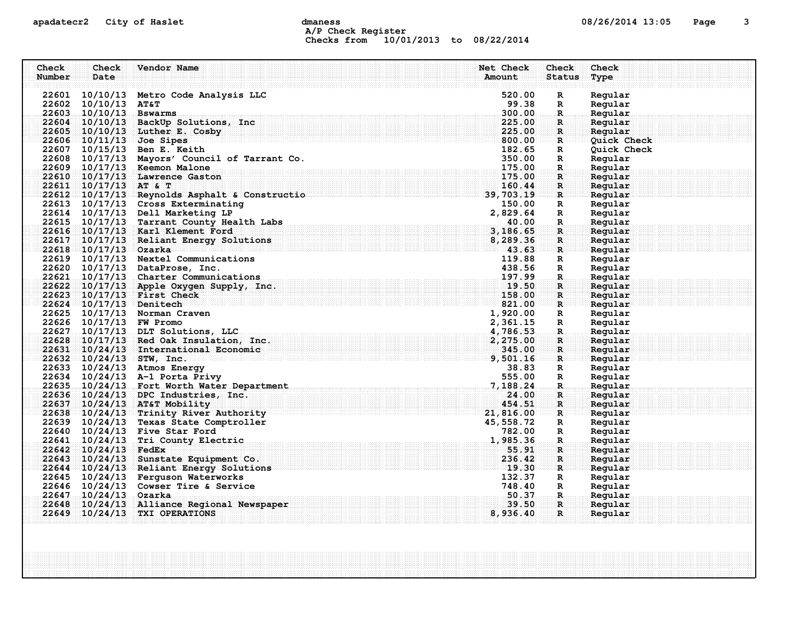## apadatecr2 City of Haslet and dmaness dmaness and the 08/26/2014 13:05 Page 3 A/P Check Register Checks from 10/01/2013 to 08/22/2014

| Check<br>Number | Check<br>Date             | Vendor Name                                                                                                                | Net Check<br>Amount  | Check<br><b>Status</b> | Check<br>Type      |
|-----------------|---------------------------|----------------------------------------------------------------------------------------------------------------------------|----------------------|------------------------|--------------------|
|                 |                           |                                                                                                                            |                      |                        |                    |
|                 |                           | 22601 10/10/13 Metro Code Analysis LLC                                                                                     | 520.00               | R                      | Regular            |
|                 | 22602 10/10/13 AT&T       |                                                                                                                            | 99.38                | R                      | Regular            |
|                 | 22603 10/10/13 Bswarms    |                                                                                                                            | 300.00               | $\mathbf R$ .          | Regular            |
|                 |                           | 22604 10/10/13 BackUp Solutions, Inc                                                                                       | 225.00               | R                      | Regular            |
|                 |                           | 22605 10/10/13 Luther E. Cosby                                                                                             | 225.00               | $\mathbf{R}$           | Regular            |
|                 |                           | $22606 - 10/11/13$ Joe Sipes                                                                                               | 800.00               | $\mathbf{R}$           | Quick Check        |
|                 |                           | 22607 10/15/13 Ben E. Keith                                                                                                | 182.65               | R                      | Quick Check        |
|                 |                           | 22608 10/17/13 Mayors' Council of Tarrant Co.                                                                              | 350.00               | R                      | Regular            |
|                 |                           | 22609 10/17/13 Keemon Malone                                                                                               | 175.00               | R.                     | Regular            |
|                 |                           | 22610 10/17/13 Lawrence Gaston                                                                                             | 175.00               | R.                     | Regular            |
|                 | 22611 10/17/13 AT & T     |                                                                                                                            | 160.44               | R                      | Regular            |
|                 |                           | 22612 10/17/13 Reynolds Asphalt & Constructio 39, 703.19                                                                   |                      | $\mathbf{R}$           | Regular            |
|                 |                           | 22613 10/17/13 Cross Exterminating                                                                                         | 150.00               | R                      | Regular            |
|                 |                           | 22614 10/17/13 Dell Marketing LP                                                                                           | 2,829.64             | $\mathbf{R}$           | Regular            |
|                 |                           | 22615 10/17/13 Tarrant County Health Labs                                                                                  | 40.00                | $\mathbf R$ .          | Regular            |
|                 |                           | 22616 10/17/13 Karl Klement Ford                                                                                           |                      | $\mathbf{R}$           | Regular            |
|                 |                           | $\frac{3}{8}, \frac{186}{289}, \frac{65}{36}$<br>$\frac{8}{43}, \frac{289}{63}$<br>22617 10/17/13 Reliant Energy Solutions |                      | R                      | Regular            |
|                 | $22618$ $10/17/13$ Ozarka |                                                                                                                            |                      | e Recent               | Regular            |
|                 |                           | 22619 10/17/13 Nextel Communications                                                                                       | 119.88               | R                      | Regular            |
|                 |                           | 22620 10/17/13 DataProse, Inc.                                                                                             | 438.56               | R                      | Regular            |
|                 |                           | 22621 10/17/13 Charter Communications                                                                                      | 197.99               | $\mathbf{R}$           | Regular            |
|                 |                           | 22622 10/17/13 Apple Oxygen Supply, Inc.                                                                                   | 19.50                | $\mathbf{R}$           | Regular            |
|                 |                           | 22623 10/17/13 First Check<br>$\frac{1}{821}$ , 00                                                                         | 158.00               | R                      | Regular            |
|                 | 22624 10/17/13 Denitech   |                                                                                                                            |                      | $\mathbf{R}$ .         | Regular            |
|                 |                           | 22625 10/17/13 Norman Craven                                                                                               | 1,920.00             | $\mathbf R$            | Regular            |
|                 | 22626 10/17/13 FW Promo   | 22627 10/17/13 DLT Solutions, LLC                                                                                          | 2,361.15             | R                      | Regular<br>Regular |
|                 |                           | $22628$ $10/17/13$ Red Oak Insulation, Inc.                                                                                | 4,786.53<br>2,275.00 | $_{\dots R}$ .<br>R.   | Regular            |
|                 |                           | 22631 10/24/13 International Economic                                                                                      | 345.00               | $\mathbf R$            | Regular            |
|                 |                           | $22632 - 10/24/13$ STW, Inc.                                                                                               | 9,501.16             | $\mathbb{R}^n$         | Reqular            |
|                 |                           | 22633 10/24/13 Atmos Energy                                                                                                | 38.83                | R                      | Regular            |
|                 |                           | 22634 10/24/13 A-1 Porta Privy                                                                                             | 555.00               | R                      | Regular            |
|                 |                           | 22635 10/24/13 Fort Worth Water Department                                                                                 | 7,188.24             | $\mathbf R$            | Regular            |
|                 |                           | 22636 10/24/13 DPC Industries, Inc.                                                                                        | 24.00                | R                      | Regular            |
|                 |                           | 22637 10/24/13 AT&T Mobility                                                                                               | 454.51               | $\mathbf{R}$           | Reqular            |
|                 |                           | 21, 816.00<br>22638 10/24/13 Trinity River Authority                                                                       |                      | $\mathbf{R}$ .         | Reqular            |
|                 |                           | 22639 10/24/13 Texas State Comptroller                                                                                     | 45, 558.72           | R                      | Regular            |
|                 |                           | 22640 10/24/13 Five Star Ford                                                                                              | 782.00               | R                      | Regular            |
|                 |                           | 22641 10/24/13 Tri County Electric                                                                                         | 1,985.36             | $R_{\rm e}$            | Regular            |
|                 | 22642 10/24/13 FedEx      |                                                                                                                            | 55.91                | R.                     | Reqular            |
|                 |                           | 22643 10/24/13 Sunstate Equipment Co.                                                                                      | 236.42               | $\mathbf R$            | Regular            |
|                 |                           | 22644 10/24/13 Reliant Energy Solutions                                                                                    | 19.30                | R                      | Regular            |
|                 |                           | 22645 10/24/13 Ferguson Waterworks                                                                                         | 132.37               | $\mathbf{R}$           | Regular            |
|                 |                           | $22646$ $10/24/13$ Cowser Tire & Service                                                                                   | 748.40               | R                      | Regular            |
|                 | 22647 10/24/13 Ozarka     |                                                                                                                            | 50.37                | . <b>R</b>             | Regular            |
|                 |                           | 22648 10/24/13 Alliance Regional Newspaper                                                                                 | 39.50                | R                      | Regular            |
|                 |                           | 22649 10/24/13 TXI OPERATIONS                                                                                              | 8,936.40             | R.                     | Regular            |
|                 |                           |                                                                                                                            |                      |                        |                    |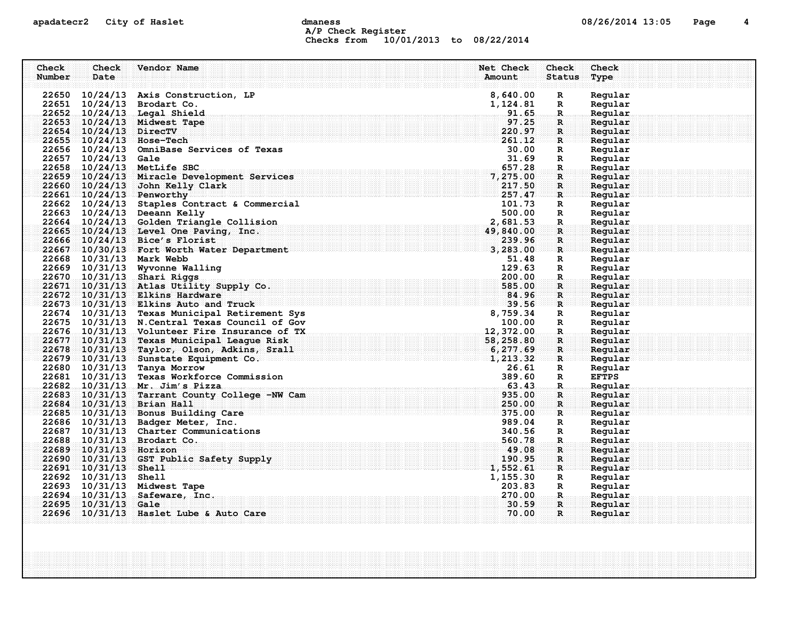# apadatecr2 City of Haslet dmaness dmaness and the control of the 13:05 Page 4 A/P Check Register Checks from 10/01/2013 to 08/22/2014

| Check  | Check                  | Vendor Name                                                                                                                                                                                                                                                                                                                             |                                                                                             | Net Check | <b>Check</b>                         | Check              |
|--------|------------------------|-----------------------------------------------------------------------------------------------------------------------------------------------------------------------------------------------------------------------------------------------------------------------------------------------------------------------------------------|---------------------------------------------------------------------------------------------|-----------|--------------------------------------|--------------------|
| Number | Date                   |                                                                                                                                                                                                                                                                                                                                         |                                                                                             | Amount    | <b>Status</b>                        | Type               |
|        |                        | 22650 10/24/13 Axis Construction, LP                                                                                                                                                                                                                                                                                                    |                                                                                             | 8,640.00  | $\mathbf{R}$                         | Regular            |
|        |                        | 22651 10/24/13 Brodart Co.                                                                                                                                                                                                                                                                                                              |                                                                                             | 1,124.81  | $\mathbf{R}$                         | Regular            |
|        |                        | 22652 10/24/13 Legal Shield                                                                                                                                                                                                                                                                                                             |                                                                                             | 91.65     | $\mathbf{R}$                         | Regular            |
|        |                        | 22653 10/24/13 Midwest Tape                                                                                                                                                                                                                                                                                                             |                                                                                             | 97.25     | $\mathbf{R}$ :                       | Reqular            |
|        | 22654 10/24/13 DirecTV |                                                                                                                                                                                                                                                                                                                                         |                                                                                             | 220.97    | $\mathbf{R}$                         | Regular            |
|        |                        | $22655 - 10/24/13$ Hose-Tech                                                                                                                                                                                                                                                                                                            |                                                                                             | 261.12    | $\mathbf{R}$                         | Regular            |
|        |                        | 22656 10/24/13 OmniBase Services of Texas                                                                                                                                                                                                                                                                                               |                                                                                             | 30.00     | $\mathbf{R}$                         | Regular            |
|        | 22657 10/24/13 Gale    |                                                                                                                                                                                                                                                                                                                                         |                                                                                             | 31.69     | $\mathbf{R}$                         | Regular            |
|        |                        | 22658 10/24/13 MetLife SBC                                                                                                                                                                                                                                                                                                              |                                                                                             | 657.28    | R                                    | Regular            |
|        |                        | 22659 10/24/13 Miracle Development Services                                                                                                                                                                                                                                                                                             |                                                                                             | 7,275.00  | $\mathbf{R}$                         | Regular            |
|        |                        | 22660 10/24/13 John Kelly Clark                                                                                                                                                                                                                                                                                                         |                                                                                             | 217.50    | R                                    | Regular            |
|        |                        | 22661 10/24/13 Penworthy                                                                                                                                                                                                                                                                                                                |                                                                                             | 257.47 R  |                                      | Regular            |
|        |                        | 22662 10/24/13 Staples Contract & Commercial                                                                                                                                                                                                                                                                                            | $\begin{array}{r} 257 \cdot 47 \\ 101.73 \\ 500.00 \\ 2,681.53 \\ 49,840.00 \\ \end{array}$ |           | $\mathbf{R}$                         | Regular            |
|        |                        | 22663 10/24/13 Deeann Kelly                                                                                                                                                                                                                                                                                                             |                                                                                             |           | $\mathbf R$                          | Regular            |
|        |                        | 22664 10/24/13 Golden Triangle Collision                                                                                                                                                                                                                                                                                                |                                                                                             |           | $\mathbf{R}$                         | Regular            |
|        |                        | $22665$ $10/24/13$ Level One Paving, Inc.                                                                                                                                                                                                                                                                                               |                                                                                             |           | ार                                   | Reqular            |
|        |                        | 22666 10/24/13 Bice's Florist                                                                                                                                                                                                                                                                                                           |                                                                                             | 239.96    | $\mathbf{R}$                         | Reqular            |
|        |                        | $\frac{22665}{22667} = \frac{10/24/13}{10/30/13} = \frac{B10e}{13} = \frac{B10e}{13} = \frac{B10e}{13} = \frac{B10e}{13} = \frac{B10e}{13} = \frac{B10e}{13} = \frac{B10e}{13} = \frac{B10e}{13} = \frac{B10e}{13} = \frac{B10e}{13} = \frac{B10e}{13} = \frac{B10e}{13} = \frac{B10e}{13} = \frac{B10e}{13} = \frac{B10e}{13} = \frac$ |                                                                                             |           | $\mathbf{R}$                         | Regular            |
|        |                        | 22668 10/31/13 Mark Webb                                                                                                                                                                                                                                                                                                                |                                                                                             | 51.48     | $\mathbb{R}$                         | Regular            |
|        |                        | 22669 10/31/13 Wyvonne Walling                                                                                                                                                                                                                                                                                                          |                                                                                             | 129.63    | $\mathbf{R}$                         | Regular            |
|        |                        | 22670 10/31/13 Shari Riggs                                                                                                                                                                                                                                                                                                              |                                                                                             |           | $\mathbf R$                          | Regular            |
|        |                        | 22671 10/31/13 Atlas Utility Supply Co.                                                                                                                                                                                                                                                                                                 |                                                                                             |           | $\mathbf R$                          | Regular            |
|        |                        | 22672 10/31/13 Elkins Hardware                                                                                                                                                                                                                                                                                                          | $129.63$<br>$200.00$<br>$585.00$<br>$84.96$<br>$39.56$                                      |           | $\mathbf R$ :                        | Reqular            |
|        |                        | $22673$ 10/31/13 Elkins Auto and Truck<br>22673 10/31/13 EIKINS Auto and Truck 39.56<br>22674 10/31/13 Texas Municipal Retirement Sys 8,759.34<br>22675 10/31/13 N.Central Texas Council of Gov 100.00<br>22676 10/31/13 Volunteer Fire Insurance of TX 12,372.00<br>22677 10/31                                                        |                                                                                             |           | $\mathbf{R}$ .                       | Regular            |
|        |                        |                                                                                                                                                                                                                                                                                                                                         |                                                                                             |           | $\mathbf R$                          | Regular            |
|        |                        |                                                                                                                                                                                                                                                                                                                                         |                                                                                             |           | $\mathbb{R}$                         | Regular            |
|        |                        |                                                                                                                                                                                                                                                                                                                                         |                                                                                             |           | $\mathbf{R}$ . The same $\mathbf{R}$ | Regular            |
|        |                        |                                                                                                                                                                                                                                                                                                                                         |                                                                                             |           | ार<br>$\mathbf{R}$                   | Regular<br>Regular |
|        |                        |                                                                                                                                                                                                                                                                                                                                         |                                                                                             |           | $\mathbb{R}^n$                       | Reqular            |
|        |                        | 22680 10/31/13 Tanya Morrow                                                                                                                                                                                                                                                                                                             |                                                                                             | 26.61     | $\mathbf R$                          | Regular            |
|        |                        | 22681 10/31/13 Texas Workforce Commission                                                                                                                                                                                                                                                                                               |                                                                                             |           | $\mathbb{R}$                         | <b>EFTPS</b>       |
|        |                        | 22682 10/31/13 Mr. Jim's Pizza                                                                                                                                                                                                                                                                                                          | 389.60<br><mark>.63.43</mark> ه                                                             |           | $\mathbf R$ .                        | Regular            |
|        |                        | 22683 10/31/13 Tarrant County College -NW Cam                                                                                                                                                                                                                                                                                           |                                                                                             | 935.00    | $\mathbf{R}$                         | Regular            |
|        |                        | 22684 10/31/13 Brian Hall                                                                                                                                                                                                                                                                                                               |                                                                                             | 250.00    | R                                    | Regular            |
|        |                        | 22685 10/31/13 Bonus Building Care                                                                                                                                                                                                                                                                                                      |                                                                                             | 375.00    | $\mathbf{R}$                         | Regular            |
|        |                        | 22686 10/31/13 Badger Meter, Inc.                                                                                                                                                                                                                                                                                                       |                                                                                             | 989.04    | R                                    | Regular            |
|        |                        | 22687 10/31/13 Charter Communications                                                                                                                                                                                                                                                                                                   |                                                                                             | 340.56    | R                                    | Regular            |
|        |                        | 22688 10/31/13 Brodart Co.                                                                                                                                                                                                                                                                                                              |                                                                                             | 560.78    | $\mathbf R$                          | Regular            |
|        | 22689 10/31/13 Horizon |                                                                                                                                                                                                                                                                                                                                         |                                                                                             | 49.08     | R                                    | Regular            |
|        |                        | 22690 10/31/13 GST Public Safety Supply                                                                                                                                                                                                                                                                                                 |                                                                                             | 190.95    | R                                    | Regular            |
|        | 22691 10/31/13 Shell   |                                                                                                                                                                                                                                                                                                                                         |                                                                                             | 1,552.61  | $\mathbf{R}$                         | Regular            |
|        | 22692 10/31/13 Shell   |                                                                                                                                                                                                                                                                                                                                         |                                                                                             | 1,155.30  | $\mathbf{R}$                         | Regular            |
|        |                        | 22693 10/31/13 Midwest Tape                                                                                                                                                                                                                                                                                                             |                                                                                             | 203.83    | $\mathbf{R}$                         | Regular            |
|        |                        | 22694 10/31/13 Safeware, Inc.                                                                                                                                                                                                                                                                                                           |                                                                                             | 270.00    | $\mathbf{R}_{\text{max}}$            | Regular            |
|        | 22695 10/31/13 Gale    |                                                                                                                                                                                                                                                                                                                                         |                                                                                             | 30.59     | $\mathbf R$ :                        | Reqular            |
|        |                        | $22696$ $10/31/13$ Haslet Lube & Auto Care                                                                                                                                                                                                                                                                                              |                                                                                             | 70.00     | R                                    | Regular            |
|        |                        |                                                                                                                                                                                                                                                                                                                                         |                                                                                             |           |                                      |                    |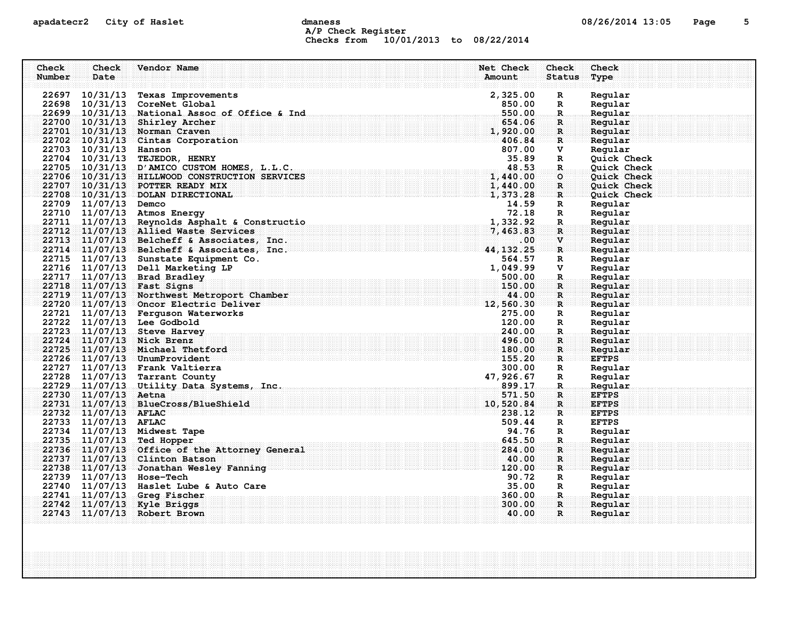# apadatecr2 City of Haslet and dmaness dmaness and the US/26/2014 13:05 Page 5 A/P Check Register Checks from 10/01/2013 to 08/22/2014

| Check  | Check                 | Vendor Name                                                                                | Net Check                 | <b>Check</b>  | Check              |
|--------|-----------------------|--------------------------------------------------------------------------------------------|---------------------------|---------------|--------------------|
| Number | Date                  |                                                                                            | Amount                    | <b>Status</b> | Type               |
|        |                       |                                                                                            |                           |               |                    |
| 22697  | 10/31/13              | Texas Improvements                                                                         | 2,325.00                  | R             | Regular            |
|        |                       | 22698 10/31/13 CoreNet Global                                                              | 850.00                    | R             | Regular            |
|        |                       | 22699 10/31/13 National Assoc of Office & Ind                                              | 550.00                    | $\mathbf R$   | Regular            |
|        |                       | 22700 10/31/13 Shirley Archer                                                              | 654.06                    | R             | Reqular            |
|        |                       | 22701 10/31/13 Norman Craven                                                               | 1,920.00                  | R             | Regular            |
|        |                       | 22702 10/31/13 Cintas Corporation                                                          | 406.84                    | $\mathbf{R}$  | Regular            |
|        | 22703 10/31/13 Hanson |                                                                                            | 807.00                    | v             | Regular            |
|        |                       | 22704 10/31/13 TEJEDOR, HENRY                                                              | 35.89                     | R             | Quick Check        |
|        |                       | 22705 10/31/13 D'AMICO CUSTOM HOMES, L.L.C.                                                | 48.53                     | R.            | Quick Check        |
|        |                       | 22706 10/31/13 HILLWOOD CONSTRUCTION SERVICES                                              | 1,440.00                  | $\circ$       | Quick Check        |
|        |                       | 22707 10/31/13 POTTER READY MIX                                                            | 1,440.00                  | $\mathbf R$   | <b>Ouick Check</b> |
|        |                       | 22708 10/31/13 DOLAN DIRECTIONAL                                                           | 1,373.28                  | $\mathbf{R}$  | Quick Check        |
|        | 22709 11/07/13 Demco  |                                                                                            | 14.59                     | R             | Regular            |
|        |                       | 22710 11/07/13 Atmos Energy                                                                | 72.18                     | R             | Regular            |
|        |                       | 22710 11/07/13 Atmos Energy<br>22711 11/07/13 Reynolds Asphalt & Constructio               | 1,332.92                  | $\mathbf{R}$  | Regular            |
|        |                       | 22712 11/07/13 Allied Waste Services                                                       | 7,463.83                  | R             | Regular            |
|        |                       |                                                                                            | $.00 \,$                  | V             | Regular            |
|        |                       | $22713$ 11/07/13 Belcheff & Associates, Inc.<br>22714 11/07/13 Belcheff & Associates, Inc. | 44, 132.25                | $\mathbf{R}$  | Reqular            |
|        |                       | 22715 11/07/13 Sunstate Equipment Co.                                                      | 564.57                    | R             | Regular            |
|        |                       | 22716 11/07/13 Dell Marketing LP                                                           | 1,049.99                  | v             | Regular            |
|        |                       | 22717 11/07/13 Brad Bradley                                                                | 500.00                    | $\mathbf R$   | Regular            |
|        |                       | 22718 11/07/13 Fast Signs                                                                  | 150.00                    | $\mathbf R$   | Reqular            |
|        |                       | 22719 11/07/13 Northwest Metroport Chamber                                                 | 44.00                     | $\mathbf{R}$  | Regular            |
|        |                       | 22720 11/07/13 Oncor Electric Deliver                                                      | $\frac{44.99}{12,560.30}$ | $\mathbf{R}$  | Regular            |
|        |                       | 22721 11/07/13 Ferguson Waterworks                                                         | 275.00                    | R             | Regular            |
|        |                       | 22722 11/07/13 Lee Godbold                                                                 | 120.00                    | R             | Regular            |
|        |                       | 22723 11/07/13 Steve Harvey                                                                | 240.00                    | $\mathbf R$   | Regular            |
| 22724  |                       | $11/07/13$ Nick Brenz                                                                      | 496.00                    | R             | Regular            |
|        |                       | 22725 11/07/13 Michael Thetford                                                            | 180.00                    | $\mathbf R$   | Regular            |
|        |                       | 22726 11/07/13 UnumProvident                                                               | 155.20                    | R             | <b>EFTPS</b>       |
|        |                       | 22727 11/07/13 Frank Valtierra                                                             | 300.00                    | R             | Regular            |
|        |                       | 22728 11/07/13 Tarrant County                                                              | 47,926.67                 | R             | Regular            |
|        |                       | 22729 11/07/13 Utility Data Systems, Inc.                                                  | 899.17                    | $\mathbb{R}$  | Regular            |
|        | 22730 11/07/13 Aetna  |                                                                                            | 571.50                    | R             | <b>EFTPS</b>       |
|        |                       | 22731 11/07/13 BlueCross/BlueShield                                                        | 10,520.84                 | $\mathbf{R}$  | <b>EFTPS</b>       |
|        | 22732 11/07/13 AFLAC  |                                                                                            | 238.12                    | $\mathbf{R}$  | <b>EFTPS</b>       |
|        | 22733 11/07/13 AFLAC  |                                                                                            | 509.44                    | R             | <b>EFTPS</b>       |
|        |                       | 22734 11/07/13 Midwest Tape                                                                | 94.76                     | R             | Regular            |
|        |                       | 22735 11/07/13 Ted Hopper                                                                  | 645.50                    | $\mathbf R$   | Regular            |
|        |                       | 22736 11/07/13 Office of the Attorney General                                              | 284.00                    | R.            | Reqular            |
| 22737  |                       | 11/07/13 Clinton Batson                                                                    | 40.00                     | $\mathbf R$   | Regular            |
|        |                       | 22738 11/07/13 Jonathan Wesley Fanning                                                     | 120.00                    | $\mathbf R$   | Regular            |
|        | 22739 11/07/13        | <b>Hose-Tech</b>                                                                           | 90.72                     | R             | Regular            |
|        |                       | 22740 11/07/13 Haslet Lube & Auto Care                                                     | 35.00                     | R             | Regular            |
|        | 22741 11/07/13        | Greg Fischer                                                                               | 360.00                    | $\mathbf{R}$  | Regular            |
|        |                       | 22742 11/07/13 Kyle Briggs                                                                 | 300.00                    | $\mathbf R$   | Regular            |
|        |                       | 22743 11/07/13 Robert Brown                                                                | 40.00                     | $\mathbf{R}$  | Regular            |
|        |                       |                                                                                            |                           |               |                    |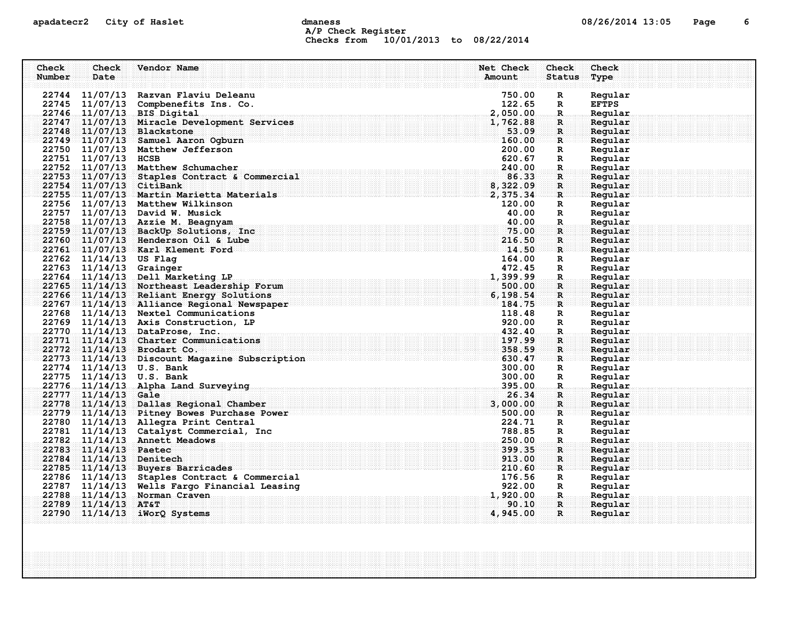# apadatecr2 City of Haslet dmaness dmaness and the control of the 13:05 Page 6 A/P Check Register Checks from 10/01/2013 to 08/22/2014

| Check  | Check                   | Vendor Name                                                                                 | Net Check<br>Check                                                                                                                                                                                                                                  | Check        |
|--------|-------------------------|---------------------------------------------------------------------------------------------|-----------------------------------------------------------------------------------------------------------------------------------------------------------------------------------------------------------------------------------------------------|--------------|
| Number | Date                    |                                                                                             | Amount<br><b>Status</b>                                                                                                                                                                                                                             | Type         |
|        |                         |                                                                                             |                                                                                                                                                                                                                                                     |              |
|        |                         | 22744 11/07/13 Razvan Flaviu Deleanu                                                        | 750.00<br>R                                                                                                                                                                                                                                         | Regular      |
|        | 22745 11/07/13          | Compbenefits Ins. Co.                                                                       | 122.65<br>R                                                                                                                                                                                                                                         | <b>EFTPS</b> |
|        |                         | 22746 11/07/13 BIS Digital                                                                  | 2,050.00<br>$\mathbf R$                                                                                                                                                                                                                             | Regular      |
|        |                         | $\frac{22747}{22748}$ 11/07/13 Miracle Development Services                                 | 1,762.88<br>$\mathbf R$                                                                                                                                                                                                                             | Regular      |
|        |                         | 22748 11/07/13 Blackstone                                                                   | 53.09<br>R                                                                                                                                                                                                                                          | Regular      |
|        |                         | 22749 11/07/13 Samuel Aaron Ogburn                                                          | 160.00<br>$\mathbf{R}$                                                                                                                                                                                                                              | Regular      |
|        |                         | 22750 11/07/13 Matthew Jefferson                                                            | 200.00<br>$\mathbf{R}$                                                                                                                                                                                                                              | Regular      |
|        | 22751 11/07/13 HCSB     |                                                                                             | 620.67<br>R                                                                                                                                                                                                                                         | Regular      |
|        |                         | 22752 11/07/13 Matthew Schumacher                                                           | 240.00<br>$\mathbf R$                                                                                                                                                                                                                               | Regular      |
|        |                         | 22753 11/07/13 Staples Contract & Commercial                                                | 86.33<br>R                                                                                                                                                                                                                                          | Regular      |
|        | 22754 11/07/13 CitiBank |                                                                                             | 8,322.09<br>R                                                                                                                                                                                                                                       | Regular      |
|        |                         | 22755 11/07/13 Martin Marietta Materials                                                    | 2,375.34<br>$\mathbf{R}$                                                                                                                                                                                                                            | Regular      |
|        |                         | 22756 11/07/13 Matthew Wilkinson                                                            | 120.00<br>R                                                                                                                                                                                                                                         | Regular      |
|        |                         | 22757 11/07/13 David W. Musick                                                              | 40.00<br>R                                                                                                                                                                                                                                          | Regular      |
|        |                         | 22758 11/07/13 Azzie M. Beagnyam                                                            | 40.00<br>$\mathbf R$                                                                                                                                                                                                                                | Regular      |
|        |                         | 22759 11/07/13 BackUp Solutions, Inc                                                        | 75.00<br>$\mathbf{R}$                                                                                                                                                                                                                               | Regular      |
|        |                         | 22760 11/07/13 Henderson Oil & Lube                                                         | 216.50<br>R.                                                                                                                                                                                                                                        | Regular      |
|        |                         | 22761 11/07/13 Karl Klement Ford                                                            | 14.50<br>$\mathbf{R}$                                                                                                                                                                                                                               | Regular      |
|        | 22762 11/14/13 US Flag  |                                                                                             | 164.00<br>R                                                                                                                                                                                                                                         | Regular      |
|        | 22763 11/14/13 Grainger |                                                                                             | 472.45<br>R                                                                                                                                                                                                                                         | Regular      |
|        |                         | 22764 11/14/13 Dell Marketing LP                                                            | 1,399.99<br>$\mathbf{R}$                                                                                                                                                                                                                            | Regular      |
|        |                         | 22765 11/14/13 Northeast Leadership Forum                                                   | 500.00<br>R                                                                                                                                                                                                                                         | Regular      |
|        |                         | 22766 11/14/13 Reliant Energy Solutions                                                     | 6,198.54<br>$\mathbf{R}$                                                                                                                                                                                                                            | Regular      |
|        |                         | 22767 11/14/13 Alliance Regional Newspaper                                                  | 184.75<br>$\mathbf{R}$                                                                                                                                                                                                                              | Regular      |
|        |                         | 22768 11/14/13 Nextel Communications                                                        | 118.48<br>R                                                                                                                                                                                                                                         | Regular      |
|        |                         | 22769 11/14/13 Axis Construction, LP                                                        | 920.00<br>R                                                                                                                                                                                                                                         | Regular      |
|        |                         | 22769 11/14/13 Axis Construction, LP<br>22770 11/14/13 DataProse, Inc.                      | 432.40<br>$\mathbf{R}$                                                                                                                                                                                                                              | Regular      |
|        |                         | 22771 11/14/13 Charter Communications                                                       | 197.99<br>R.                                                                                                                                                                                                                                        | Regular      |
|        |                         | 22772 11/14/13 Brodart Co.                                                                  | 358.59<br>$\mathbf{R}$                                                                                                                                                                                                                              | Regular      |
|        |                         | 22773 11/14/13 Discount Magazine Subscription 22773 11/14/13 Discount Magazine Subscription | R                                                                                                                                                                                                                                                   | Reqular      |
|        |                         | 22774 11/14/13 U.S. Bank                                                                    | 300.00<br>R                                                                                                                                                                                                                                         | Regular      |
|        |                         | 22775 11/14/13 U.S. Bank                                                                    | 300.00<br>$\mathbb{R}$                                                                                                                                                                                                                              | Regular      |
|        |                         | 22776 11/14/13 Alpha Land Surveying                                                         | <u>395.00 and the second second second second second second second second second second second second second second second second second second second second second second second second second second second second second sec</u><br>$\mathbf R$ | Regular      |
|        | 22777 11/14/13 Gale     |                                                                                             | 26.34<br>R                                                                                                                                                                                                                                          | Regular      |
|        |                         |                                                                                             | $\mathbf{R}$                                                                                                                                                                                                                                        | Regular      |
|        |                         |                                                                                             | R                                                                                                                                                                                                                                                   | Regular      |
|        |                         | 22780 11/14/13 Allegra Print Central                                                        | 224.71<br>R                                                                                                                                                                                                                                         | Regular      |
|        |                         | 22781 11/14/13 Catalyst Commercial, Inc                                                     | 788.85<br>R                                                                                                                                                                                                                                         | Regular      |
|        |                         | 22782 11/14/13 Annett Meadows                                                               | 250.00<br>R.                                                                                                                                                                                                                                        | Regular      |
|        | 22783 11/14/13 Paetec   |                                                                                             | 399.35<br>$\mathbf R$                                                                                                                                                                                                                               | Regular      |
|        | 22784 11/14/13 Denitech |                                                                                             | 913.00<br>$\mathbf{R}$                                                                                                                                                                                                                              | Regular      |
|        |                         | $22785$ 11/14/13 Buyers Barricades                                                          | 210.60<br>R                                                                                                                                                                                                                                         | Regular      |
|        |                         | 22786 11/14/13 Staples Contract & Commercial                                                | 176.56<br>R                                                                                                                                                                                                                                         | Regular      |
|        |                         | 22787 11/14/13 Wells Fargo Financial Leasing                                                | 922.00<br>$\mathbf{R}$                                                                                                                                                                                                                              | Regular      |
|        |                         | 22788 11/14/13 Norman Craven                                                                | 1,920.00<br>-R.,                                                                                                                                                                                                                                    | Regular      |
|        | 22789 11/14/13 AT&T     |                                                                                             | 90.10<br>$\mathbf{R}$                                                                                                                                                                                                                               | Reqular      |
|        |                         | 22790 11/14/13 iWorQ Systems                                                                | 4,945.00<br>$\mathbf{R}$                                                                                                                                                                                                                            | Regular      |
|        |                         |                                                                                             |                                                                                                                                                                                                                                                     |              |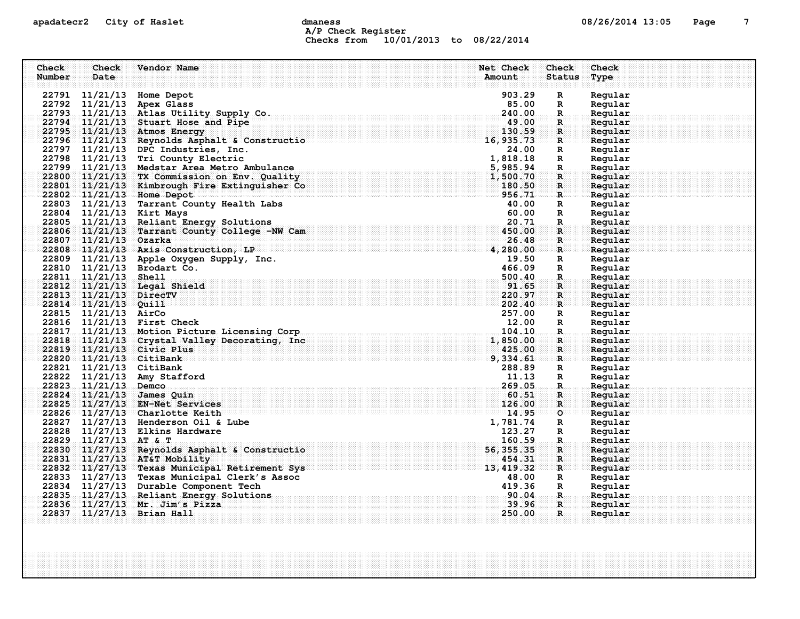# apadatecr2 City of Haslet contracts dmaness contracts that the contracts of the contracts of the contracts of the contracts of the contracts of the contracts of the contracts of the contracts of the contracts of the contra A/P Check Register Checks from 10/01/2013 to 08/22/2014

| Check<br>Number | Check<br>Date           | Vendor Name                                                                           | Net Check<br>Amount | Check<br><b>Status</b> | Check<br>Type      |
|-----------------|-------------------------|---------------------------------------------------------------------------------------|---------------------|------------------------|--------------------|
|                 |                         |                                                                                       |                     |                        |                    |
|                 |                         | 22791 11/21/13 Home Depot                                                             | 903.29              | $\mathbf R$            | Regular            |
|                 |                         | 22792 11/21/13 Apex Glass                                                             | 85.00               | $\mathbf R$            | Regular            |
|                 |                         | 22793 11/21/13 Atlas Utility Supply Co.                                               | 240.00              | $\mathbf R$            | Regular            |
|                 |                         | $22794$ $11/21/13$ Stuart Hose and Pipe                                               | 49.00               | R                      | Regular            |
|                 |                         | 22795 11/21/13 Atmos Energy                                                           | 130.59<br>16,935.73 | $\mathbf{R}$           | Regular            |
|                 |                         | 22796 11/21/13 Reynolds Asphalt & Constructio                                         |                     | R                      | Regular            |
|                 |                         | 22797 11/21/13 DPC Industries, Inc.                                                   | 24.00<br>1,818.18   | R                      | Regular            |
|                 |                         | 22798 11/21/13 Tri County Electric<br>22799 11/21/13 Medstar Area Metro Ambulance     | 5,985.94            | $\mathbf{R}$           | Regular<br>Regular |
|                 |                         | 22800 11/21/13 TX Commission on Env. Quality                                          | 1,500.70            | $\mathbf{R}$ .<br>R    | Regular            |
|                 |                         | 22801 11/21/13 Kimbrough Fire Extinguisher Co                                         | 180.50              | $\mathbf R$            | Regular            |
|                 |                         | 22802 11/21/13 Home Depot                                                             | 956.71              | $\mathbf{R}$           | Regular            |
|                 |                         | 22803 11/21/13 Tarrant County Health Labs                                             | 40.00               | $\mathbf{R}$           | Regular            |
|                 |                         | 22804 11/21/13 Kirt Mays                                                              | 60.00               | R                      | Regular            |
|                 |                         | 22805 11/21/13 Reliant Energy Solutions                                               | 20.71               | $\mathbf{R}$           | Regular            |
|                 |                         | 22806 11/21/13 Tarrant County College -NW Cam                                         | 450.00              | $\mathbf{R}$           | Regular            |
|                 | 22807 11/21/13 Ozarka   |                                                                                       | 26.48               | R.                     | Regular            |
|                 |                         | $22808$ 11/21/13 Axis Construction, LP                                                | 4,280.00            | $\mathbf{R}$           | Regular            |
|                 |                         | 22809 11/21/13 Apple Oxygen Supply, Inc.                                              | 19.50               | $\mathbf R$            | Regular            |
|                 |                         | 22810 11/21/13 Brodart Co.                                                            | 466.09              | R                      | Regular            |
|                 | 22811 11/21/13 Shell    |                                                                                       | 500.40              | R.                     | Regular            |
|                 |                         | 22812 11/21/13 Legal Shield                                                           | 91.65               | R                      | Regular            |
|                 | 22813 11/21/13 DirecTV  |                                                                                       | 220.97              | $\mathbf{R}$           | Regular            |
|                 | 22814 11/21/13 Quill    |                                                                                       | 202.40              | R                      | Regular            |
|                 | 22815 11/21/13 AirCo    |                                                                                       | 257.00              | R                      | Regular            |
|                 |                         | 22816 11/21/13 First Check                                                            | 12.00               | $\mathbf{R}$           | Regular            |
|                 |                         | 22817 11/21/13 Motion Picture Licensing Corp                                          | 104.10              | $_{\dots R}$ .         | Regular            |
|                 |                         | 22818 11/21/13 Crystal Valley Decorating, Inc.                                        | 1,850.00            | R.                     | Regular            |
|                 |                         | 22819 11/21/13 Civic Plus                                                             | 425.00              | $\mathbf{R}$           | Regular            |
|                 |                         | 22820 11/21/13 CitiBank                                                               | 9,334.61            | $\mathbf{R}$           | Regular            |
|                 | 22821 11/21/13 CitiBank |                                                                                       | 288.89              | R                      | Regular            |
|                 |                         | 22822 11/21/13 Amy Stafford                                                           | 11.13               | R                      | Regular            |
|                 | 22823 11/21/13 Demco    |                                                                                       | 269.05              | $\mathbf R$            | Regular            |
|                 |                         | 22824 11/21/13 James Quin                                                             | 60.51               | R                      | Regular            |
|                 |                         | 22825 11/27/13 EN-Net Services                                                        | 126.00              | R                      | Regular            |
|                 |                         | 22826 11/27/13 Charlotte Keith                                                        | 14.95               | ം                      | Regular            |
|                 |                         | 22827 11/27/13 Henderson Oil & Lube                                                   | 1,781.74            | $\mathbf{R}$           | Regular            |
|                 |                         | 22828 11/27/13 Elkins Hardware                                                        | 123.27              | R                      | Regular            |
|                 | 22829 11/27/13 AT & T   |                                                                                       | 160.59              | $\mathbf{R}_1$         | Regular            |
|                 |                         | 22830 11/27/13 Reynolds Asphalt & Constructio                                         | 56, 355. 35         | $\mathbf{R}$           | Regular            |
|                 |                         | 22831 11/27/13 AT&T Mobility                                                          | 454.31              | $\mathbf{R}$           | Regular            |
|                 |                         | 22832 11/27/13 Texas Municipal Retirement Sys                                         | 13, 419.32<br>48.00 | R                      | Regular            |
|                 |                         | 22833 11/27/13 Texas Municipal Clerk's Assoc<br>22834 11/27/13 Durable Component Tech | 419.36              | R<br>$\mathbf{R}$      | Regular<br>Regular |
|                 |                         | 22835 11/27/13 Reliant Energy Solutions                                               | 90.04               | $\mathbf{R}_{\rm{m}}$  | Regular            |
|                 |                         | $22836$ $11/27/13$ Mr. Jim's Pizza                                                    | 39.96               | R                      | Reqular            |
|                 |                         | 22837 11/27/13 Brian Hall                                                             | 250.00              | $\mathbf{R}$           | Regular            |
|                 |                         |                                                                                       |                     |                        |                    |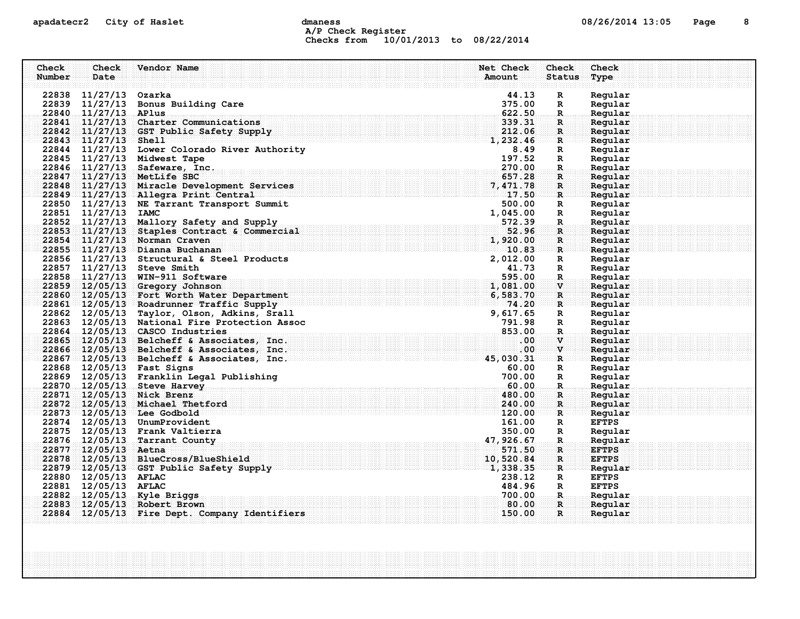# apadatecr2 City of Haslet dmaness dmaness and the control of the 13:05 Page 8 A/P Check Register Checks from 10/01/2013 to 08/22/2014

| Check  | Check                 | Vendor Name                                                                                                                                                                                                                                                                                                                                     | Net Check         | <b>Check</b>                           | Check              |
|--------|-----------------------|-------------------------------------------------------------------------------------------------------------------------------------------------------------------------------------------------------------------------------------------------------------------------------------------------------------------------------------------------|-------------------|----------------------------------------|--------------------|
| Number | Date                  |                                                                                                                                                                                                                                                                                                                                                 | Amount            | <b>Status</b>                          | Type               |
|        | 22838 11/27/13 Ozarka |                                                                                                                                                                                                                                                                                                                                                 | 44.13             | $\mathbf R$                            |                    |
|        |                       | 22839 11/27/13 Bonus Building Care                                                                                                                                                                                                                                                                                                              | 375.00            | $\mathbf{R}$                           | Regular<br>Regular |
|        | 22840 11/27/13 APlus  |                                                                                                                                                                                                                                                                                                                                                 | 622.50            | $\mathbf R$                            | Regular            |
|        |                       | 22841 11/27/13 Charter Communications                                                                                                                                                                                                                                                                                                           | 339.31            | $\mathbf R$ :                          | Reqular            |
|        |                       | 22842 11/27/13 GST Public Safety Supply                                                                                                                                                                                                                                                                                                         | 212.06            | $\mathbf{R}$                           | Regular            |
|        | 22843 11/27/13 Shell  | $\overline{1,232,46}$                                                                                                                                                                                                                                                                                                                           |                   | $\mathbb{R}$                           | Regular            |
|        |                       | $\begin{array}{r} 8.49 \\ -8.49 \\ 197.52 \\ 270.00 \\ 270.00 \\ 270.00 \\ 275.00 \\ 275.00 \\ 275.00 \\ 275.00 \\ 275.00 \\ 275.00 \\ 275.00 \\ 275.00 \\ 275.00 \\ 275.00 \\ 275.00 \\ 275.00 \\ 275.00 \\ 275.00 \\ 275.00 \\ 275.00 \\ 275.00 \\ 275.00 \\ 275.00 \\ 275.00 \\ 275.00 \\ $<br>22844 11/27/13 Lower Colorado River Authority |                   | $\mathbf R$                            | Regular            |
|        |                       | 22845 11/27/13 Midwest Tape                                                                                                                                                                                                                                                                                                                     |                   | $\mathbb{R}$                           | Regular            |
|        |                       | 22846 11/27/13 Safeware, Inc.                                                                                                                                                                                                                                                                                                                   |                   | $R_{\odot}$                            | Regular            |
|        |                       | 22847 11/27/13 MetLife SBC                                                                                                                                                                                                                                                                                                                      | 657.28            | $\mathbf{R}$                           | Regular            |
|        |                       | 22848 11/27/13 Miracle Development Services                                                                                                                                                                                                                                                                                                     | 7,471.78          | $\mathbf R$                            | Regular            |
|        |                       | 22849 11/27/13 Allegra Print Central                                                                                                                                                                                                                                                                                                            | $17.50 \text{ R}$ |                                        | Regular            |
|        |                       | 22850 11/27/13 NE Tarrant Transport Summit                                                                                                                                                                                                                                                                                                      | 500.00            | $\mathbf R$                            | Regular            |
|        | 22851 11/27/13 IAMC   |                                                                                                                                                                                                                                                                                                                                                 | 1,045.00          | $\mathbf R$                            | Regular            |
|        |                       | 22852 11/27/13 Mallory Safety and Supply                                                                                                                                                                                                                                                                                                        | 572.39            | $\mathbf R$ .                          | Regular            |
|        |                       | 22853 11/27/13 Staples Contract & Commercial                                                                                                                                                                                                                                                                                                    | 52.96             | $\mathbf{R}$                           | Regular            |
|        |                       | 22854 11/27/13 Norman Craven                                                                                                                                                                                                                                                                                                                    |                   | $\mathbf{R}$                           | Regular            |
|        |                       | 22855 11/27/13 Dianna Buchanan                                                                                                                                                                                                                                                                                                                  | $\frac{1}{10.83}$ | $\mathbf{R}$ . The set of $\mathbf{R}$ | Regular            |
|        |                       | 22856 11/27/13 Structural & Steel Products                                                                                                                                                                                                                                                                                                      | 2,012.00          | $\mathbf{R}$                           | Regular            |
|        |                       | 22857 11/27/13 Steve Smith                                                                                                                                                                                                                                                                                                                      | 41.73             | $\mathbf{R}$                           | Regular            |
|        |                       | 22858 11/27/13 WIN-911 Software                                                                                                                                                                                                                                                                                                                 | 595.00            | $\mathbf{R}$                           | Regular            |
|        |                       | 22859 12/05/13 Gregory Johnson                                                                                                                                                                                                                                                                                                                  | 1,081.00          | $\mathbf{V}$                           | Regular            |
|        |                       | $\begin{array}{l} \texttt{pattern} \\ \texttt{Supoly} \end{array} \hspace{1.5cm} \begin{array}{l} \texttt{1}, \\ \texttt{6}, \\ \texttt{6}, \\ \end{array}$<br>22860 12/05/13 Fort Worth Water Department                                                                                                                                       | 6,583.70          | ार                                     | Reqular            |
|        |                       | 22861 12/05/13 Roadrunner Traffic Supply                                                                                                                                                                                                                                                                                                        | 74.20             | R                                      | Regular            |
|        |                       | 22862 12/05/13 Taylor, Olson, Adkins, Srall<br>STall 9,617.65<br>n Assoc 791.98<br>853.00.                                                                                                                                                                                                                                                      |                   | $\mathbb{R}$                           | Regular            |
|        |                       | 22863 12/05/13 National Fire Protection Assoc                                                                                                                                                                                                                                                                                                   |                   | $\mathbf{R}$                           | Regular            |
|        |                       | 22864 12/05/13 CASCO Industries                                                                                                                                                                                                                                                                                                                 |                   | $\mathbf{R}$ .                         | Reqular            |
|        |                       | 22865 12/05/13 Belcheff & Associates, Inc.<br>22866 12/05/13 Belcheff & Associates, Inc. (1998) 12/05/13 Belcheff & Associates, Inc. (22867 12/05/13 Belcheff & Associates, Inc. (22867 12/05/13 Belcheff & Associates, Inc. (228                                                                                                               |                   | <b>V</b>                               | Regular            |
|        |                       |                                                                                                                                                                                                                                                                                                                                                 |                   | $\mathbf{v}$                           | Regular            |
|        |                       |                                                                                                                                                                                                                                                                                                                                                 |                   | ार                                     | Regular            |
|        |                       | 22868 12/05/13 Fast Signs                                                                                                                                                                                                                                                                                                                       | 60.00             | $\mathbf{R}$                           | Regular            |
|        |                       | 22869 12/05/13 Franklin Legal Publishing                                                                                                                                                                                                                                                                                                        | 700.00            | $\mathbb{R}$                           | Regular            |
|        |                       | 22870 12/05/13 Steve Harvey<br>22871 12/05/13 Nick Brenz                                                                                                                                                                                                                                                                                        | 60.00             | $\mathbf{R}$ .                         | Regular            |
|        |                       | 22872 12/05/13 Michael Thetford                                                                                                                                                                                                                                                                                                                 | 480,00<br>240.00  | $\mathbf{R}$<br>$\mathbf{R}$ .         | Regular<br>Reqular |
|        |                       | 22873 12/05/13 Lee Godbold                                                                                                                                                                                                                                                                                                                      | 120.00            | ार                                     | Regular            |
|        |                       | 22874 12/05/13 UnumProvident                                                                                                                                                                                                                                                                                                                    | 161.00            | R                                      | <b>EFTPS</b>       |
|        |                       | 22875 12/05/13 Frank Valtierra                                                                                                                                                                                                                                                                                                                  | 350.00            | R                                      | Regular            |
|        |                       | 22876 12/05/13 Tarrant County                                                                                                                                                                                                                                                                                                                   | 47,926.67         | .R.,                                   | Regular            |
|        | 22877 12/05/13 Aetna  |                                                                                                                                                                                                                                                                                                                                                 | 571.50            | $\mathbf{R}$                           | <b>EFTPS</b>       |
|        |                       | 22878 12/05/13 BlueCross/BlueShield                                                                                                                                                                                                                                                                                                             | 10,520.84         | $\mathbf R$                            | <b>EFTPS</b>       |
|        |                       | 22879 12/05/13 GST Public Safety Supply                                                                                                                                                                                                                                                                                                         | 1,338.35          | $\mathbf{R}$                           | Regular            |
|        | 22880 12/05/13 AFLAC  |                                                                                                                                                                                                                                                                                                                                                 | 238.12            | R                                      | <b>EFTPS</b>       |
|        | 22881 12/05/13 AFLAC  |                                                                                                                                                                                                                                                                                                                                                 | 484.96            | R                                      | <b>EFTPS</b>       |
|        |                       | 22882 12/05/13 Kyle Briggs                                                                                                                                                                                                                                                                                                                      | 700.00            | -R.,                                   | Regular            |
|        |                       | 22883 12/05/13 Robert Brown                                                                                                                                                                                                                                                                                                                     | 80.00             | $\mathbf R$                            | Regular            |
|        |                       | 22884 12/05/13 Fire Dept. Company Identifiers                                                                                                                                                                                                                                                                                                   | 150.00            | $\mathbf{R}$                           | Regular            |
|        |                       |                                                                                                                                                                                                                                                                                                                                                 |                   |                                        |                    |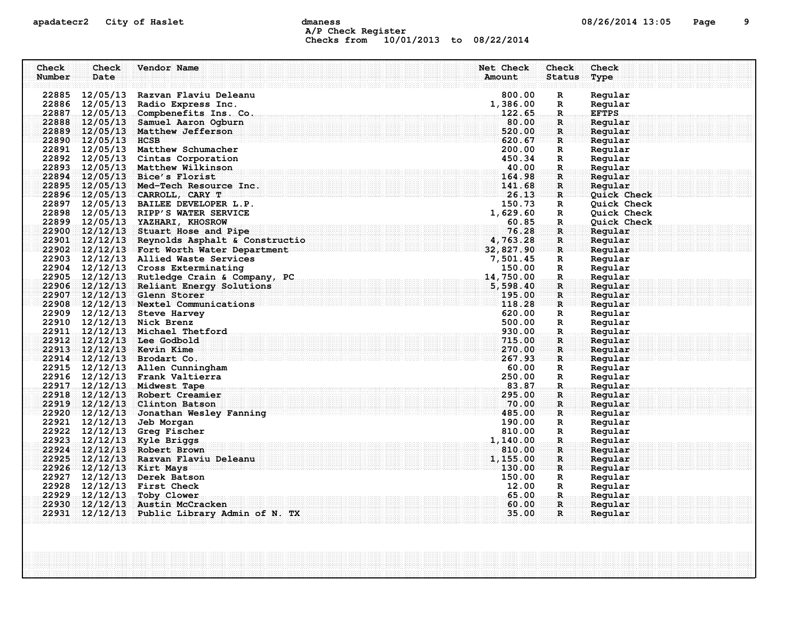# apadatecr2 City of Haslet dmaness dmanness and the US/26/2014 13:05 Page 9 A/P Check Register Checks from 10/01/2013 to 08/22/2014

| Number<br>Date<br>Amount<br><b>Status</b><br>Type<br>22885<br>12/05/13<br>Razvan Flaviu Deleanu<br>800.00<br>$\mathbf R$<br>Regular<br>22886 12/05/13<br>Radio Express Inc.<br>1,386.00<br>Regular<br>R<br><b>EFTPS</b><br>22887 12/05/13<br>Compbenefits Ins. Co.<br>122.65<br>$\mathbf R$<br>12/05/13 Samuel Aaron Ogburn<br>80.00<br>22888<br>Regular<br>$\mathbf R$<br>520.00<br>22889 12/05/13<br>Matthew Jefferson<br>$\mathbf{R}$<br>Regular<br>22890 12/05/13 HCSB<br>620.67<br>Regular<br>R<br>22891 12/05/13<br>Matthew Schumacher<br>200.00<br>Regular<br>R<br>22892 12/05/13 Cintas Corporation<br>450.34<br>Regular<br>$\mathbb{R}$<br>40.00<br>22893 12/05/13 Matthew Wilkinson<br>Regular<br>$\mathbf R$<br>22894 12/05/13 Bice's Florist<br>164.98<br>$\mathbf{R}$<br>Regular<br>22895 12/05/13 Med-Tech Resource Inc.<br>141.68<br>$\mathbf R$<br>Regular<br>22896 12/05/13 CARROLL, CARY T<br>26.13<br><b>Quick Check</b><br>R<br>22897 12/05/13 BAILEE DEVELOPER L.P.<br>150.73<br>Quick Check<br>R<br>22898 12/05/13 RIPP'S WATER SERVICE<br>1,629.60<br>R<br><b>Quick Check</b><br>22899 12/05/13 YAZHARI, KHOSROW<br>60.85<br>Quick Check<br>R.<br>22900 12/12/13 Stuart Hose and Pipe<br>76.28<br>R<br>Reqular<br>4,763.28<br>22901 12/12/13 Reynolds Asphalt & Constructio<br>$\mathbf{R}$<br>Regular<br>22902 12/12/13 Fort Worth Water Department<br>32,827.90<br>$\mathbf{R}$<br>Regular<br>22903 12/12/13 Allied Waste Services<br>7,501.45<br>Regular<br>R<br>22904 12/12/13 Cross Exterminating<br>150.00<br>Regular<br>$\mathbb{R}$<br>22905 12/12/13 Rutledge Crain & Company, PC<br>14,750.00<br>Regular<br>R.<br>22906 12/12/13 Reliant Energy Solutions<br>5,598.40<br>Regular<br>$\mathbf R$<br>22907 12/12/13 Glenn Storer<br>195.00<br>Regular<br>R<br>22908 12/12/13 Nextel Communications<br>118.28<br>Regular<br>R<br>22909 12/12/13 Steve Harvey<br>620.00<br>R<br>Regular<br>22910 12/12/13 Nick Brenz<br>500.00<br>Regular<br>$\mathbb{R}$<br>22911 12/12/13 Michael Thetford<br>930.00<br>Regular<br>R.<br>22912 12/12/13 Lee Godbold<br>715.00<br>Regular<br>$\mathbf R$<br>22913 12/12/13 Kevin Kime<br>270.00<br>R<br>Regular<br>22914 12/12/13 Brodart Co.<br>267.93<br>Regular<br>R<br>22915 12/12/13 Allen Cunningham<br>60.00<br>R<br>Regular<br>22916 12/12/13 Frank Valtierra<br>250.00<br>Regular<br>R<br>22917 12/12/13 Midwest Tape<br>83.87<br>Regular<br>R.<br>22918<br>12/12/13 Robert Creamier<br>295.00<br>Regular<br>R<br>22919 12/12/13 Clinton Batson<br>70.00<br>Regular<br>$\mathbf R$<br>22920 12/12/13 Jonathan Wesley Fanning<br>485.00<br>Regular<br>R<br>22921 12/12/13<br>190.00<br>Regular<br>Jeb Morgan<br>R<br>22922 12/12/13<br>810.00<br>Greg Fischer<br>Regular<br>R<br>22923 12/12/13<br>1,140.00<br>Kyle Briggs<br>Regular<br>R.<br>22924 12/12/13 Robert Brown<br>810.00<br>Regular<br>$\mathbf R$<br>22925 12/12/13 Razvan Flaviu Deleanu<br>1,155.00<br>$\mathbf R$<br>Regular<br>22926 12/12/13 Kirt Mays<br>130.00<br>Regular<br>R<br>22927 12/12/13<br>Derek Batson<br>150.00<br>R<br>Regular<br>22928 12/12/13 First Check<br>12.00<br>Regular<br>R<br>22929 12/12/13<br>65.00<br>Toby Clower<br>R.<br>Regular<br>22930<br>12/12/13 Austin McCracken<br>60.00<br>R.<br>Regular<br>35.00<br>22931<br>12/12/13<br>Public Library Admin of N. TX<br>R<br>Regular | Check | Check | Vendor Name | <b>Net Check</b> | Check | Check |  |
|-------------------------------------------------------------------------------------------------------------------------------------------------------------------------------------------------------------------------------------------------------------------------------------------------------------------------------------------------------------------------------------------------------------------------------------------------------------------------------------------------------------------------------------------------------------------------------------------------------------------------------------------------------------------------------------------------------------------------------------------------------------------------------------------------------------------------------------------------------------------------------------------------------------------------------------------------------------------------------------------------------------------------------------------------------------------------------------------------------------------------------------------------------------------------------------------------------------------------------------------------------------------------------------------------------------------------------------------------------------------------------------------------------------------------------------------------------------------------------------------------------------------------------------------------------------------------------------------------------------------------------------------------------------------------------------------------------------------------------------------------------------------------------------------------------------------------------------------------------------------------------------------------------------------------------------------------------------------------------------------------------------------------------------------------------------------------------------------------------------------------------------------------------------------------------------------------------------------------------------------------------------------------------------------------------------------------------------------------------------------------------------------------------------------------------------------------------------------------------------------------------------------------------------------------------------------------------------------------------------------------------------------------------------------------------------------------------------------------------------------------------------------------------------------------------------------------------------------------------------------------------------------------------------------------------------------------------------------------------------------------------------------------------------------------------------------------------------------------------------------------------------------------------------------------------------------------------------------------------------------------------------------------------------------------------------------------------------------------------|-------|-------|-------------|------------------|-------|-------|--|
|                                                                                                                                                                                                                                                                                                                                                                                                                                                                                                                                                                                                                                                                                                                                                                                                                                                                                                                                                                                                                                                                                                                                                                                                                                                                                                                                                                                                                                                                                                                                                                                                                                                                                                                                                                                                                                                                                                                                                                                                                                                                                                                                                                                                                                                                                                                                                                                                                                                                                                                                                                                                                                                                                                                                                                                                                                                                                                                                                                                                                                                                                                                                                                                                                                                                                                                                                       |       |       |             |                  |       |       |  |
|                                                                                                                                                                                                                                                                                                                                                                                                                                                                                                                                                                                                                                                                                                                                                                                                                                                                                                                                                                                                                                                                                                                                                                                                                                                                                                                                                                                                                                                                                                                                                                                                                                                                                                                                                                                                                                                                                                                                                                                                                                                                                                                                                                                                                                                                                                                                                                                                                                                                                                                                                                                                                                                                                                                                                                                                                                                                                                                                                                                                                                                                                                                                                                                                                                                                                                                                                       |       |       |             |                  |       |       |  |
|                                                                                                                                                                                                                                                                                                                                                                                                                                                                                                                                                                                                                                                                                                                                                                                                                                                                                                                                                                                                                                                                                                                                                                                                                                                                                                                                                                                                                                                                                                                                                                                                                                                                                                                                                                                                                                                                                                                                                                                                                                                                                                                                                                                                                                                                                                                                                                                                                                                                                                                                                                                                                                                                                                                                                                                                                                                                                                                                                                                                                                                                                                                                                                                                                                                                                                                                                       |       |       |             |                  |       |       |  |
|                                                                                                                                                                                                                                                                                                                                                                                                                                                                                                                                                                                                                                                                                                                                                                                                                                                                                                                                                                                                                                                                                                                                                                                                                                                                                                                                                                                                                                                                                                                                                                                                                                                                                                                                                                                                                                                                                                                                                                                                                                                                                                                                                                                                                                                                                                                                                                                                                                                                                                                                                                                                                                                                                                                                                                                                                                                                                                                                                                                                                                                                                                                                                                                                                                                                                                                                                       |       |       |             |                  |       |       |  |
|                                                                                                                                                                                                                                                                                                                                                                                                                                                                                                                                                                                                                                                                                                                                                                                                                                                                                                                                                                                                                                                                                                                                                                                                                                                                                                                                                                                                                                                                                                                                                                                                                                                                                                                                                                                                                                                                                                                                                                                                                                                                                                                                                                                                                                                                                                                                                                                                                                                                                                                                                                                                                                                                                                                                                                                                                                                                                                                                                                                                                                                                                                                                                                                                                                                                                                                                                       |       |       |             |                  |       |       |  |
|                                                                                                                                                                                                                                                                                                                                                                                                                                                                                                                                                                                                                                                                                                                                                                                                                                                                                                                                                                                                                                                                                                                                                                                                                                                                                                                                                                                                                                                                                                                                                                                                                                                                                                                                                                                                                                                                                                                                                                                                                                                                                                                                                                                                                                                                                                                                                                                                                                                                                                                                                                                                                                                                                                                                                                                                                                                                                                                                                                                                                                                                                                                                                                                                                                                                                                                                                       |       |       |             |                  |       |       |  |
|                                                                                                                                                                                                                                                                                                                                                                                                                                                                                                                                                                                                                                                                                                                                                                                                                                                                                                                                                                                                                                                                                                                                                                                                                                                                                                                                                                                                                                                                                                                                                                                                                                                                                                                                                                                                                                                                                                                                                                                                                                                                                                                                                                                                                                                                                                                                                                                                                                                                                                                                                                                                                                                                                                                                                                                                                                                                                                                                                                                                                                                                                                                                                                                                                                                                                                                                                       |       |       |             |                  |       |       |  |
|                                                                                                                                                                                                                                                                                                                                                                                                                                                                                                                                                                                                                                                                                                                                                                                                                                                                                                                                                                                                                                                                                                                                                                                                                                                                                                                                                                                                                                                                                                                                                                                                                                                                                                                                                                                                                                                                                                                                                                                                                                                                                                                                                                                                                                                                                                                                                                                                                                                                                                                                                                                                                                                                                                                                                                                                                                                                                                                                                                                                                                                                                                                                                                                                                                                                                                                                                       |       |       |             |                  |       |       |  |
|                                                                                                                                                                                                                                                                                                                                                                                                                                                                                                                                                                                                                                                                                                                                                                                                                                                                                                                                                                                                                                                                                                                                                                                                                                                                                                                                                                                                                                                                                                                                                                                                                                                                                                                                                                                                                                                                                                                                                                                                                                                                                                                                                                                                                                                                                                                                                                                                                                                                                                                                                                                                                                                                                                                                                                                                                                                                                                                                                                                                                                                                                                                                                                                                                                                                                                                                                       |       |       |             |                  |       |       |  |
|                                                                                                                                                                                                                                                                                                                                                                                                                                                                                                                                                                                                                                                                                                                                                                                                                                                                                                                                                                                                                                                                                                                                                                                                                                                                                                                                                                                                                                                                                                                                                                                                                                                                                                                                                                                                                                                                                                                                                                                                                                                                                                                                                                                                                                                                                                                                                                                                                                                                                                                                                                                                                                                                                                                                                                                                                                                                                                                                                                                                                                                                                                                                                                                                                                                                                                                                                       |       |       |             |                  |       |       |  |
|                                                                                                                                                                                                                                                                                                                                                                                                                                                                                                                                                                                                                                                                                                                                                                                                                                                                                                                                                                                                                                                                                                                                                                                                                                                                                                                                                                                                                                                                                                                                                                                                                                                                                                                                                                                                                                                                                                                                                                                                                                                                                                                                                                                                                                                                                                                                                                                                                                                                                                                                                                                                                                                                                                                                                                                                                                                                                                                                                                                                                                                                                                                                                                                                                                                                                                                                                       |       |       |             |                  |       |       |  |
|                                                                                                                                                                                                                                                                                                                                                                                                                                                                                                                                                                                                                                                                                                                                                                                                                                                                                                                                                                                                                                                                                                                                                                                                                                                                                                                                                                                                                                                                                                                                                                                                                                                                                                                                                                                                                                                                                                                                                                                                                                                                                                                                                                                                                                                                                                                                                                                                                                                                                                                                                                                                                                                                                                                                                                                                                                                                                                                                                                                                                                                                                                                                                                                                                                                                                                                                                       |       |       |             |                  |       |       |  |
|                                                                                                                                                                                                                                                                                                                                                                                                                                                                                                                                                                                                                                                                                                                                                                                                                                                                                                                                                                                                                                                                                                                                                                                                                                                                                                                                                                                                                                                                                                                                                                                                                                                                                                                                                                                                                                                                                                                                                                                                                                                                                                                                                                                                                                                                                                                                                                                                                                                                                                                                                                                                                                                                                                                                                                                                                                                                                                                                                                                                                                                                                                                                                                                                                                                                                                                                                       |       |       |             |                  |       |       |  |
|                                                                                                                                                                                                                                                                                                                                                                                                                                                                                                                                                                                                                                                                                                                                                                                                                                                                                                                                                                                                                                                                                                                                                                                                                                                                                                                                                                                                                                                                                                                                                                                                                                                                                                                                                                                                                                                                                                                                                                                                                                                                                                                                                                                                                                                                                                                                                                                                                                                                                                                                                                                                                                                                                                                                                                                                                                                                                                                                                                                                                                                                                                                                                                                                                                                                                                                                                       |       |       |             |                  |       |       |  |
|                                                                                                                                                                                                                                                                                                                                                                                                                                                                                                                                                                                                                                                                                                                                                                                                                                                                                                                                                                                                                                                                                                                                                                                                                                                                                                                                                                                                                                                                                                                                                                                                                                                                                                                                                                                                                                                                                                                                                                                                                                                                                                                                                                                                                                                                                                                                                                                                                                                                                                                                                                                                                                                                                                                                                                                                                                                                                                                                                                                                                                                                                                                                                                                                                                                                                                                                                       |       |       |             |                  |       |       |  |
|                                                                                                                                                                                                                                                                                                                                                                                                                                                                                                                                                                                                                                                                                                                                                                                                                                                                                                                                                                                                                                                                                                                                                                                                                                                                                                                                                                                                                                                                                                                                                                                                                                                                                                                                                                                                                                                                                                                                                                                                                                                                                                                                                                                                                                                                                                                                                                                                                                                                                                                                                                                                                                                                                                                                                                                                                                                                                                                                                                                                                                                                                                                                                                                                                                                                                                                                                       |       |       |             |                  |       |       |  |
|                                                                                                                                                                                                                                                                                                                                                                                                                                                                                                                                                                                                                                                                                                                                                                                                                                                                                                                                                                                                                                                                                                                                                                                                                                                                                                                                                                                                                                                                                                                                                                                                                                                                                                                                                                                                                                                                                                                                                                                                                                                                                                                                                                                                                                                                                                                                                                                                                                                                                                                                                                                                                                                                                                                                                                                                                                                                                                                                                                                                                                                                                                                                                                                                                                                                                                                                                       |       |       |             |                  |       |       |  |
|                                                                                                                                                                                                                                                                                                                                                                                                                                                                                                                                                                                                                                                                                                                                                                                                                                                                                                                                                                                                                                                                                                                                                                                                                                                                                                                                                                                                                                                                                                                                                                                                                                                                                                                                                                                                                                                                                                                                                                                                                                                                                                                                                                                                                                                                                                                                                                                                                                                                                                                                                                                                                                                                                                                                                                                                                                                                                                                                                                                                                                                                                                                                                                                                                                                                                                                                                       |       |       |             |                  |       |       |  |
|                                                                                                                                                                                                                                                                                                                                                                                                                                                                                                                                                                                                                                                                                                                                                                                                                                                                                                                                                                                                                                                                                                                                                                                                                                                                                                                                                                                                                                                                                                                                                                                                                                                                                                                                                                                                                                                                                                                                                                                                                                                                                                                                                                                                                                                                                                                                                                                                                                                                                                                                                                                                                                                                                                                                                                                                                                                                                                                                                                                                                                                                                                                                                                                                                                                                                                                                                       |       |       |             |                  |       |       |  |
|                                                                                                                                                                                                                                                                                                                                                                                                                                                                                                                                                                                                                                                                                                                                                                                                                                                                                                                                                                                                                                                                                                                                                                                                                                                                                                                                                                                                                                                                                                                                                                                                                                                                                                                                                                                                                                                                                                                                                                                                                                                                                                                                                                                                                                                                                                                                                                                                                                                                                                                                                                                                                                                                                                                                                                                                                                                                                                                                                                                                                                                                                                                                                                                                                                                                                                                                                       |       |       |             |                  |       |       |  |
|                                                                                                                                                                                                                                                                                                                                                                                                                                                                                                                                                                                                                                                                                                                                                                                                                                                                                                                                                                                                                                                                                                                                                                                                                                                                                                                                                                                                                                                                                                                                                                                                                                                                                                                                                                                                                                                                                                                                                                                                                                                                                                                                                                                                                                                                                                                                                                                                                                                                                                                                                                                                                                                                                                                                                                                                                                                                                                                                                                                                                                                                                                                                                                                                                                                                                                                                                       |       |       |             |                  |       |       |  |
|                                                                                                                                                                                                                                                                                                                                                                                                                                                                                                                                                                                                                                                                                                                                                                                                                                                                                                                                                                                                                                                                                                                                                                                                                                                                                                                                                                                                                                                                                                                                                                                                                                                                                                                                                                                                                                                                                                                                                                                                                                                                                                                                                                                                                                                                                                                                                                                                                                                                                                                                                                                                                                                                                                                                                                                                                                                                                                                                                                                                                                                                                                                                                                                                                                                                                                                                                       |       |       |             |                  |       |       |  |
|                                                                                                                                                                                                                                                                                                                                                                                                                                                                                                                                                                                                                                                                                                                                                                                                                                                                                                                                                                                                                                                                                                                                                                                                                                                                                                                                                                                                                                                                                                                                                                                                                                                                                                                                                                                                                                                                                                                                                                                                                                                                                                                                                                                                                                                                                                                                                                                                                                                                                                                                                                                                                                                                                                                                                                                                                                                                                                                                                                                                                                                                                                                                                                                                                                                                                                                                                       |       |       |             |                  |       |       |  |
|                                                                                                                                                                                                                                                                                                                                                                                                                                                                                                                                                                                                                                                                                                                                                                                                                                                                                                                                                                                                                                                                                                                                                                                                                                                                                                                                                                                                                                                                                                                                                                                                                                                                                                                                                                                                                                                                                                                                                                                                                                                                                                                                                                                                                                                                                                                                                                                                                                                                                                                                                                                                                                                                                                                                                                                                                                                                                                                                                                                                                                                                                                                                                                                                                                                                                                                                                       |       |       |             |                  |       |       |  |
|                                                                                                                                                                                                                                                                                                                                                                                                                                                                                                                                                                                                                                                                                                                                                                                                                                                                                                                                                                                                                                                                                                                                                                                                                                                                                                                                                                                                                                                                                                                                                                                                                                                                                                                                                                                                                                                                                                                                                                                                                                                                                                                                                                                                                                                                                                                                                                                                                                                                                                                                                                                                                                                                                                                                                                                                                                                                                                                                                                                                                                                                                                                                                                                                                                                                                                                                                       |       |       |             |                  |       |       |  |
|                                                                                                                                                                                                                                                                                                                                                                                                                                                                                                                                                                                                                                                                                                                                                                                                                                                                                                                                                                                                                                                                                                                                                                                                                                                                                                                                                                                                                                                                                                                                                                                                                                                                                                                                                                                                                                                                                                                                                                                                                                                                                                                                                                                                                                                                                                                                                                                                                                                                                                                                                                                                                                                                                                                                                                                                                                                                                                                                                                                                                                                                                                                                                                                                                                                                                                                                                       |       |       |             |                  |       |       |  |
|                                                                                                                                                                                                                                                                                                                                                                                                                                                                                                                                                                                                                                                                                                                                                                                                                                                                                                                                                                                                                                                                                                                                                                                                                                                                                                                                                                                                                                                                                                                                                                                                                                                                                                                                                                                                                                                                                                                                                                                                                                                                                                                                                                                                                                                                                                                                                                                                                                                                                                                                                                                                                                                                                                                                                                                                                                                                                                                                                                                                                                                                                                                                                                                                                                                                                                                                                       |       |       |             |                  |       |       |  |
|                                                                                                                                                                                                                                                                                                                                                                                                                                                                                                                                                                                                                                                                                                                                                                                                                                                                                                                                                                                                                                                                                                                                                                                                                                                                                                                                                                                                                                                                                                                                                                                                                                                                                                                                                                                                                                                                                                                                                                                                                                                                                                                                                                                                                                                                                                                                                                                                                                                                                                                                                                                                                                                                                                                                                                                                                                                                                                                                                                                                                                                                                                                                                                                                                                                                                                                                                       |       |       |             |                  |       |       |  |
|                                                                                                                                                                                                                                                                                                                                                                                                                                                                                                                                                                                                                                                                                                                                                                                                                                                                                                                                                                                                                                                                                                                                                                                                                                                                                                                                                                                                                                                                                                                                                                                                                                                                                                                                                                                                                                                                                                                                                                                                                                                                                                                                                                                                                                                                                                                                                                                                                                                                                                                                                                                                                                                                                                                                                                                                                                                                                                                                                                                                                                                                                                                                                                                                                                                                                                                                                       |       |       |             |                  |       |       |  |
|                                                                                                                                                                                                                                                                                                                                                                                                                                                                                                                                                                                                                                                                                                                                                                                                                                                                                                                                                                                                                                                                                                                                                                                                                                                                                                                                                                                                                                                                                                                                                                                                                                                                                                                                                                                                                                                                                                                                                                                                                                                                                                                                                                                                                                                                                                                                                                                                                                                                                                                                                                                                                                                                                                                                                                                                                                                                                                                                                                                                                                                                                                                                                                                                                                                                                                                                                       |       |       |             |                  |       |       |  |
|                                                                                                                                                                                                                                                                                                                                                                                                                                                                                                                                                                                                                                                                                                                                                                                                                                                                                                                                                                                                                                                                                                                                                                                                                                                                                                                                                                                                                                                                                                                                                                                                                                                                                                                                                                                                                                                                                                                                                                                                                                                                                                                                                                                                                                                                                                                                                                                                                                                                                                                                                                                                                                                                                                                                                                                                                                                                                                                                                                                                                                                                                                                                                                                                                                                                                                                                                       |       |       |             |                  |       |       |  |
|                                                                                                                                                                                                                                                                                                                                                                                                                                                                                                                                                                                                                                                                                                                                                                                                                                                                                                                                                                                                                                                                                                                                                                                                                                                                                                                                                                                                                                                                                                                                                                                                                                                                                                                                                                                                                                                                                                                                                                                                                                                                                                                                                                                                                                                                                                                                                                                                                                                                                                                                                                                                                                                                                                                                                                                                                                                                                                                                                                                                                                                                                                                                                                                                                                                                                                                                                       |       |       |             |                  |       |       |  |
|                                                                                                                                                                                                                                                                                                                                                                                                                                                                                                                                                                                                                                                                                                                                                                                                                                                                                                                                                                                                                                                                                                                                                                                                                                                                                                                                                                                                                                                                                                                                                                                                                                                                                                                                                                                                                                                                                                                                                                                                                                                                                                                                                                                                                                                                                                                                                                                                                                                                                                                                                                                                                                                                                                                                                                                                                                                                                                                                                                                                                                                                                                                                                                                                                                                                                                                                                       |       |       |             |                  |       |       |  |
|                                                                                                                                                                                                                                                                                                                                                                                                                                                                                                                                                                                                                                                                                                                                                                                                                                                                                                                                                                                                                                                                                                                                                                                                                                                                                                                                                                                                                                                                                                                                                                                                                                                                                                                                                                                                                                                                                                                                                                                                                                                                                                                                                                                                                                                                                                                                                                                                                                                                                                                                                                                                                                                                                                                                                                                                                                                                                                                                                                                                                                                                                                                                                                                                                                                                                                                                                       |       |       |             |                  |       |       |  |
|                                                                                                                                                                                                                                                                                                                                                                                                                                                                                                                                                                                                                                                                                                                                                                                                                                                                                                                                                                                                                                                                                                                                                                                                                                                                                                                                                                                                                                                                                                                                                                                                                                                                                                                                                                                                                                                                                                                                                                                                                                                                                                                                                                                                                                                                                                                                                                                                                                                                                                                                                                                                                                                                                                                                                                                                                                                                                                                                                                                                                                                                                                                                                                                                                                                                                                                                                       |       |       |             |                  |       |       |  |
|                                                                                                                                                                                                                                                                                                                                                                                                                                                                                                                                                                                                                                                                                                                                                                                                                                                                                                                                                                                                                                                                                                                                                                                                                                                                                                                                                                                                                                                                                                                                                                                                                                                                                                                                                                                                                                                                                                                                                                                                                                                                                                                                                                                                                                                                                                                                                                                                                                                                                                                                                                                                                                                                                                                                                                                                                                                                                                                                                                                                                                                                                                                                                                                                                                                                                                                                                       |       |       |             |                  |       |       |  |
|                                                                                                                                                                                                                                                                                                                                                                                                                                                                                                                                                                                                                                                                                                                                                                                                                                                                                                                                                                                                                                                                                                                                                                                                                                                                                                                                                                                                                                                                                                                                                                                                                                                                                                                                                                                                                                                                                                                                                                                                                                                                                                                                                                                                                                                                                                                                                                                                                                                                                                                                                                                                                                                                                                                                                                                                                                                                                                                                                                                                                                                                                                                                                                                                                                                                                                                                                       |       |       |             |                  |       |       |  |
|                                                                                                                                                                                                                                                                                                                                                                                                                                                                                                                                                                                                                                                                                                                                                                                                                                                                                                                                                                                                                                                                                                                                                                                                                                                                                                                                                                                                                                                                                                                                                                                                                                                                                                                                                                                                                                                                                                                                                                                                                                                                                                                                                                                                                                                                                                                                                                                                                                                                                                                                                                                                                                                                                                                                                                                                                                                                                                                                                                                                                                                                                                                                                                                                                                                                                                                                                       |       |       |             |                  |       |       |  |
|                                                                                                                                                                                                                                                                                                                                                                                                                                                                                                                                                                                                                                                                                                                                                                                                                                                                                                                                                                                                                                                                                                                                                                                                                                                                                                                                                                                                                                                                                                                                                                                                                                                                                                                                                                                                                                                                                                                                                                                                                                                                                                                                                                                                                                                                                                                                                                                                                                                                                                                                                                                                                                                                                                                                                                                                                                                                                                                                                                                                                                                                                                                                                                                                                                                                                                                                                       |       |       |             |                  |       |       |  |
|                                                                                                                                                                                                                                                                                                                                                                                                                                                                                                                                                                                                                                                                                                                                                                                                                                                                                                                                                                                                                                                                                                                                                                                                                                                                                                                                                                                                                                                                                                                                                                                                                                                                                                                                                                                                                                                                                                                                                                                                                                                                                                                                                                                                                                                                                                                                                                                                                                                                                                                                                                                                                                                                                                                                                                                                                                                                                                                                                                                                                                                                                                                                                                                                                                                                                                                                                       |       |       |             |                  |       |       |  |
|                                                                                                                                                                                                                                                                                                                                                                                                                                                                                                                                                                                                                                                                                                                                                                                                                                                                                                                                                                                                                                                                                                                                                                                                                                                                                                                                                                                                                                                                                                                                                                                                                                                                                                                                                                                                                                                                                                                                                                                                                                                                                                                                                                                                                                                                                                                                                                                                                                                                                                                                                                                                                                                                                                                                                                                                                                                                                                                                                                                                                                                                                                                                                                                                                                                                                                                                                       |       |       |             |                  |       |       |  |
|                                                                                                                                                                                                                                                                                                                                                                                                                                                                                                                                                                                                                                                                                                                                                                                                                                                                                                                                                                                                                                                                                                                                                                                                                                                                                                                                                                                                                                                                                                                                                                                                                                                                                                                                                                                                                                                                                                                                                                                                                                                                                                                                                                                                                                                                                                                                                                                                                                                                                                                                                                                                                                                                                                                                                                                                                                                                                                                                                                                                                                                                                                                                                                                                                                                                                                                                                       |       |       |             |                  |       |       |  |
|                                                                                                                                                                                                                                                                                                                                                                                                                                                                                                                                                                                                                                                                                                                                                                                                                                                                                                                                                                                                                                                                                                                                                                                                                                                                                                                                                                                                                                                                                                                                                                                                                                                                                                                                                                                                                                                                                                                                                                                                                                                                                                                                                                                                                                                                                                                                                                                                                                                                                                                                                                                                                                                                                                                                                                                                                                                                                                                                                                                                                                                                                                                                                                                                                                                                                                                                                       |       |       |             |                  |       |       |  |
|                                                                                                                                                                                                                                                                                                                                                                                                                                                                                                                                                                                                                                                                                                                                                                                                                                                                                                                                                                                                                                                                                                                                                                                                                                                                                                                                                                                                                                                                                                                                                                                                                                                                                                                                                                                                                                                                                                                                                                                                                                                                                                                                                                                                                                                                                                                                                                                                                                                                                                                                                                                                                                                                                                                                                                                                                                                                                                                                                                                                                                                                                                                                                                                                                                                                                                                                                       |       |       |             |                  |       |       |  |
|                                                                                                                                                                                                                                                                                                                                                                                                                                                                                                                                                                                                                                                                                                                                                                                                                                                                                                                                                                                                                                                                                                                                                                                                                                                                                                                                                                                                                                                                                                                                                                                                                                                                                                                                                                                                                                                                                                                                                                                                                                                                                                                                                                                                                                                                                                                                                                                                                                                                                                                                                                                                                                                                                                                                                                                                                                                                                                                                                                                                                                                                                                                                                                                                                                                                                                                                                       |       |       |             |                  |       |       |  |
|                                                                                                                                                                                                                                                                                                                                                                                                                                                                                                                                                                                                                                                                                                                                                                                                                                                                                                                                                                                                                                                                                                                                                                                                                                                                                                                                                                                                                                                                                                                                                                                                                                                                                                                                                                                                                                                                                                                                                                                                                                                                                                                                                                                                                                                                                                                                                                                                                                                                                                                                                                                                                                                                                                                                                                                                                                                                                                                                                                                                                                                                                                                                                                                                                                                                                                                                                       |       |       |             |                  |       |       |  |
|                                                                                                                                                                                                                                                                                                                                                                                                                                                                                                                                                                                                                                                                                                                                                                                                                                                                                                                                                                                                                                                                                                                                                                                                                                                                                                                                                                                                                                                                                                                                                                                                                                                                                                                                                                                                                                                                                                                                                                                                                                                                                                                                                                                                                                                                                                                                                                                                                                                                                                                                                                                                                                                                                                                                                                                                                                                                                                                                                                                                                                                                                                                                                                                                                                                                                                                                                       |       |       |             |                  |       |       |  |
|                                                                                                                                                                                                                                                                                                                                                                                                                                                                                                                                                                                                                                                                                                                                                                                                                                                                                                                                                                                                                                                                                                                                                                                                                                                                                                                                                                                                                                                                                                                                                                                                                                                                                                                                                                                                                                                                                                                                                                                                                                                                                                                                                                                                                                                                                                                                                                                                                                                                                                                                                                                                                                                                                                                                                                                                                                                                                                                                                                                                                                                                                                                                                                                                                                                                                                                                                       |       |       |             |                  |       |       |  |
|                                                                                                                                                                                                                                                                                                                                                                                                                                                                                                                                                                                                                                                                                                                                                                                                                                                                                                                                                                                                                                                                                                                                                                                                                                                                                                                                                                                                                                                                                                                                                                                                                                                                                                                                                                                                                                                                                                                                                                                                                                                                                                                                                                                                                                                                                                                                                                                                                                                                                                                                                                                                                                                                                                                                                                                                                                                                                                                                                                                                                                                                                                                                                                                                                                                                                                                                                       |       |       |             |                  |       |       |  |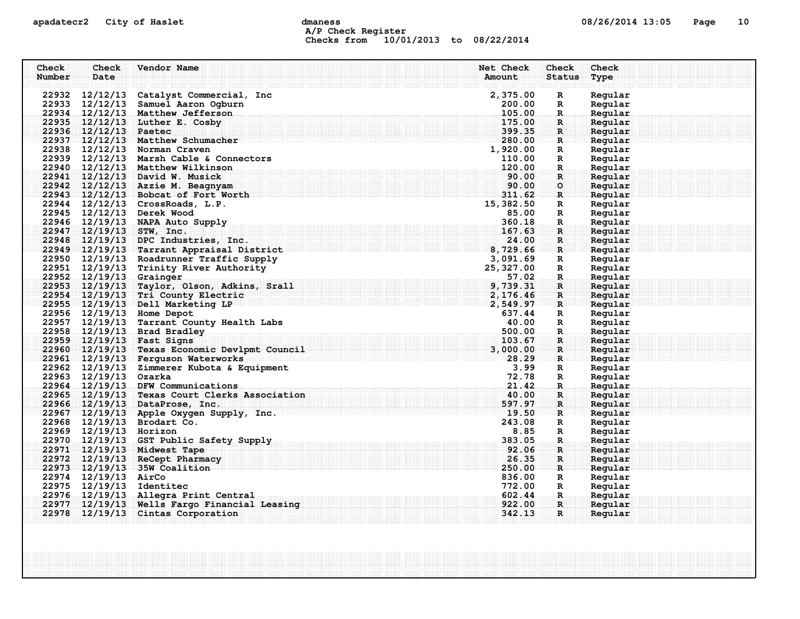# apadatecr2 City of Haslet control dmaness control dmaness control and the US/26/2014 13:05 Page 10 A/P Check Register Checks from 10/01/2013 to 08/22/2014

| Check<br>Number | Check<br>Date           | Vendor Name                                   | Net Check<br>Amount | Check<br><b>Status</b> | Check<br>Type      |
|-----------------|-------------------------|-----------------------------------------------|---------------------|------------------------|--------------------|
|                 |                         |                                               |                     |                        |                    |
|                 |                         | 22932 12/12/13 Catalyst Commercial, Inc       | 2,375.00            | $\mathbf R$            | Regular            |
|                 |                         | 22933 12/12/13 Samuel Aaron Ogburn            | 200.00              | $\mathbf R$            | Regular            |
|                 |                         | 22934 12/12/13 Matthew Jefferson              | 105.00              | $\mathbb{R}$           | Regular            |
|                 |                         | 22935 12/12/13 Luther E. Cosby                | 175.00              | $\mathbf R$            | Regular            |
|                 | 22936 12/12/13 Paetec   |                                               | 399.35              | $\mathbf{R}$           | Regular            |
|                 |                         | 22937 12/12/13 Matthew Schumacher             | 280.00              | $\mathbf R$            | Regular            |
|                 |                         | 22938 12/12/13 Norman Craven                  | 1,920.00            | R                      | Regular            |
|                 |                         | 22939 12/12/13 Marsh Cable & Connectors       | 110.00              | $\mathbb{R}$           | Regular            |
|                 |                         | 22940 12/12/13 Matthew Wilkinson              | 120.00              | $\mathbf{R}$           | Regular            |
|                 |                         | 22941 12/12/13 David W. Musick                | 90.00               | R                      | Regular            |
|                 |                         | 22942 12/12/13 Azzie M. Beagnyam              | 90.00               | $\circ$                | Reqular            |
|                 |                         | 22943 12/12/13 Bobcat of Fort Worth           | 311.62              | $\mathbf{R}$           | Regular            |
|                 |                         | 22944 12/12/13 CrossRoads, L.P.               | 15,382.50           | R                      | Regular            |
|                 |                         | 22945 12/12/13 Derek Wood                     | 85.00               | $\mathbf R$            | Regular            |
|                 |                         | 22946 12/19/13 NAPA Auto Supply               | 360.18              | $\mathbf R$            | Regular            |
|                 |                         | 22947 12/19/13 STW, Inc.                      | 167.63              | $\mathbf R$            | Regular            |
|                 |                         | 22948 12/19/13 DPC Industries, Inc.           | 24.00               | $\mathbf{R}$           | Regular            |
|                 |                         | 22949 12/19/13 Tarrant Appraisal District     | 8,729.66            | $\mathbf{R}$           | Reqular            |
|                 |                         | 22950 12/19/13 Roadrunner Traffic Supply      | 3,091.69            | R                      | Regular            |
|                 | 22952 12/19/13 Grainger | 22951 12/19/13 Trinity River Authority        | 25, 327.00<br>57.02 | R                      | Regular<br>Regular |
|                 |                         | 22953 12/19/13 Taylor, Olson, Adkins, Srall   | 9,739.31            | $\mathbf{R}$<br>R      | Regular            |
|                 |                         | 22954 12/19/13 Tri County Electric            | 2,176.46            | $\mathbf{R}$           | Regular            |
|                 |                         | 22955 12/19/13 Dell Marketing LP              | 2,549.97            | $\mathbf{R}$           | Regular            |
|                 |                         | 22956 12/19/13 Home Depot                     | 637.44              | R                      | Regular            |
|                 |                         | 22957 12/19/13 Tarrant County Health Labs     | 40.00               | R                      | Regular            |
|                 |                         | 22958 12/19/13 Brad Bradley                   | 500.00              | R.                     | Regular            |
|                 |                         | 22959 12/19/13 Fast Signs                     | 103.67              | R                      | Regular            |
|                 |                         | 22960 12/19/13 Texas Economic Devlpmt Council | 3,000.00            | $\mathbf{R}$           | Regular            |
|                 |                         | 22961 12/19/13 Ferquson Waterworks            | 28.29               | R                      | Reqular            |
|                 |                         | 22962 12/19/13 Zimmerer Kubota & Equipment    | 3.99                | R                      | Regular            |
|                 | 22963 12/19/13 Ozarka   |                                               | 72.78               | R                      | Regular            |
|                 |                         | 22964 12/19/13 DFW Communications             | 21.42               | $\mathbb{R}$           | Regular            |
|                 |                         | 22965 12/19/13 Texas Court Clerks Association | 40.00               | R                      | Regular            |
|                 |                         | 22966 12/19/13 DataProse, Inc.                | 597.97              | $\mathbf{R}$           | Reqular            |
|                 |                         | 22967 12/19/13 Apple Oxygen Supply, Inc.      | 19.50               | R                      | Regular            |
|                 |                         | 22968 12/19/13 Brodart Co.                    | 243.08              | R                      | Regular            |
|                 | 22969 12/19/13          | Horizon                                       | 8.85                | R                      | Regular            |
|                 | 22970 12/19/13          | GST Public Safety Supply                      | 383.05              | $\mathbf{R}$           | Regular            |
|                 |                         | 22971 12/19/13 Midwest Tape                   | 92.06               | R                      | Regular            |
|                 |                         | 22972 12/19/13 ReCept Pharmacy                | 26.35               | $\mathbf R$            | Regular            |
|                 |                         | 22973 12/19/13 35W Coalition                  | 250.00              | R                      | Regular            |
|                 | 22974 12/19/13 AirCo    |                                               | 836.00              | R                      | Regular            |
|                 |                         | 22975 12/19/13 Identitec                      | 772.00              | R                      | Regular            |
|                 |                         | 22976 12/19/13 Allegra Print Central          | 602.44              | R.                     | Regular            |
|                 |                         | 22977 12/19/13 Wells Fargo Financial Leasing  | 922.00              | $\mathbf{R}$           | Regular            |
|                 |                         | 22978 12/19/13 Cintas Corporation             | 342.13              | $\mathbf{R}$           | Regular            |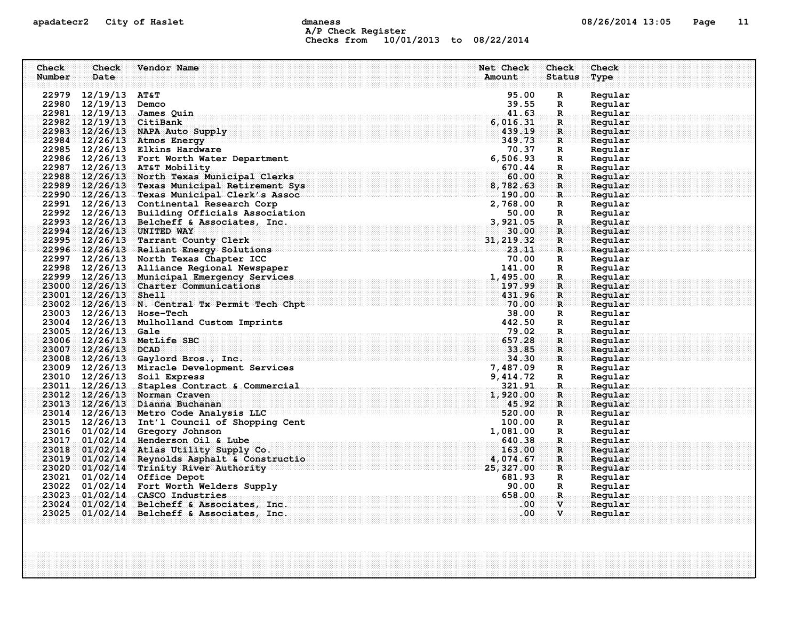### apadatecr2 City of Haslet control dmaness control dmaness control and the US/26/2014 13:05 Page 11 A/P Check Register Checks from 10/01/2013 to 08/22/2014

| Check  | Check                   | Vendor Name                                                                               | Net Check       | Check                                | Check              |
|--------|-------------------------|-------------------------------------------------------------------------------------------|-----------------|--------------------------------------|--------------------|
| Number | Date                    |                                                                                           | Amount          | <b>Status</b>                        | Type               |
|        | 22979 12/19/13 AT&T     |                                                                                           | 95.00           | $\mathbf R$                          | Regular            |
|        | 22980 12/19/13 Demco    |                                                                                           | 39.55           | R                                    | Regular            |
|        |                         | 22981 12/19/13 James Quin                                                                 | 41.63           | $\mathbf R$ .                        | Regular            |
|        | 22982 12/19/13 CitiBank |                                                                                           | 6,016.31        | $\mathbf R$ :                        | Regular            |
|        |                         | 22983 12/26/13 NAPA Auto Supply                                                           | 439.19          | $\mathbf{R}$                         | Regular            |
|        |                         | 22984 12/26/13 Atmos Energy                                                               | 349.73          | $\mathbf{R}$                         | Regular            |
|        |                         | 22985 12/26/13 Elkins Hardware                                                            | 70.37           | $\mathbf{R}$                         | Regular            |
|        |                         | 22986 12/26/13 Fort Worth Water Department                                                | 6,506.93        | R                                    | Regular            |
|        |                         | 22987 12/26/13 AT&T Mobility                                                              | 670.44          | $\mathbf R$ .                        | Regular            |
|        |                         | 22988 12/26/13 North Texas Municipal Clerks                                               | 60.00           | $\mathbf{R}$                         | Regular            |
|        |                         | 22989 12/26/13 Texas Municipal Retirement Sys                                             | 8,782.63        | $\mathbf R$                          | Regular            |
|        |                         | 22990 12/26/13 Texas Municipal Clerk's Assoc                                              | 190.00          | $\mathbf{R}$                         | Regular            |
|        |                         | 22991 12/26/13 Continental Research Corp                                                  | 2,768.00        | R                                    | Regular            |
|        |                         | 22992 12/26/13 Building Officials Association                                             | 50.00           | $\mathbb{R}$                         | Regular            |
|        |                         | 22993 12/26/13 Belcheff & Associates, Inc.                                                | 3,921.05        | R.                                   | Regular            |
|        |                         | 22994 12/26/13 UNITED WAY                                                                 | 30.00           | $\mathbf{R}$                         | Regular            |
|        |                         | 22995 12/26/13 Tarrant County Clerk                                                       | 31, 219.32      | $\mathbf{R}$                         | Regular            |
|        |                         | 22996 12/26/13 Reliant Energy Solutions                                                   | 23.11<br>70.00  | $\mathbf{R}$                         | Regular            |
|        |                         | 22997 12/26/13 North Texas Chapter ICC                                                    | 141.00          | $\mathbb{R}$                         | Regular            |
|        |                         | 22998 12/26/13 Alliance Regional Newspaper<br>22999 12/26/13 Municipal Emergency Services | 1,495.00        | R                                    | Regular<br>Regular |
|        |                         | 23000 12/26/13 Charter Communications                                                     | 197.99          | R.<br>R                              | Regular            |
|        | 23001 12/26/13 Shell    |                                                                                           | 431.96          | $\mathbf R$ :                        | Reqular            |
|        |                         | $23002$ $12/26/13$ N. Central Tx Permit Tech Chpt $70.00$                                 |                 | $\mathbf{R}$                         | Regular            |
|        |                         | 23003 12/26/13 Hose-Tech                                                                  | 38.00           | R                                    | Regular            |
|        |                         | 23004 12/26/13 Mulholland Custom Imprints                                                 | 442.50          | R                                    | Regular            |
|        | 23005 12/26/13 Gale     |                                                                                           | 79.02           | $\mathbf{R}$                         | Regular            |
|        |                         | 23006 12/26/13 MetLife SBC                                                                | 657.28          | $\mathbf R$ :                        | Regular            |
|        | 23007 12/26/13 DCAD     |                                                                                           | 33.85           | $\mathbf{R}$                         | Regular            |
|        |                         | 23008 12/26/13 Gaylord Bros., Inc.                                                        | 34.30           | $\mathbf{R}$                         | Regular            |
|        |                         | 23009 12/26/13 Miracle Development Services                                               | 7,487.09        | R                                    | Regular            |
|        |                         | 23010 12/26/13 Soil Express                                                               | 9, 414.72       | R                                    | Regular            |
|        |                         | 23011 12/26/13 Staples Contract & Commercial                                              | 321.91          | .R.                                  | Regular            |
|        |                         | 23012 12/26/13 Norman Craven                                                              | 1,920.00        | $\mathbf R$ :                        | Regular            |
|        |                         | 23013 12/26/13 Dianna Buchanan                                                            | 45.92           | $\mathbf{R}$                         | Regular            |
|        |                         | 23014 12/26/13 Metro Code Analysis LLC                                                    | 520.00          | $\mathbf{R}$                         | Reqular            |
|        |                         | 23015 12/26/13 Int'l Council of Shopping Cent                                             | 100.00          | R                                    | Regular            |
|        |                         | 23016 01/02/14 Gregory Johnson                                                            | 1,081.00        | R                                    | Regular            |
|        |                         | 23017 01/02/14 Henderson Oil & Lube                                                       | 640.38          | .R.                                  | Regular            |
|        |                         | 23018 01/02/14 Atlas Utility Supply Co.                                                   | 163.00          | $\mathbf R$                          | Regular            |
|        |                         | 23019 01/02/14 Reynolds Asphalt & Constructio                                             | 4,074.67        | $\mathbf{R}$                         | Regular            |
|        |                         | 23020 01/02/14 Trinity River Authority                                                    | 25,327.00       | $\mathbf{R}$                         | Regular            |
|        |                         | 23021 01/02/14 Office Depot                                                               | 681.93          | $\mathbf{R}$                         | Regular            |
|        |                         | 23022 01/02/14 Fort Worth Welders Supply<br>23023 01/02/14 CASCO Industries               | 90.00<br>658.00 | $\mathbf{R}$                         | Regular            |
|        |                         | 23024 01/02/14 Belcheff & Associates, Inc.                                                |                 | $\mathbf R$ .<br>.00<br>$\mathbf{v}$ | Regular<br>Reqular |
|        |                         | 23025 01/02/14 Belcheff & Associates, Inc.                                                |                 | .00<br>$\mathbf{v}$                  | Regular            |
|        |                         |                                                                                           |                 |                                      |                    |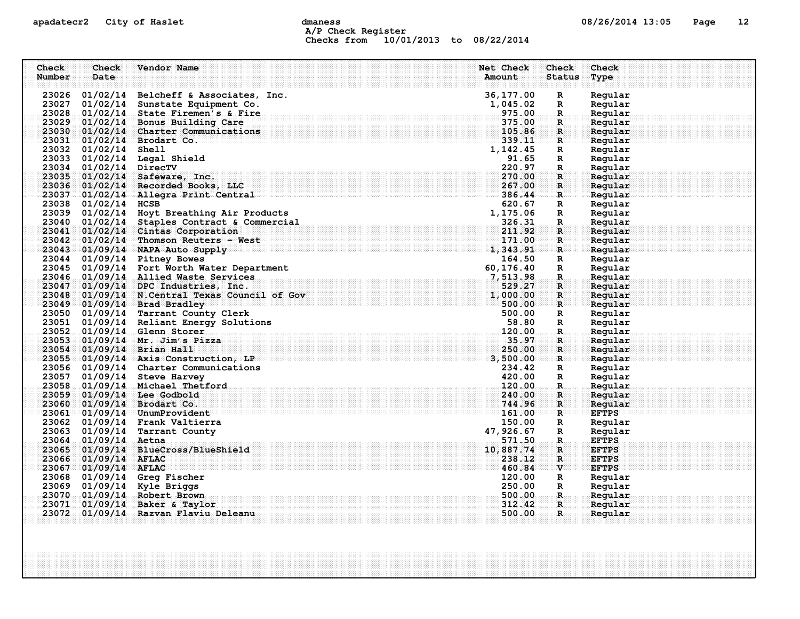# apadatecr2 City of Haslet compound dmaness compound the definition of the definition of the definition of the magne that the magne of the definition of the magnetic of the magnetic of the definition of the magnetic of the A/P Check Register Checks from 10/01/2013 to 08/22/2014

| Check  | Check                      | Vendor Name                                                                 | Net Check<br>Check         | Check                              |  |
|--------|----------------------------|-----------------------------------------------------------------------------|----------------------------|------------------------------------|--|
| Number | Date                       |                                                                             | Amount                     | Status<br>Type                     |  |
|        |                            |                                                                             |                            |                                    |  |
| 23026  |                            | 01/02/14 Belcheff & Associates, Inc.                                        | 36, 177.00<br>$\mathbf R$  | Regular                            |  |
|        | 23027 01/02/14             | Sunstate Equipment Co.                                                      | 1,045.02<br>975.00         | Regular<br>R<br>Regular            |  |
|        |                            | 23028 01/02/14 State Firemen's & Fire<br>23029 01/02/14 Bonus Building Care | 375.00                     | $\mathbb{R}$                       |  |
|        |                            | 23030 01/02/14 Charter Communications                                       | $\mathbf{R}$<br>105.86     | Regular                            |  |
|        |                            | 23031 01/02/14 Brodart Co.                                                  | 339.11                     | Regular<br>$\mathbf{R}$<br>Regular |  |
|        | 23032 01/02/14 Shell       |                                                                             | 1,142.45                   | R<br>Regular                       |  |
|        |                            | 23033 01/02/14 Legal Shield                                                 | R<br>91.65<br>R            | Regular                            |  |
|        | 23034 01/02/14 DirecTV     |                                                                             | 220.97<br>.R.              | Regular                            |  |
|        |                            | 23035 01/02/14 Safeware, Inc.                                               | 270.00<br>$\mathbf{R}$     | Regular                            |  |
|        |                            | 23036 01/02/14 Recorded Books, LLC                                          | 267.00<br>$\mathbf{R}$     | Reqular                            |  |
|        |                            | 23037 01/02/14 Allegra Print Central                                        | 386.44                     | $\mathbf{R}$<br>Regular            |  |
|        | 23038 01/02/14 HCSB        |                                                                             | 620.67<br>R                | Regular                            |  |
|        |                            | 23039 01/02/14 Hoyt Breathing Air Products                                  | 1,175.06<br>$\mathbb{R}$   | Regular                            |  |
|        |                            | 23040 01/02/14 Staples Contract & Commercial                                | 326.31<br>$\mathbf{R}$     | Regular                            |  |
|        |                            | 23041 01/02/14 Cintas Corporation                                           | 211.92<br>$\mathbf{R}$     | Regular                            |  |
|        |                            | $23042$ 01/02/14 Thomson Reuters - West                                     | 171.00<br>R                | Regular                            |  |
|        |                            | $23043$ 01/09/14 NAPA Auto Supply                                           | 1,343.91                   | $\mathbf{R}$<br>Regular            |  |
|        |                            | 23044 01/09/14 Pitney Bowes                                                 | 164.50                     | $\mathbf R$<br>Regular             |  |
|        |                            | 23045 01/09/14 Fort Worth Water Department                                  | 60,176.40                  | Regular<br>$\mathbf{R}$            |  |
|        |                            | 23046 01/09/14 Allied Waste Services                                        | 7,513.98                   | Regular<br>$\mathbf R$             |  |
|        |                            | 23047 01/09/14 DPC Industries, Inc.                                         | 529.27<br>R                | Regular                            |  |
|        |                            | 23048 01/09/14 N. Central Texas Council of Gov                              | 1,000.00                   | $\mathbf{R}$<br>Regular            |  |
|        |                            | 23049 01/09/14 Brad Bradley                                                 | 500.00<br>$\mathbf R$      | Regular                            |  |
|        |                            | 23050 01/09/14 Tarrant County Clerk                                         | 500.00<br>R                | Regular                            |  |
|        |                            | 23051 01/09/14 Reliant Energy Solutions                                     | 58.80<br>R                 | Regular                            |  |
|        |                            | 23052 01/09/14 Glenn Storer                                                 | 120.00<br>R.               | Regular                            |  |
| 23053  |                            | $01/09/14$ Mr. Jim's Pizza                                                  | 35.97<br>$\mathbf R$       | Regular                            |  |
|        | 23054 01/09/14 Brian Hall  |                                                                             | 250.00<br>$\mathbf{R}$     | Regular                            |  |
|        |                            | $23055$ 01/09/14 Axis Construction, LP                                      | 3,500.00<br>R              | Regular                            |  |
|        |                            | 23056 01/09/14 Charter Communications                                       | 234.42                     | Regular<br>R                       |  |
|        |                            | 23057 01/09/14 Steve Harvey                                                 | 420.00                     | Regular<br>$\mathbf{R}$            |  |
|        |                            | 23058 01/09/14 Michael Thetford                                             | 120.00                     | Regular<br>$\mathbf{R}$            |  |
|        |                            | 23059 01/09/14 Lee Godbold                                                  | 240.00<br>R                | Regular                            |  |
|        | 23060 01/09/14 Brodart Co. |                                                                             | 744.96<br>$\mathbf{R}$     | Regular                            |  |
|        |                            | $23061$ 01/09/14 UnumProvident                                              | 161.00                     | <b>EFTPS</b><br>$\mathbf{R}$       |  |
|        |                            | 23062 01/09/14 Frank Valtierra                                              | 150.00<br>$\mathbf R$      | Regular                            |  |
|        |                            | 23063 01/09/14 Tarrant County                                               | 47, 926.67<br>$\mathbb{R}$ | Regular                            |  |
|        | 23064 01/09/14 Aetna       |                                                                             | 571.50<br>$\mathbf{R}$     | <b>EFTPS</b>                       |  |
|        |                            | 23065 01/09/14 BlueCross/BlueShield                                         | 10,887.74<br>$\mathbf{R}$  | <b>EFTPS</b>                       |  |
|        | 23066 01/09/14 AFLAC       |                                                                             | 238.12<br>$\mathbf{R}$     | <b>EFTPS</b>                       |  |
|        | 23067 01/09/14 AFLAC       |                                                                             | 460.84                     | v<br><b>EFTPS</b>                  |  |
|        |                            | 23068 01/09/14 Greg Fischer                                                 | 120.00<br>$\mathbb{R}$     | Regular                            |  |
|        |                            | 23069 01/09/14 Kyle Briggs                                                  | 250.00<br>$\mathbb{R}$     | Regular                            |  |
|        |                            | 23070 01/09/14 Robert Brown                                                 | 500.00<br>R.               | Reqular                            |  |
| 23071  |                            | $01/09/14$ Baker & Taylor                                                   | 312.42<br>$\mathbf{R}$     | Reqular                            |  |
| 23072  |                            | 01/09/14 Razvan Flaviu Deleanu                                              | 500.00<br>$\mathbf{R}$     | Regular                            |  |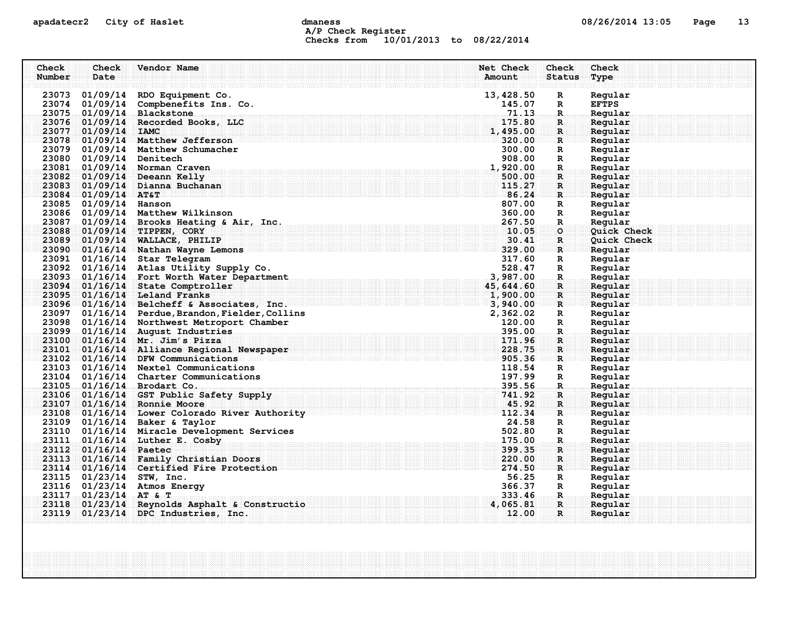# apadatecr2 City of Haslet control dmaness control dmaness control control of the defense of the definition of the definition of the definition of the definition of the definition of the definition of the definition of the A/P Check Register Checks from 10/01/2013 to 08/22/2014

| Check  | Check                   | Vendor Name                                                                                                                                                                                                                              | Net Check       | Check             | Check                         |
|--------|-------------------------|------------------------------------------------------------------------------------------------------------------------------------------------------------------------------------------------------------------------------------------|-----------------|-------------------|-------------------------------|
| Number | Date                    |                                                                                                                                                                                                                                          | Amount          | <b>Status</b>     | Type                          |
|        |                         |                                                                                                                                                                                                                                          |                 |                   |                               |
|        |                         | 23073 01/09/14 RDO Equipment Co.                                                                                                                                                                                                         | 13,428.50       | $\mathbb{R}$      | Regular                       |
|        |                         | 23074 01/09/14 Compbenefits Ins. Co.                                                                                                                                                                                                     | 145.07          | $\mathbf{R}$      | <b>EFTPS</b>                  |
|        |                         | 23075 01/09/14 Blackstone                                                                                                                                                                                                                | 71.13           | $\mathbb{R}$      | Regular                       |
|        |                         | 23076 01/09/14 Recorded Books, LLC                                                                                                                                                                                                       | 175.80          | $\mathbf{R}$      | Regular                       |
|        | 23077 01/09/14 IAMC     |                                                                                                                                                                                                                                          | 1,495.00        | R                 | Regular                       |
|        |                         | 23078 01/09/14 Matthew Jefferson                                                                                                                                                                                                         | 320.00          | $\mathbf{R}$      | Regular                       |
|        |                         | 23079 01/09/14 Matthew Schumacher                                                                                                                                                                                                        | 300.00          | $\mathbf{R}$      | Regular                       |
|        | 23080 01/09/14 Denitech |                                                                                                                                                                                                                                          | 908.00          | $\mathbf{R}$      | Regular                       |
|        |                         | 23081 01/09/14 Norman Craven                                                                                                                                                                                                             | 1,920.00        | $\mathbf R$ .     | Regular                       |
|        |                         | 23082 01/09/14 Deeann Kelly                                                                                                                                                                                                              | 500.00          | R                 | Regular                       |
|        |                         | 23083 01/09/14 Dianna Buchanan                                                                                                                                                                                                           | 115.27          | R                 | Regular                       |
|        | 23084 01/09/14 AT&T     |                                                                                                                                                                                                                                          | 86.24           | $\mathbf R$       | Regular                       |
|        | 23085 01/09/14 Hanson   |                                                                                                                                                                                                                                          | 807.00          | $\mathbf{R}$      | Regular                       |
|        |                         | 23086 01/09/14 Matthew Wilkinson                                                                                                                                                                                                         | 360.00          | $\mathbb{R}$      | Regular                       |
|        |                         | 23087 01/09/14 Brooks Heating & Air, Inc.                                                                                                                                                                                                | 267.50<br>10.05 | $\mathbf R$       | Regular<br><b>Quick Check</b> |
|        |                         | 23088 01/09/14 TIPPEN, CORY<br>23089 01/09/14 WALLACE, PHILIP                                                                                                                                                                            | 30.41           | $\circ$           | Quick Check                   |
|        |                         | 23090 01/16/14 Nathan Wayne Lemons                                                                                                                                                                                                       | 329.00          | R<br>$\mathbf{R}$ | Regular                       |
|        |                         | 23091 01/16/14 Star Telegram                                                                                                                                                                                                             | 317.60          | $\mathbb{R}$      | Regular                       |
|        |                         |                                                                                                                                                                                                                                          |                 | $\mathbb{R}$      | Regular                       |
|        |                         |                                                                                                                                                                                                                                          |                 | $\mathbf R$       | Regular                       |
|        |                         | 23091 01/16/14 Star Telegram<br>23092 01/16/14 Atlas Utility Supply Co. 528.47<br>23093 01/16/14 Fort Worth Water Department<br>23094 01/16/14 State Comptroller<br>23095 01/16/14 Leland Franks<br>23096 01/16/14 Belcheff & Associates |                 | R                 | Regular                       |
|        |                         |                                                                                                                                                                                                                                          |                 | $\mathbf{R}$      | Regular                       |
|        |                         |                                                                                                                                                                                                                                          |                 | $\mathbf{R}$      | Regular                       |
|        |                         | 23097 01/16/14 Perdue, Brandon, Fielder, Collins                                                                                                                                                                                         | 2,362.02        | R                 | Regular                       |
|        |                         | 23098 01/16/14 Northwest Metroport Chamber                                                                                                                                                                                               | 120.00          | $\mathbb{R}$      | Regular                       |
|        |                         |                                                                                                                                                                                                                                          | 395.00          | $\mathbf R$       | Regular                       |
|        |                         | 23100 01/16/14 Mr. Jim's Pizza                                                                                                                                                                                                           | 171.96          | R                 | Regular                       |
|        |                         | 23101 01/16/14 Alliance Regional Newspaper                                                                                                                                                                                               | 228.75          | $\mathbf{R}$      | Regular                       |
|        |                         | 23102 01/16/14 DFW Communications                                                                                                                                                                                                        | 905.36          | $\mathbf{R}$      | Regular                       |
|        |                         | 23103 01/16/14 Nextel Communications                                                                                                                                                                                                     | 118.54          | $\mathbb{R}$      | Regular                       |
|        |                         | 23104 01/16/14 Charter Communications                                                                                                                                                                                                    | 197.99          | $\mathbb{R}$      | Regular                       |
|        |                         | 23105 01/16/14 Brodart Co.                                                                                                                                                                                                               | 395.56          | $\mathbf R$ .     | Regular                       |
|        |                         | 23106 01/16/14 GST Public Safety Supply                                                                                                                                                                                                  | 741.92          | R                 | Regular                       |
|        |                         | 23107 01/16/14 Ronnie Moore                                                                                                                                                                                                              | 45.92           | $\mathbf{R}$      | Regular                       |
|        |                         | 23108 01/16/14 Lower Colorado River Authority 2010 2010                                                                                                                                                                                  | 112.34          | $\mathbf R$       | Regular                       |
|        |                         | 23109 01/16/14 Baker & Taylor                                                                                                                                                                                                            | 24.58           | $\mathbb{R}$      | Regular                       |
|        |                         | 23110 01/16/14 Miracle Development Services                                                                                                                                                                                              | 502.80          | R                 | Regular                       |
|        |                         | 23111 01/16/14 Luther E. Cosby                                                                                                                                                                                                           | 175.00          | $\mathbf R$       | Regular                       |
|        | 23112 01/16/14 Paetec   |                                                                                                                                                                                                                                          | 399.35          | $\mathbf{R}$      | Regular                       |
|        |                         | 23113 01/16/14 Family Christian Doors                                                                                                                                                                                                    | 220.00          | $\mathbf R$       | Regular                       |
|        |                         | 23114 01/16/14 Certified Fire Protection                                                                                                                                                                                                 | 274.50          | $\mathbf{R}$      | Regular                       |
|        |                         | 23115 01/23/14 STW, Inc.                                                                                                                                                                                                                 | 56.25           | $\mathbf{R}$      | Regular                       |
|        |                         | 23116 01/23/14 Atmos Energy                                                                                                                                                                                                              | 366.37          | $\mathbf R$       | Regular                       |
|        | 23117 01/23/14 AT & T   |                                                                                                                                                                                                                                          | 333.46          | .R.               | Regular                       |
|        |                         | 23118 01/23/14 Reynolds Asphalt & Constructio                                                                                                                                                                                            | 4,065.81        | $\mathbf{R}$      | Reqular                       |
|        |                         | 23119 01/23/14 DPC Industries, Inc.                                                                                                                                                                                                      | 12.00           | $\mathbf{R}$      | Regular                       |
|        |                         |                                                                                                                                                                                                                                          |                 |                   |                               |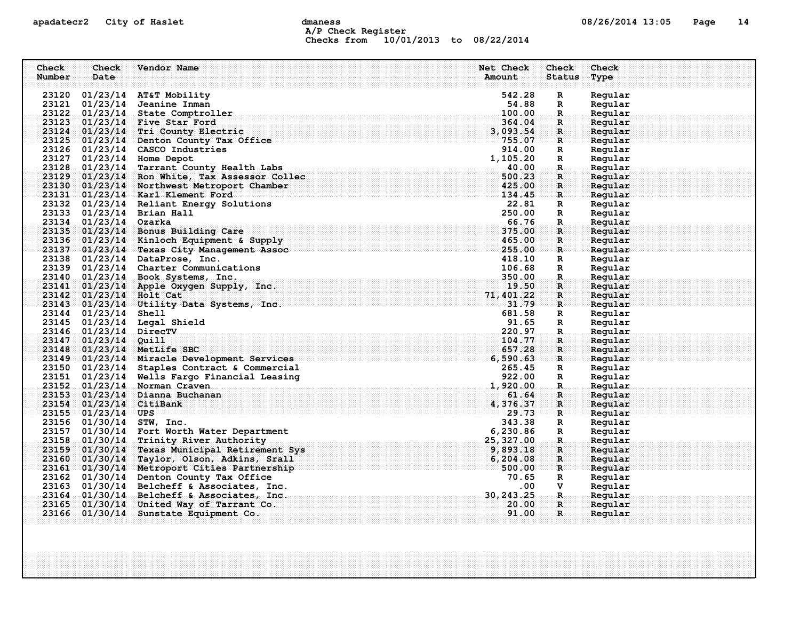## apadatecr2 City of Haslet dmaness dmaness and the control of the 14 A/P Check Register Checks from 10/01/2013 to 08/22/2014

| Check<br>Number | Check<br>Date            | Vendor Name                                   | Net Check<br>Amount | Check<br><b>Status</b> | Check<br>Type      |
|-----------------|--------------------------|-----------------------------------------------|---------------------|------------------------|--------------------|
|                 |                          |                                               |                     |                        |                    |
|                 |                          | 23120 01/23/14 AT&T Mobility                  | 542.28              | $\mathbf R$            | Regular            |
|                 |                          | 23121 01/23/14 Jeanine Inman                  | 54.88               | $\mathbb{R}$           | Regular            |
|                 |                          | 23122 01/23/14 State Comptroller              | 100.00              | R.                     | Regular            |
|                 |                          | 23123 01/23/14 Five Star Ford                 | 364.04              | R                      | Regular            |
| 23124           |                          | 01/23/14 Tri County Electric                  | 3,093.54            | $\mathbf{R}$           | Regular            |
|                 |                          | 23125 01/23/14 Denton County Tax Office       | 755.07              | $\mathbf{R}$           | Regular            |
|                 |                          | 23126 01/23/14 CASCO Industries               | 914.00              | $\mathbb{R}$           | Regular            |
|                 |                          | 23127 01/23/14 Home Depot                     | 1,105.20            | R                      | Regular            |
|                 |                          | 23128 01/23/14 Tarrant County Health Labs     | 40.00               | R.                     | Regular            |
|                 |                          | 23129 01/23/14 Ron White, Tax Assessor Collec | 500.23              | R                      | Regular            |
| 23130           |                          | 01/23/14 Northwest Metroport Chamber          | 425.00              | $\mathbf R$            | Reqular            |
|                 |                          | 23131 01/23/14 Karl Klement Ford              | 134.45              | $\mathbf{R}$           | Regular            |
|                 |                          | 23132 01/23/14 Reliant Energy Solutions       | 22.81               | R                      | Regular            |
|                 | 23134 01/23/14 Ozarka    | 23133 01/23/14 Brian Hall                     | 250.00<br>66.76     | R                      | Regular            |
|                 |                          | 23135 01/23/14 Bonus Building Care            | 375.00              | R.                     | Regular            |
| 23136           |                          | 01/23/14 Kinloch Equipment & Supply           | 465.00              | $\mathbf{R}$<br>R      | Regular            |
|                 |                          | 23137 01/23/14 Texas City Management Assoc    | 255.00              | $\mathbf{R}$           | Regular<br>Regular |
|                 |                          | 23138 01/23/14 DataProse, Inc.                | 418.10              | R                      | Regular            |
|                 |                          | 23139 01/23/14 Charter Communications         | 106.68              | R                      | Regular            |
|                 |                          | 23140 01/23/14 Book Systems, Inc.             | 350.00              | R.                     | Regular            |
|                 |                          | 23141 01/23/14 Apple Oxygen Supply, Inc.      | 19.50               | $\mathbf R$            | Regular            |
|                 | 23142 01/23/14 Holt Cat  |                                               | 71,401.22           | R                      | Regular            |
|                 |                          | 23143 01/23/14 Utility Data Systems, Inc.     | 31.79               | $\mathbf{R}$           | Regular            |
|                 | 23144 01/23/14           | Shell                                         | 681.58              | R                      | Regular            |
|                 |                          | 23145 01/23/14 Legal Shield                   | 91.65               | $\mathbb{R}$           | Regular            |
|                 | 23146 01/23/14 DirecTV   |                                               | 220.97              | $\mathbf{R}$           | Regular            |
| 23147           | $01/23/14$ Quill         |                                               | 104.77              | R                      | Regular            |
|                 |                          | 23148 01/23/14 MetLife SBC                    | 657.28              | $\mathbf{R}$           | Regular            |
|                 |                          | 23149 01/23/14 Miracle Development Services   | 6,590.63            | $\mathbf{R}$ .         | Reqular            |
|                 |                          | 23150 01/23/14 Staples Contract & Commercial  | 265.45              | R                      | Regular            |
|                 |                          | 23151 01/23/14 Wells Fargo Financial Leasing  | 922.00              | $\mathbf R$            | Regular            |
|                 |                          | 23152 01/23/14 Norman Craven                  | 1,920.00            | $\mathbf R$            | Regular            |
|                 |                          | 23153 01/23/14 Dianna Buchanan                | 61.64               | $\mathbf R$ :          | Regular            |
| 23154           | $01/23/14$ CitiBank      |                                               | 4,376.37            | $\mathbf{R}$           | Regular            |
|                 | $23155$ 01/23/14 UPS     |                                               | 29.73               | $\mathbf{R}$           | Reqular            |
|                 | 23156 01/30/14 STW, Inc. |                                               | 343.38              | R                      | Regular            |
|                 |                          | 23157 01/30/14 Fort Worth Water Department    | 6,230.86            | R                      | Regular            |
| 23158           |                          | 01/30/14 Trinity River Authority              | 25, 327.00          | $\mathbf{R}$           | Regular            |
| 23159           |                          | 01/30/14 Texas Municipal Retirement Sys       | 9,893.18            | $\mathbf{R}$           | Regular            |
| 23160           |                          | 01/30/14 Taylor, Olson, Adkins, Srall         | 6, 204.08           | $\mathbf{R}$           | Regular            |
|                 |                          | 23161 01/30/14 Metroport Cities Partnership   | 500.00              | $\mathbf R$            | Regular            |
|                 |                          | 23162 01/30/14 Denton County Tax Office       | 70.65               | R                      | Regular            |
|                 |                          | 23163 01/30/14 Belcheff & Associates, Inc.    | $.00 \,$            | v                      | Regular            |
|                 |                          | 23164 01/30/14 Belcheff & Associates, Inc.    | 30, 243. 25         | $\mathbf{R}$ .         | Regular            |
| 23165           |                          | 01/30/14 United Way of Tarrant Co.            | 20.00               | R                      | Regular            |
|                 |                          | 23166 01/30/14 Sunstate Equipment Co.         | 91.00               | $\mathbf{R}$           | Regular            |
|                 |                          |                                               |                     |                        |                    |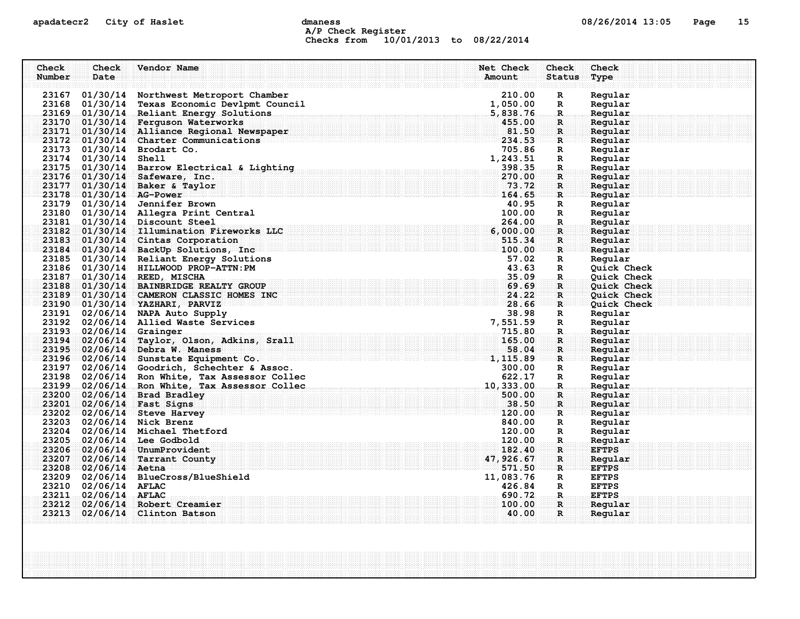# apadatecr2 City of Haslet and dmaness dmaness and the 08/26/2014 13:05 Page 15 A/P Check Register Checks from 10/01/2013 to 08/22/2014

| Check<br>Number | Check<br>Date           | Vendor Name                                                                                                                      | Net Check<br>Check<br>Amount<br><b>Status</b>                                                                                                        | Check<br>Type      |  |
|-----------------|-------------------------|----------------------------------------------------------------------------------------------------------------------------------|------------------------------------------------------------------------------------------------------------------------------------------------------|--------------------|--|
|                 |                         | 23167 01/30/14 Northwest Metroport Chamber                                                                                       | 210.00<br>R                                                                                                                                          | Regular            |  |
|                 |                         | 23168 01/30/14 Texas Economic Devlpmt Council                                                                                    | 1,050.00<br>$\mathbf R$                                                                                                                              | Regular            |  |
|                 |                         | 23169 01/30/14 Reliant Energy Solutions                                                                                          | 5,838.76<br>$\mathbb{R}$                                                                                                                             | Regular            |  |
|                 |                         | 23170 01/30/14 Ferguson Waterworks                                                                                               | 455.00<br>$\mathbf{R}$                                                                                                                               | Regular            |  |
|                 |                         | 23171 01/30/14 Alliance Regional Newspaper                                                                                       | 81.50<br>$\mathbf{R}$                                                                                                                                | Regular            |  |
|                 |                         | 23172 01/30/14 Charter Communications                                                                                            | 234.53<br>$\mathbf{R}$                                                                                                                               | Regular            |  |
|                 |                         | 23173 01/30/14 Brodart Co.                                                                                                       | 705.86<br>$\mathbf R$                                                                                                                                | Regular            |  |
|                 | 23174 01/30/14 Shell    |                                                                                                                                  | 1,243.51<br>R                                                                                                                                        | Regular            |  |
|                 |                         | 23175 01/30/14 Barrow Electrical & Lighting                                                                                      | 398.35<br>$\mathbf{R}$                                                                                                                               | Regular            |  |
|                 |                         | 23176 01/30/14 Safeware, Inc.                                                                                                    | 270.00<br>$\mathbf{R}$                                                                                                                               | Regular            |  |
|                 |                         | 23177 01/30/14 Baker & Taylor                                                                                                    | 73.72<br>$\mathbf{R}$                                                                                                                                | Reqular            |  |
|                 | 23178 01/30/14 AG-Power |                                                                                                                                  | 164.65<br>$\mathbf{R}$                                                                                                                               | Regular            |  |
|                 |                         | 23179 01/30/14 Jennifer Brown                                                                                                    | 40.95<br>$\mathbb{R}$                                                                                                                                | Regular            |  |
|                 |                         | 23180 01/30/14 Allegra Print Central                                                                                             | 100.00<br>R                                                                                                                                          | Regular            |  |
|                 |                         | 23181 01/30/14 Discount Steel                                                                                                    | 264.00<br>$\mathbf R$                                                                                                                                | Regular            |  |
|                 |                         | 23182 01/30/14 Illumination Fireworks LLC                                                                                        | 6,000.00<br>$\mathbf{R}$                                                                                                                             | Regular            |  |
|                 |                         | 23183 01/30/14 Cintas Corporation                                                                                                | 515.34<br>$\mathbf{R}$                                                                                                                               | Regular            |  |
|                 |                         | 23184 01/30/14 BackUp Solutions, Inc                                                                                             | . Too , oo and the set of the set of the set of $\mathbf{100}$ , $\mathbf{00}$ and $\mathbf{100}$ , $\mathbf{00}$<br>$\mathbf{R}$ . The $\mathbf{R}$ | Regular            |  |
|                 |                         | 23185 01/30/14 Reliant Energy Solutions                                                                                          | 57.02<br>R                                                                                                                                           | Regular            |  |
|                 |                         | 23186 01/30/14 HILLWOOD PROP-ATTN: PM                                                                                            | 43.63<br>R                                                                                                                                           | Quick Check        |  |
|                 |                         | 23187 01/30/14 REED, MISCHA                                                                                                      | $\frac{35.09}{69.69}$<br>$\mathbf R$                                                                                                                 | Quick Check        |  |
|                 |                         | 23188 01/30/14 BAINBRIDGE REALTY GROUP                                                                                           | $\mathbf R$                                                                                                                                          | <b>Ouick Check</b> |  |
|                 |                         | 23189 01/30/14 CAMERON CLASSIC HOMES INC                                                                                         | 24.22<br>$\mathbf{R}$                                                                                                                                | Quick Check        |  |
|                 |                         | 23190 01/30/14 YAZHARI, PARVIZ                                                                                                   | 28.66<br>$\mathbf{R}$                                                                                                                                | Quick Check        |  |
|                 |                         | 23191 02/06/14 NAPA Auto Supply                                                                                                  | 38.98<br>R                                                                                                                                           | Regular            |  |
|                 |                         | 23192 02/06/14 Allied Waste Services                                                                                             | 7,551.59<br>R                                                                                                                                        | Regular            |  |
|                 |                         |                                                                                                                                  | $\mathbf{R}_{\odot}$                                                                                                                                 | Regular            |  |
|                 |                         | 7, 331.39 (1, 351.39)<br>23194 02/06/14 Taylor, Olson, Adkins, Srall<br>23195 02/06/14 Detail (1, 2000) Adkins, Srall            | $\mathbf{R}$                                                                                                                                         | Regular            |  |
|                 |                         | 23194 02/06/14 Taylor, Olson, Adkins, Srall<br>23195 02/06/14 Debra W. Maness<br>23196 02/06/14 Sunstate Equipment Co. 1, 115.89 | $\mathbf{R}$                                                                                                                                         | Regular            |  |
|                 |                         |                                                                                                                                  | ः R                                                                                                                                                  | Regular            |  |
|                 |                         | 23197 02/06/14 Goodrich, Schechter & Assoc.                                                                                      | 300.00<br>$\mathbf R$                                                                                                                                | Regular            |  |
|                 |                         | 23198 02/06/14 Ron White, Tax Assessor Collec                                                                                    | 622.17<br>R<br>622 . 17<br>10, 333 . 00.                                                                                                             | Regular            |  |
|                 |                         | 23199 02/06/14 Ron White, Tax Assessor Collec                                                                                    | $\mathbf{R}$                                                                                                                                         | Regular            |  |
|                 |                         | 23200 02/06/14 Brad Bradley                                                                                                      | 500.00<br>$\mathbf R$                                                                                                                                | Reqular            |  |
|                 |                         | 23201 02/06/14 Fast Signs                                                                                                        | 38.50<br>$\mathbf{R}$                                                                                                                                | Regular            |  |
|                 |                         | 23202 02/06/14 Steve Harvey                                                                                                      | 120.00<br>$\mathbf{R}$                                                                                                                               | Regular            |  |
|                 |                         | 23203 02/06/14 Nick Brenz                                                                                                        | 840.00<br>$\mathbb{R}$                                                                                                                               | Regular            |  |
|                 |                         | 23204 02/06/14 Michael Thetford                                                                                                  | 120.00<br>R                                                                                                                                          | Regular            |  |
|                 |                         | 23205 02/06/14 Lee Godbold                                                                                                       | 120.00<br>$\mathbf{R}$                                                                                                                               | Regular            |  |
|                 |                         | 23206 02/06/14 UnumProvident                                                                                                     | 182.40<br>$\mathbf{R}$                                                                                                                               | <b>EFTPS</b>       |  |
|                 |                         | 23207 02/06/14 Tarrant County                                                                                                    | 47,926.67<br>$\mathbf{R}$                                                                                                                            | Regular            |  |
|                 | 23208 02/06/14 Aetna    |                                                                                                                                  | 571.50<br>$\mathbf{R}$                                                                                                                               | <b>EFTPS</b>       |  |
|                 |                         | 23209 02/06/14 BlueCross/BlueShield                                                                                              | 11,083.76<br>$\mathbf{R}$                                                                                                                            | <b>EFTPS</b>       |  |
|                 | 23210 02/06/14 AFLAC    |                                                                                                                                  | 426.84<br>$\mathbf R$                                                                                                                                | <b>EFTPS</b>       |  |
|                 | 23211 02/06/14 AFLAC    |                                                                                                                                  | 690.72<br>$\mathbf{R}_\odot$                                                                                                                         | <b>EFTPS</b>       |  |
|                 |                         | 23212 02/06/14 Robert Creamier                                                                                                   | 100.00<br>$\mathbf{R}$                                                                                                                               | Reqular            |  |
|                 |                         | 23213 02/06/14 Clinton Batson                                                                                                    | 40.00<br>$\mathbf{R}$                                                                                                                                | Regular            |  |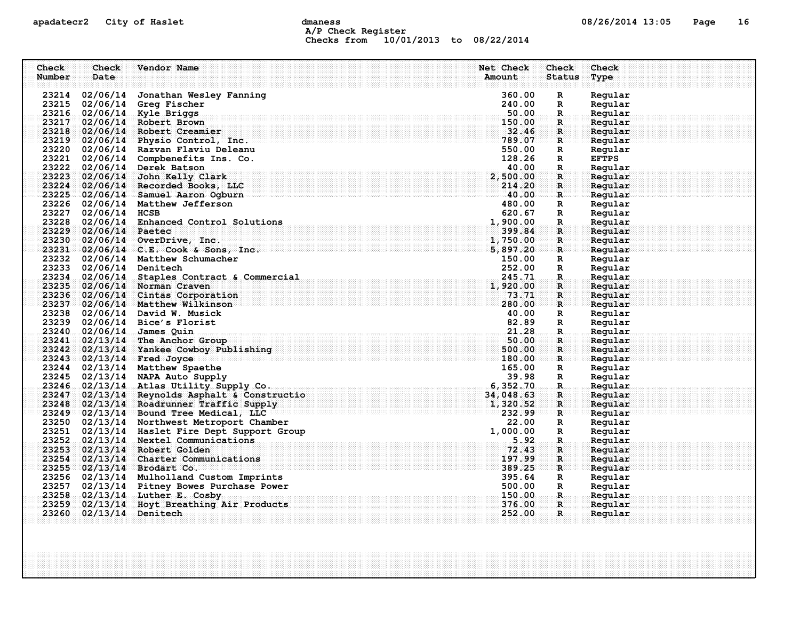## apadatecr2 City of Haslet dmaness dmanness and the US/26/2014 13:05 Page 16 A/P Check Register Checks from 10/01/2013 to 08/22/2014

| Check  | Check                   | Vendor Name                                   | Net Check | Check                                  | Check        |
|--------|-------------------------|-----------------------------------------------|-----------|----------------------------------------|--------------|
| Number | Date                    |                                               | Amount    | <b>Status</b>                          | Type         |
|        |                         |                                               |           |                                        |              |
|        | 23214 02/06/14          | Jonathan Wesley Fanning                       | 360.00    | R                                      | Regular      |
|        | 23215 02/06/14          | Greg Fischer                                  | 240.00    | R                                      | Regular      |
|        |                         | 23216 02/06/14 Kyle Briggs                    | 50.00     | R.                                     | Regular      |
|        |                         | 23217 02/06/14 Robert Brown                   | 150.00    | $\mathbf R$ :                          | Regular      |
|        |                         | 23218 02/06/14 Robert Creamier                | 32.46     | R                                      | Regular      |
|        |                         | 23219 02/06/14 Physio Control, Inc.           | 789.07    | $\mathbf{R}$                           | Regular      |
|        |                         | 23220 02/06/14 Razvan Flaviu Deleanu          | 550.00    | $\mathbb{R}$                           | Regular      |
|        |                         | 23221 02/06/14 Compbenefits Ins. Co.          | 128.26    | $\mathbb{R}$                           | <b>EFTPS</b> |
|        |                         | 23222 02/06/14 Derek Batson                   | 40.00     | $\mathbf R$ .                          | Regular      |
|        |                         | 23223 02/06/14 John Kelly Clark               | 2,500.00  | R                                      | Regular      |
|        |                         | 23224 02/06/14 Recorded Books, LLC            | 214.20    | R                                      | Regular      |
|        |                         | 23225 02/06/14 Samuel Aaron Ogburn            | 40.00     | R                                      | Regular      |
|        |                         | 23226 02/06/14 Matthew Jefferson              | 480.00    | $\mathbf R$                            | Regular      |
|        | 23227 02/06/14 HCSB     |                                               | 620.67    | $\mathbb{R}$                           | Regular      |
|        |                         | 23228 02/06/14 Enhanced Control Solutions     | 1,900.00  | R.                                     | Regular      |
|        | 23229 02/06/14 Paetec   |                                               | 399.84    | $\mathbf{R}$                           | Regular      |
|        |                         | 23230 02/06/14 OverDrive, Inc.                | 1,750.00  | R                                      | Regular      |
|        |                         | 23231 02/06/14 $C.E.$ Cook & Sons, Inc.       | 5,897.20  | $\mathbf{R}$ . The set of $\mathbf{R}$ | Reqular      |
|        |                         | 23232 02/06/14 Matthew Schumacher             | 150.00    | R                                      | Regular      |
|        | 23233 02/06/14 Denitech |                                               | 252.00    | R                                      | Regular      |
|        |                         | 23234 02/06/14 Staples Contract & Commercial  | 245.71    | $\mathbf R$ .                          | Regular      |
|        |                         | 23235 02/06/14 Norman Craven                  | 1,920.00  | R                                      | Regular      |
|        |                         | 23236 02/06/14 Cintas Corporation             | 73.71     | $\mathbf{R}$                           | Regular      |
|        |                         | 23237 02/06/14 Matthew Wilkinson              | 280.00    | R                                      | Regular      |
|        |                         | 23238 02/06/14 David W. Musick                | 40.00     | R                                      | Regular      |
|        |                         | 23239 02/06/14 Bice's Florist                 | 82.89     | $\mathbb{R}$                           | Regular      |
|        |                         | 23240 02/06/14 James Quin                     | 21.28     | $\mathbf{R}$                           | Regular      |
|        |                         | 23241 02/13/14 The Anchor Group               | 50.00     | R.                                     | Regular      |
|        |                         | 23242 02/13/14 Yankee Cowboy Publishing       | 500.00    | $\mathbf{R}$                           | Regular      |
|        |                         | 23243 02/13/14 Fred Joyce                     | 180.00    | R                                      | Regular      |
|        |                         | 23244 02/13/14 Matthew Spaethe                | 165.00    | R                                      | Regular      |
|        |                         | 23245 02/13/14 NAPA Auto Supply               | 39.98     | R                                      | Regular      |
|        |                         | 23246 02/13/14 Atlas Utility Supply Co.       | 6,352.70  | R.                                     | Regular      |
|        |                         | 23247 02/13/14 Reynolds Asphalt & Constructio | 34,048.63 | R                                      | Regular      |
|        |                         | 23248 02/13/14 Roadrunner Traffic Supply      | 1,320.52  | $\mathbf{R}$                           | Regular      |
|        |                         | 23249 02/13/14 Bound Tree Medical, LLC        | 232.99    | $\mathbf R$                            | Regular      |
|        |                         | 23250 02/13/14 Northwest Metroport Chamber    | 22.00     | $\mathbf{R}$                           | Regular      |
|        |                         | 23251 02/13/14 Haslet Fire Dept Support Group | 1,000.00  | R                                      | Regular      |
|        |                         | 23252 02/13/14 Nextel Communications          | 5.92      | R.                                     | Regular      |
|        |                         | 23253 02/13/14 Robert Golden                  | 72.43     | R                                      | Reqular      |
|        |                         | 23254 02/13/14 Charter Communications         | 197.99    | $\mathbf R$                            | Regular      |
|        |                         | 23255 02/13/14 Brodart Co.                    | 389.25    | $\mathbf{R}$                           | Regular      |
|        |                         | 23256 02/13/14 Mulholland Custom Imprints     | 395.64    | R                                      | Regular      |
|        |                         | 23257 02/13/14 Pitney Bowes Purchase Power    | 500.00    | $\mathbb{R}$                           | Regular      |
|        |                         | 23258 02/13/14 Luther E. Cosby                | 150.00    | R.                                     | Regular      |
|        |                         | 23259 02/13/14 Hoyt Breathing Air Products    | 376.00    | $\mathbf{R}$                           | Regular      |
|        | 23260 02/13/14 Denitech |                                               | 252.00    | R                                      | Regular      |
|        |                         |                                               |           |                                        |              |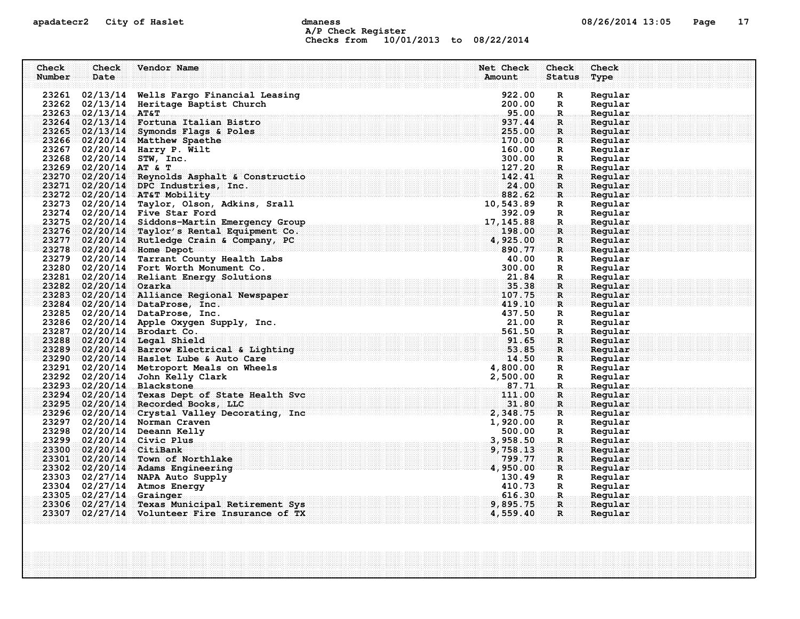# apadatecr2 City of Haslet dmaness dmanness and the US/26/2014 13:05 Page 17 A/P Check Register Checks from 10/01/2013 to 08/22/2014

| Check  | Check                   | Vendor Name                                   | Net Check  | Check                              | Check   |
|--------|-------------------------|-----------------------------------------------|------------|------------------------------------|---------|
| Number | Date                    |                                               | Amount     | <b>Status</b>                      | Type    |
|        |                         |                                               |            |                                    |         |
| 23261  | 02/13/14                | Wells Fargo Financial Leasing                 | 922.00     | $\mathbf R$                        | Regular |
|        |                         | 23262 02/13/14 Heritage Baptist Church        | 200.00     | R                                  | Regular |
|        | 23263 02/13/14 AT&T     |                                               | 95.00      | R.                                 | Regular |
|        |                         | 23264 02/13/14 Fortuna Italian Bistro         | 937.44     | R.                                 | Reqular |
|        |                         | 23265 02/13/14 Symonds Flags & Poles          | 255.00     | $\mathbf{R}$                       | Regular |
|        |                         | 23266 02/20/14 Matthew Spaethe                | 170.00     | R                                  | Regular |
|        |                         | 23267 02/20/14 Harry P. Wilt                  | 160.00     | R                                  | Regular |
|        |                         | 23268 02/20/14 STW, Inc.                      | 300.00     | R                                  | Regular |
|        | 23269 02/20/14 АТ & Т   |                                               | 127.20     | $\mathbf R$                        | Regular |
|        |                         | 23270 02/20/14 Reynolds Asphalt & Constructio | 142.41     | R.                                 | Regular |
| 23271  |                         | 02/20/14 DPC Industries, Inc.                 | 24.00      | $\mathbf R$                        | Regular |
|        |                         | 23272 02/20/14 AT&T Mobility                  | 882.62     | R                                  | Regular |
|        |                         | 23273 02/20/14 Taylor, Olson, Adkins, Srall   | 10,543.89  | R                                  | Regular |
|        |                         | 23274 02/20/14 Five Star Ford                 | 392.09     | R                                  | Regular |
|        |                         | 23275 02/20/14 Siddons-Martin Emergency Group | 17, 145.88 | $\mathbf R$ .                      | Regular |
| 23276  |                         | 02/20/14 Taylor's Rental Equipment Co.        | 198.00     | R                                  | Regular |
|        |                         | 23277 02/20/14 Rutledge Crain & Company, PC   | 4,925.00   | R                                  | Regular |
|        |                         | 23278 02/20/14 Home Depot                     | . $890.77$ | $\mathbf{R}$                       | Regular |
|        |                         | 23279 02/20/14 Tarrant County Health Labs     | 40.00      | R                                  | Regular |
|        |                         | 23280 02/20/14 Fort Worth Monument Co.        | 300.00     | R                                  | Regular |
|        |                         | 23281 02/20/14 Reliant Energy Solutions       | 21.84      | $\mathbf R$                        | Regular |
|        | 23282 02/20/14 Ozarka   |                                               | 35.38      | R                                  | Regular |
|        |                         | 23283 02/20/14 Alliance Regional Newspaper    | 107.75     | $\mathbf{R}$                       | Regular |
|        |                         | 23284 02/20/14 DataProse, Inc.                | 419.10     | ार                                 | Regular |
|        |                         | 23285 02/20/14 DataProse, Inc.                | 437.50     | R                                  | Regular |
|        |                         | 23286 02/20/14 Apple Oxygen Supply, Inc.      | 21.00      | $\mathbb{R}$                       | Regular |
|        |                         | 23287 02/20/14 Brodart Co.                    | 561.50     | $\mathbf{R}_{\cdot}$               | Regular |
| 23288  |                         | $02/20/14$ Legal Shield                       | 91.65      | R.                                 | Regular |
|        |                         | 23289 02/20/14 Barrow Electrical & Lighting   | 53.85      | $\mathbf{R}$                       | Regular |
|        |                         | 23290 02/20/14 Haslet Lube & Auto Care        | 14.50      | R                                  | Reqular |
|        |                         | 23291 02/20/14 Metroport Meals on Wheels      | 4,800.00   | R                                  | Regular |
|        |                         | 23292 02/20/14 John Kelly Clark               | 2,500.00   | R                                  | Regular |
|        |                         | 23293 02/20/14 Blackstone                     | 87.71      | $\mathbf{R}$ .                     | Regular |
|        |                         | 23294 02/20/14 Texas Dept of State Health Svc | 111.00     | R                                  | Regular |
|        |                         | 23295 02/20/14 Recorded Books, LLC            | 31.80      | $\mathbf{R}$                       | Reqular |
|        |                         | 23296 02/20/14 Crystal Valley Decorating, Inc | 2,348.75   | $\mathbf{R}$                       | Reqular |
|        |                         | 23297 02/20/14 Norman Craven                  | 1,920.00   | R                                  | Regular |
|        |                         | 23298 02/20/14 Deeann Kelly                   | 500.00     | R                                  | Regular |
|        |                         | 23299 02/20/14 Civic Plus                     | 3,958.50   | R.                                 | Regular |
|        | 23300 02/20/14 CitiBank |                                               | 9,758.13   | $\mathbf{R}$                       | Regular |
| 23301  |                         | 02/20/14 Town of Northlake                    | 799.77     | R                                  | Regular |
|        |                         | 23302 02/20/14 Adams Engineering              | 4,950.00   | $\mathbf{R}$                       | Regular |
|        |                         | 23303 02/27/14 NAPA Auto Supply               | 130.49     | R                                  | Regular |
|        |                         |                                               | 410.73     | R                                  |         |
|        | 23305 02/27/14          | 23304 02/27/14 Atmos Energy                   | 616.30     |                                    | Regular |
|        |                         | Grainger                                      |            | $\mathbf{R}_\odot$<br>$\mathbf{R}$ | Regular |
| 23306  |                         | 02/27/14 Texas Municipal Retirement Sys       | 9,895.75   |                                    | Regular |
| 23307  |                         | 02/27/14 Volunteer Fire Insurance of TX       | 4,559.40   | $\mathbf R$                        | Regular |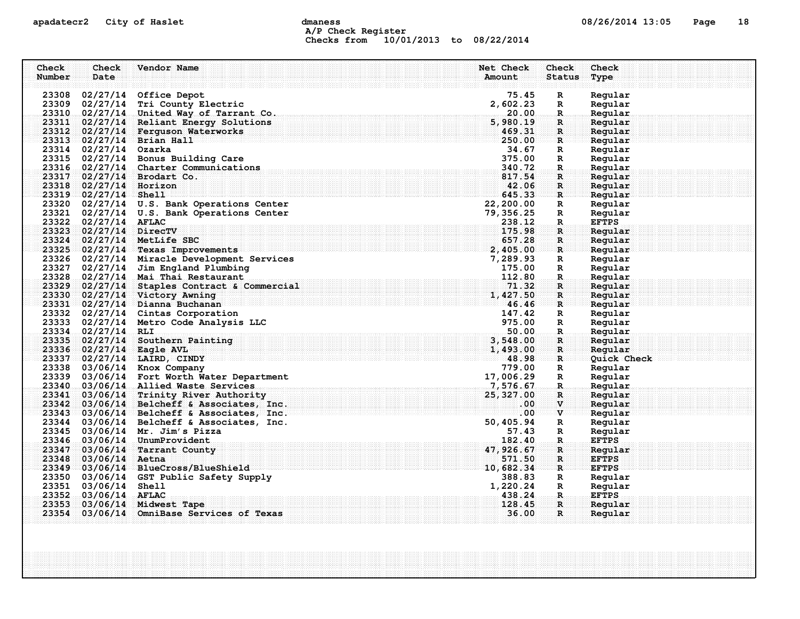# apadatecr2 City of Haslet computer dmaness computer dmaness computer of  $08/26/2014$  13:05 Page 18 A/P Check Register Checks from 10/01/2013 to 08/22/2014

| Check  | Check                  | Vendor Name                                                               | Net Check           | Check              | Check              |
|--------|------------------------|---------------------------------------------------------------------------|---------------------|--------------------|--------------------|
| Number | Date                   |                                                                           | Amount              | <b>Status</b>      | Type               |
|        |                        | 23308 02/27/14 Office Depot                                               | 75.45               | $\mathbf R$        | Regular            |
|        |                        | 23309 02/27/14 Tri County Electric                                        | 2,602.23            | $\mathbf{R}$       | Regular            |
|        |                        | 23310 02/27/14 United Way of Tarrant Co.                                  | 20.00               | R.                 | Regular            |
|        |                        | 23311 02/27/14 Reliant Energy Solutions                                   | 5,980.19            | R                  | Regular            |
|        |                        | 23312 02/27/14 Ferguson Waterworks                                        | 469.31              | $\mathbf{R}$       | Regular            |
|        |                        | 23313 02/27/14 Brian Hall                                                 | 250.00              | R                  | Regular            |
|        | 23314 02/27/14 Ozarka  |                                                                           | 34.67               | R                  | Regular            |
|        |                        | 23315 02/27/14 Bonus Building Care                                        | 375.00              | R                  | Regular            |
|        |                        | 23316 02/27/14 Charter Communications                                     | 340.72              | R.                 | Regular            |
|        |                        | 23317 02/27/14 Brodart Co.                                                | 817.54              | R                  | Regular            |
|        | 23318 02/27/14 Horizon |                                                                           | 42.06               | $\mathbf R$        | Regular            |
|        | 23319 02/27/14 Shell   |                                                                           | 645.33              | R                  | Regular            |
|        |                        | 23320 02/27/14 U.S. Bank Operations Center                                | 22,200.00           | $\mathbf{R}$       | Regular            |
|        |                        | 23321 02/27/14 U.S. Bank Operations Center                                | 79,356.25           | R                  | Regular            |
|        | 23322 02/27/14 AFLAC   |                                                                           | 238.12              | $\mathbf R$        | <b>EFTPS</b>       |
|        | 23323 02/27/14 DirecTV |                                                                           | 175.98              | R                  | Regular            |
|        |                        | 23324 02/27/14 MetLife SBC                                                | 657.28              | R.                 | Regular            |
|        |                        | 23325 02/27/14 Texas Improvements                                         | 2,405.00            | $\mathbf{R}$       | Regular            |
|        |                        | 23326 02/27/14 Miracle Development Services                               | 7,289.93            | R                  | Regular            |
|        |                        | 23327 02/27/14 Jim England Plumbing                                       | 175.00              | $\mathbf{R}$       | Regular            |
|        |                        | 23328 02/27/14 Mai Thai Restaurant                                        | 112.80              | $\mathbf R$        | Regular            |
|        |                        | 23329 02/27/14 Staples Contract & Commercial                              | 71.32               | $\mathbf R$        | Regular            |
|        |                        | 23330 02/27/14 Victory Awning                                             | 1,427.50            | $\mathbf{R}$       | Regular            |
|        |                        | 23331 02/27/14 Dianna Buchanan                                            | 46.46               | R                  | Regular            |
|        |                        | 23332 02/27/14 Cintas Corporation                                         | 147.42              | $\mathbf R$        | Regular            |
|        |                        | 23333 02/27/14 Metro Code Analysis LLC                                    | 975.00              | R                  | Regular            |
|        | 23334 02/27/14 RLI     | $\begin{array}{r} 50.00 \ 3,548.00 \ 1,493.00 \ 48.98 \end{array}$        |                     | $\mathbf{R}$       | Regular            |
|        |                        | 23335 02/27/14 Southern Painting                                          |                     | $\mathbf R$ :      | Regular            |
|        |                        | 23336 02/27/14 Eagle AVL                                                  |                     | $\mathbf{R}$       | Regular            |
|        |                        | 23337 02/27/14 LAIRD, CINDY                                               |                     | $\mathbf{R}$       | Quick Check        |
|        |                        | 23338 03/06/14 Knox Company<br>23339 03/06/14 Fort Worth Water Department | 779.00<br>17,006.29 | R                  | Regular            |
|        |                        | 23340 03/06/14 Allied Waste Services                                      | 7,576.67            | R<br>$\mathbf R$ . | Regular<br>Regular |
|        |                        | 23341 03/06/14 Trinity River Authority                                    | 25, 327, 00         | $\mathbf{R}$       | Regular            |
|        |                        | 23342 03/06/14 Belcheff & Associates, Inc.                                | .00                 | V                  | Regular            |
|        |                        | 23343 03/06/14 Belcheff & Associates, Inc.                                | .00                 | $\mathbf{v}$       | Regular            |
|        |                        | 23344 03/06/14 Belcheff & Associates, Inc.                                | 50, 405.94          | R                  | Regular            |
|        |                        | 23345 03/06/14 Mr. Jim's Pizza                                            | 57.43               | R                  | Regular            |
|        |                        | 23346 03/06/14 UnumProvident                                              | 182.40              | $\mathbf R$        | <b>EFTPS</b>       |
|        |                        | 23347 03/06/14 Tarrant County                                             | 47, 926.67          | R                  | Regular            |
|        | 23348 03/06/14 Aetna   |                                                                           | 571.50              | $\mathbf R$        | <b>EFTPS</b>       |
|        |                        | 23349 03/06/14 BlueCross/BlueShield                                       | 10,682.34           | R                  | <b>EFTPS</b>       |
|        |                        | 23350 03/06/14 GST Public Safety Supply                                   | 388.83              | $\mathbf R$        | Regular            |
|        | 23351 03/06/14 Shell   |                                                                           | 1,220.24            | $\mathbf R$        | Regular            |
|        | 23352 03/06/14 AFLAC   |                                                                           | 438.24              | $\mathbb{R}$ .     | <b>EFTPS</b>       |
|        |                        | 23353 03/06/14 Midwest Tape                                               | 128.45              | $\mathbf R$        | Regular            |
|        |                        | 23354 03/06/14 OmniBase Services of Texas                                 | 36.00               | $\mathbf{R}$       | Regular            |
|        |                        |                                                                           |                     |                    |                    |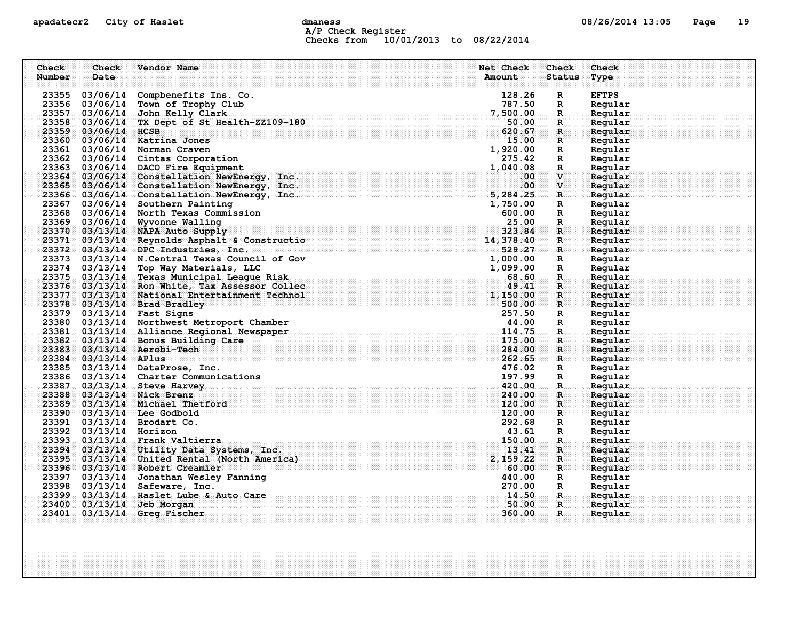## apadatecr2 City of Haslet and dmaness dmaness and the 08/26/2014 13:05 Page 19 A/P Check Register Checks from 10/01/2013 to 08/22/2014

| Check  | Check                  | Vendor Name                                                                             | Net Check            | Check             | Check              |
|--------|------------------------|-----------------------------------------------------------------------------------------|----------------------|-------------------|--------------------|
| Number | Date                   |                                                                                         | Amount               | <b>Status</b>     | Type               |
|        |                        |                                                                                         |                      |                   |                    |
|        | 23355 03/06/14         | Compbenefits Ins. Co.                                                                   | 128.26               | $\mathbf R$       | <b>EFTPS</b>       |
|        | 23356 03/06/14         | Town of Trophy Club                                                                     | 787.50               | $\mathbf R$       | Regular            |
|        |                        | 23357 03/06/14 John Kelly Clark                                                         | 7,500.00             | R.                | Regular            |
|        | 23358 03/06/14         | TX Dept of St Health-ZZ109-180                                                          | 50.00                | $\mathbf R$       | Regular            |
|        | 23359 03/06/14 HCSB    |                                                                                         | 620.67               | $\mathbf{R}$      | Regular            |
|        |                        | 23360 03/06/14 Katrina Jones                                                            | 15.00                | R                 | Regular            |
|        |                        | 23361 03/06/14 Norman Craven                                                            | 1,920.00             | R                 | Regular            |
|        |                        | 23362 03/06/14 Cintas Corporation                                                       | 275.42               | R                 | Regular            |
| 23363  |                        | 03/06/14 DACO Fire Equipment                                                            | 1,040.08             | $\mathbf{R}$      | Regular            |
|        |                        | 23364 03/06/14 Constellation NewEnergy, Inc.                                            | $.00\,$              | $\mathbf{V}$      | Regular            |
|        |                        | 23365 03/06/14 Constellation NewEnergy, Inc.                                            | .00                  | $\mathbf v$       | Regular            |
|        |                        | 23366 03/06/14 Constellation NewEnergy, Inc.                                            | 5,284.25             | $\mathbf{R}$      | Regular            |
| 23367  |                        | 03/06/14 Southern Painting                                                              | 1,750.00             | R                 | Regular            |
|        |                        | 23368 03/06/14 North Texas Commission                                                   | 600.00               | R                 | Regular            |
|        |                        | 23369 03/06/14 Wyvonne Walling                                                          | 25.00                | R.                | Regular            |
|        |                        | 23370 03/13/14 NAPA Auto Supply                                                         | 323.84               | $\mathbf{R}$      | Regular            |
|        | 23371 03/13/14         | Reynolds Asphalt & Constructio                                                          | 14,378.40            | R                 | Reqular            |
|        |                        | 23372 03/13/14 DPC Industries, Inc.                                                     | 529.27               | $\mathbf{R}$      | Regular            |
|        |                        | 23373 03/13/14 N. Central Texas Council of Gov<br>23374 03/13/14 Top Way Materials, LLC | 1,000.00<br>1,099.00 | R                 | Regular            |
|        |                        | 23375 03/13/14 Texas Municipal League Risk                                              |                      | R                 | Regular<br>Regular |
|        |                        | 23376 03/13/14 Ron White, Tax Assessor Collec                                           | 68.60<br>49.41       | $\mathbf R$       | Regular            |
| 23377  |                        | 03/13/14 National Entertainment Technol                                                 | 1,150.00             | R<br>$\mathbf{R}$ | Regular            |
|        |                        | 23378 03/13/14 Brad Bradley                                                             | 500.00               | $\mathbf R$       | Regular            |
|        |                        | 23379 03/13/14 Fast Signs                                                               | 257.50               | R                 | Regular            |
| 23380  |                        | 03/13/14 Northwest Metroport Chamber                                                    | 44.00                | R                 | Regular            |
|        |                        | 23381 03/13/14 Alliance Regional Newspaper                                              | 114.75               | $\mathbf{R}$      | Regular            |
|        |                        | 23382 03/13/14 Bonus Building Care                                                      | 175.00               | R.                | Regular            |
|        |                        | 23383 03/13/14 Aerobi-Tech                                                              | 284.00               | $\mathbf{R}$      | Regular            |
|        | $23384$ 03/13/14 APlus |                                                                                         | 262.65               | R                 | Regular            |
|        |                        | 23385 03/13/14 DataProse, Inc.                                                          | 476.02               | R                 | Regular            |
|        |                        | 23386 03/13/14 Charter Communications                                                   | 197.99               | R                 | Regular            |
| 23387  |                        | 03/13/14 Steve Harvey                                                                   | 420.00               | $\mathbf{R}$      | Regular            |
| 23388  |                        | 03/13/14 Nick Brenz                                                                     | 240.00               | $\mathbf R$       | Regular            |
|        |                        | 23389 03/13/14 Michael Thetford                                                         | 120.00               | $\mathbf{R}$      | Regular            |
|        |                        | $23390$ 03/13/14 Lee Godbold                                                            | 120.00               | R                 | Reqular            |
| 23391  |                        | 03/13/14 Brodart Co.                                                                    | 292.68               | R                 | Regular            |
|        | 23392 03/13/14 Horizon |                                                                                         | 43.61                | $\mathbb{R}$      | Regular            |
|        |                        | 23393 03/13/14 Frank Valtierra                                                          | 150.00               | $\mathbf{R}$      | Regular            |
|        |                        | 23394 03/13/14 Utility Data Systems, Inc.                                               | 13.41                | $\mathbf R$       | Regular            |
|        |                        | 23395 03/13/14 United Rental (North America)                                            | 2,159.22             | $\mathbf R$       | Regular            |
|        |                        | 23396 03/13/14 Robert Creamier                                                          | 60.00                | $\mathbf R$       | Regular            |
|        | 23397 03/13/14         | Jonathan Wesley Fanning                                                                 | 440.00               | R                 | Regular            |
|        |                        | 23398 03/13/14 Safeware, Inc.                                                           | 270.00               | R                 | Regular            |
|        |                        | 23399 03/13/14 Haslet Lube & Auto Care                                                  | 14.50                | R.                | Regular            |
|        | 23400 03/13/14         | Jeb Morgan                                                                              | 50.00                | $\mathbf{R}$      | Regular            |
|        | 23401 03/13/14         | Greg Fischer                                                                            | 360.00               | $\mathbf{R}$      | Regular            |
|        |                        |                                                                                         |                      |                   |                    |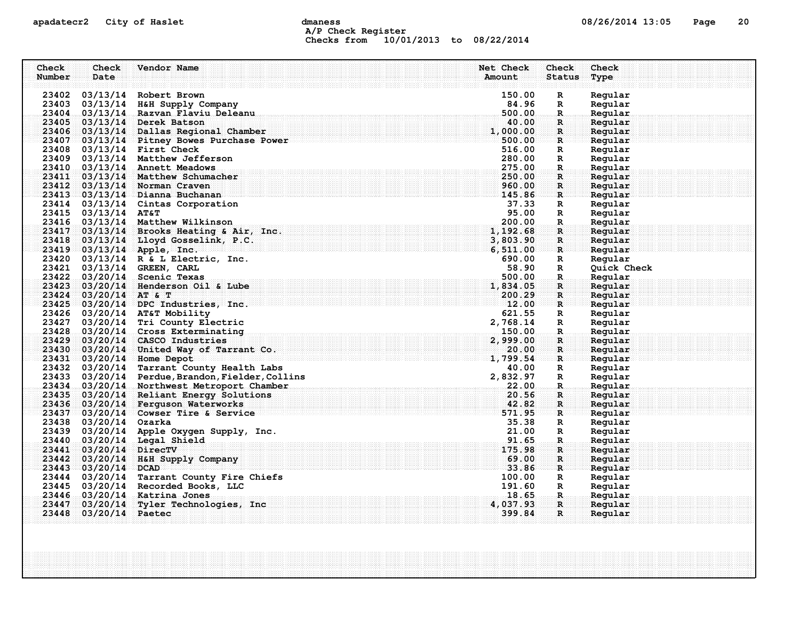# apadatecr2 City of Haslet control dmaness control dmaness control and the US/26/2014 13:05 Page 20 A/P Check Register Checks from 10/01/2013 to 08/22/2014

| Check  | Check                  | Vendor Name                                                         | Net Check                                                                                                                                    | Check                          | Check              |  |
|--------|------------------------|---------------------------------------------------------------------|----------------------------------------------------------------------------------------------------------------------------------------------|--------------------------------|--------------------|--|
| Number | Date                   |                                                                     | Amount                                                                                                                                       | <b>Status</b>                  | Type               |  |
|        |                        |                                                                     |                                                                                                                                              |                                |                    |  |
|        |                        | 23402 03/13/14 Robert Brown                                         | 150.00                                                                                                                                       | R                              | Regular            |  |
|        |                        | 23403 03/13/14 H&H Supply Company                                   | 84.96                                                                                                                                        | R                              | Regular            |  |
|        |                        | 23404 03/13/14 Razvan Flaviu Deleanu<br>23405 03/13/14 Derek Batson | 500.00                                                                                                                                       | $\mathbb{R}$                   | Regular            |  |
|        |                        | 23406 03/13/14 Dallas Regional Chamber                              | 40.00<br>1,000.00                                                                                                                            | $\mathbf{R}$ :<br>$\mathbf{R}$ | Regular<br>Regular |  |
|        |                        | 23407 03/13/14 Pitney Bowes Purchase Power                          | 500.00                                                                                                                                       | $\mathbf{R}$                   | Regular            |  |
|        |                        | 23408 03/13/14 First Check                                          | 516.00                                                                                                                                       | R                              | Regular            |  |
|        |                        | 23409 03/13/14 Matthew Jefferson                                    | 280.00                                                                                                                                       | $\mathbb{R}$                   | Regular            |  |
|        |                        | 23410 03/13/14 Annett Meadows                                       | 275.00                                                                                                                                       | R.                             | Regular            |  |
|        |                        | 23411 03/13/14 Matthew Schumacher                                   | 250.00                                                                                                                                       | R                              | Regular            |  |
|        |                        | 23412 03/13/14 Norman Craven                                        | 960.00                                                                                                                                       | R                              | Regular            |  |
|        |                        | 23413 03/13/14 Dianna Buchanan                                      | 145.86                                                                                                                                       | $\mathbf R$                    | Regular            |  |
|        |                        | 23414 03/13/14 Cintas Corporation                                   | 37.33                                                                                                                                        | $\mathbf{R}$                   | Regular            |  |
|        | 23415 03/13/14 AT&T    |                                                                     | 95.00                                                                                                                                        | $\mathbb{R}$                   | Regular            |  |
|        |                        | 23416 03/13/14 Matthew Wilkinson                                    | 200.00                                                                                                                                       | $\mathbf R$                    | Regular            |  |
|        |                        | $23417$ 03/13/14 Brooks Heating & Air, Inc.                         | 1,192.68                                                                                                                                     | R                              | Regular            |  |
|        |                        | 23418 03/13/14 Lloyd Gosselink, P.C.                                | 3,803.90                                                                                                                                     | $\mathbf{R}$                   | Regular            |  |
|        |                        | 23419 03/13/14 Apple, Inc.                                          | 6,511.00                                                                                                                                     | $\mathbf{R}$                   | Regular            |  |
|        |                        | 23420 03/13/14 R & L Electric, Inc.                                 | 690.00                                                                                                                                       | $\mathbf{R}$                   | Regular            |  |
|        |                        | 23421 03/13/14 GREEN, CARL                                          | 58.90                                                                                                                                        | R                              | Quick Check        |  |
|        |                        | 23422 03/20/14 Scenic Texas                                         | 500.00                                                                                                                                       | $\mathbf R$ .                  | Regular            |  |
|        |                        | 23423 03/20/14 Henderson Oil & Lube                                 | 1,834.05                                                                                                                                     | R                              | Regular            |  |
|        | 23424 03/20/14 AT & T  |                                                                     | 200.29                                                                                                                                       | $\mathbf{R}$                   | Regular            |  |
|        |                        | 23425 03/20/14 DPC Industries, Inc.                                 | . The set of the set of the set of the set of the set of the set of the set of the set of the set of the set of $\mathbf{z}$ , $\mathbf{00}$ | $\mathbf{R}$                   | Regular            |  |
|        |                        | 23426 03/20/14 AT&T Mobility                                        | 621.55                                                                                                                                       | R                              | Regular            |  |
|        |                        | 23427 03/20/14 Tri County Electric                                  | 2,768.14                                                                                                                                     | $\mathbb{R}$                   | Regular            |  |
|        |                        | 23428 03/20/14 Cross Exterminating                                  | 150.00                                                                                                                                       | $\mathbf R$ .                  | Regular            |  |
|        |                        | 23429 03/20/14 CASCO Industries                                     | 2,999.00                                                                                                                                     | $\mathbf R$ :                  | Regular            |  |
|        |                        | 23430 03/20/14 United Way of Tarrant Co.                            | 20.00                                                                                                                                        | R                              | Regular            |  |
|        |                        | 23431 03/20/14 Home Depot                                           | 1,799.54                                                                                                                                     | $\mathbf{R}$ .                 | Regular            |  |
|        |                        | 23432 03/20/14 Tarrant County Health Labs                           | 40.00                                                                                                                                        | R                              | Regular            |  |
|        |                        | 23433 03/20/14 Perdue, Brandon, Fielder, Collins                    | 2,832.97                                                                                                                                     | $\mathbf R$                    | Regular            |  |
|        |                        | 23434 03/20/14 Northwest Metroport Chamber                          | 22.00                                                                                                                                        | $\mathbf R$ .                  | Regular            |  |
|        |                        | 23435 03/20/14 Reliant Energy Solutions                             | 20.56                                                                                                                                        | $\mathbf R$ :                  | Regular            |  |
|        |                        | 23436 03/20/14 Ferguson Waterworks                                  | 42.82                                                                                                                                        | $\mathbf{R}$                   | Regular            |  |
|        |                        | $23437 - 03/20/14$ Cowser Tire & Service                            | 571.95                                                                                                                                       | R                              | Reqular            |  |
|        | 23438 03/20/14 Ozarka  |                                                                     | 35.38                                                                                                                                        | R                              | Regular            |  |
|        |                        | 23439 03/20/14 Apple Oxygen Supply, Inc.                            | 21.00                                                                                                                                        | R                              | Regular            |  |
|        |                        | 23440 03/20/14 Legal Shield                                         | .91.65                                                                                                                                       | $\mathbf{R}$                   | Regular            |  |
|        | 23441 03/20/14 DirecTV |                                                                     | 175.98                                                                                                                                       | $\mathbf R$                    | Regular            |  |
|        |                        | 23442 03/20/14 H&H Supply Company                                   | 69.00                                                                                                                                        | $\mathbf R$                    | Regular            |  |
|        | 23443 03/20/14 DCAD    |                                                                     | 33.86                                                                                                                                        | $\mathbf{R}$                   | Regular            |  |
|        |                        | 23444 03/20/14 Tarrant County Fire Chiefs                           | 100.00                                                                                                                                       | R                              | Regular            |  |
|        |                        | 23445 03/20/14 Recorded Books, LLC                                  | 191.60                                                                                                                                       | R                              | Regular            |  |
|        |                        | 23446 03/20/14 Katrina Jones                                        | 18.65<br>4,037.93                                                                                                                            | .R.<br>$\mathbf{R}$            | Regular<br>Reqular |  |
|        | 23448 03/20/14 Paetec  | 23447 03/20/14 Tyler Technologies, Inc                              | 399.84                                                                                                                                       | R                              | Regular            |  |
|        |                        |                                                                     |                                                                                                                                              |                                |                    |  |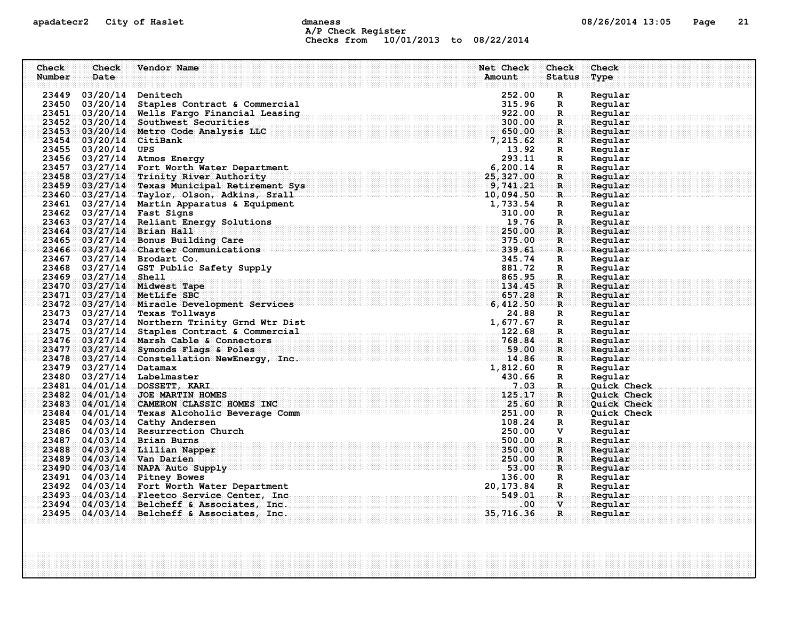# apadatecr2 City of Haslet control dmaness control dmaness control and the US/26/2014 13:05 Page 21 A/P Check Register Checks from 10/01/2013 to 08/22/2014

| Check<br>Number | Check<br>Date           | Vendor Name                                                  | Net Check<br>Amount | <b>Check</b><br><b>Status</b>          | Check<br>Type      |
|-----------------|-------------------------|--------------------------------------------------------------|---------------------|----------------------------------------|--------------------|
|                 | 23449 03/20/14 Denitech |                                                              | 252.00              |                                        | Regular            |
|                 |                         | 23450 03/20/14 Staples Contract & Commercial                 | 315.96              | R                                      | Regular            |
|                 |                         | 23451 03/20/14 Wells Fargo Financial Leasing                 | 922.00              | R                                      | Regular            |
|                 |                         | 23452 03/20/14 Southwest Securities                          | 300.00              | R.<br>R.                               | Regular            |
|                 |                         | 23453 03/20/14 Metro Code Analysis LLC                       | 650.00              | $\mathbf{R}$                           | Regular            |
|                 |                         | 23454 03/20/14 CitiBank                                      | 7,215.62            | $\mathbf{R}$ . The $\mathbf{R}$        | Regular            |
|                 | 23455 03/20/14 UPS      |                                                              | 13.92               | $\mathbf{R}$                           | Regular            |
|                 |                         | 23456 03/27/14 Atmos Energy                                  | 293.11              | R                                      | Regular            |
|                 |                         | 23457 03/27/14 Fort Worth Water Department                   | 6, 200.14           | $\mathbb R$ .                          | Regular            |
|                 |                         | 23458 03/27/14 Trinity River Authority                       | 25, 327.00          | $\mathbf{R}$                           | Regular            |
|                 |                         | 23459 03/27/14 Texas Municipal Retirement Sys                | 9,741.21            | R                                      | Regular            |
|                 |                         | 23460 03/27/14 Taylor, Olson, Adkins, Srall                  | 10,094.50           | $\mathbf{R}$                           | Regular            |
|                 |                         | 23461 03/27/14 Martin Apparatus & Equipment                  | 1,733.54            | $\mathbf R$                            | Regular            |
|                 |                         | 23462 03/27/14 Fast Signs                                    | 310.00              | $\mathbf{R}$                           | Regular            |
|                 |                         | 23463 03/27/14 Reliant Energy Solutions                      | 19.76               | $\mathbf R$ .                          | Regular            |
|                 |                         | 23464 03/27/14 Brian Hall                                    | 250.00              | $\mathbf{R}$                           | Regular            |
|                 |                         | 23465 03/27/14 Bonus Building Care                           | 375.00              | R                                      | Regular            |
|                 |                         | 23466 03/27/14 Charter Communications                        | 339.61              | $\mathbf{R}$ . The set of $\mathbf{R}$ | Regular            |
|                 |                         | 23467 03/27/14 Brodart Co.                                   | 345.74              | R                                      | Regular            |
|                 |                         | 23468 03/27/14 GST Public Safety Supply                      | 881.72              | R                                      | Regular            |
|                 | 23469 03/27/14 Shell    |                                                              | 865.95              | R.                                     | Regular            |
|                 |                         | 23470 03/27/14 Midwest Tape                                  | 134.45              | R                                      | Regular            |
|                 |                         | 23471 03/27/14 MetLife SBC                                   | 657.28              | R.                                     | Reqular            |
|                 |                         | 23472 03/27/14 Miracle Development Services                  | 6,412.50            | R                                      | Regular            |
|                 |                         | 23473 03/27/14 Texas Tollways                                | 24.88               | R                                      | Regular            |
|                 |                         | 23474 03/27/14 Northern Trinity Grnd Wtr Dist                | 1,677.67            | R                                      | Regular            |
|                 |                         | 23475 03/27/14 Staples Contract & Commercial                 | 122.68              | . R. .                                 | Regular            |
|                 |                         | 23476 03/27/14 Marsh Cable & Connectors                      | 768.84              | $\mathbf{R}$                           | Regular            |
|                 |                         | 23477 03/27/14 Symonds Flags & Poles                         | 59.00               | $\mathbf{R}$                           | Regular            |
|                 |                         | 23478 03/27/14 Constellation NewEnergy, Inc.                 | 14.86               | $\mathbf{R}$                           | Reqular            |
|                 | 23479 03/27/14 Datamax  |                                                              | 1,812.60            | R                                      | Regular            |
|                 |                         | 23480 03/27/14 Labelmaster                                   | 430.66              | R                                      | Regular            |
|                 |                         | 23481 04/01/14 DOSSETT, KARI                                 | 7.03                | $\mathbf R$                            | <b>Quick Check</b> |
|                 |                         | 23482 04/01/14 JOE MARTIN HOMES                              | 125.17              | R                                      | Quick Check        |
|                 |                         | 23483 04/01/14 CAMERON CLASSIC HOMES INC                     | 25.60               | $\mathbf{R}$                           | <b>Quick Check</b> |
|                 |                         | 23484 04/01/14 Texas Alcoholic Beverage Comm                 | 251.00              | R                                      | Quick Check        |
|                 |                         | 23485 04/03/14 Cathy Andersen                                | 108.24              | $\mathbf R$                            | Regular            |
|                 |                         | 23486 04/03/14 Resurrection Church                           | 250.00              | v                                      | Regular            |
|                 |                         | 23487 04/03/14 Brian Burns                                   | 500.00              | $\mathbf{R}_1$                         | Regular            |
|                 |                         | 23488 04/03/14 Lillian Napper                                | 350.00<br>250.00    | $\mathbf{R}$                           | Regular            |
|                 |                         | 23489 04/03/14 Van Darien<br>23490 04/03/14 NAPA Auto Supply | 53.00               | R<br>$\mathbf{R}$                      | Regular            |
|                 |                         | 23491 04/03/14 Pitney Bowes                                  | 136.00              | R                                      | Regular<br>Regular |
|                 |                         | 23492 04/03/14 Fort Worth Water Department                   | 20, 173.84          | R                                      | Regular            |
|                 |                         | 23493 04/03/14 Fleetco Service Center, Inc.                  | 549.01              | $\mathbf{R}_1$                         | Regular            |
|                 |                         | 23494 04/03/14 Belcheff & Associates, Inc.                   | $.00\,$             | $\mathbf{V}$                           | Regular            |
|                 |                         | 23495 04/03/14 Belcheff & Associates, Inc.                   | 35,716.36           | R.                                     | Regular            |
|                 |                         |                                                              |                     |                                        |                    |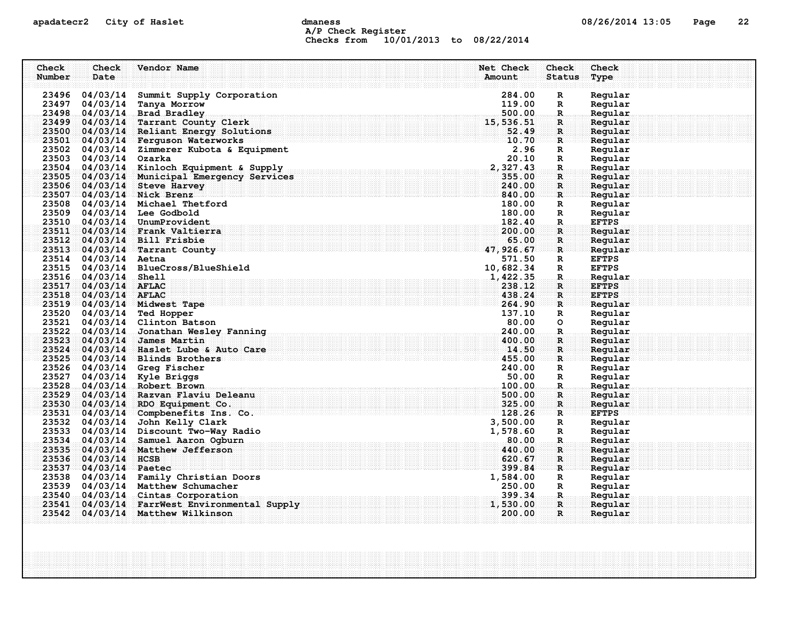# apadatecr2 City of Haslet computer dmaness computer dmanus dmaness computer computer of  $08/26/2014$  13:05 Page 22 A/P Check Register Checks from 10/01/2013 to 08/22/2014

| Number<br>Date<br>Amount<br><b>Status</b><br>Type<br>23496 04/03/14<br>284.00<br>Regular<br>Summit Supply Corporation<br>R<br>Regular<br>23497 04/03/14<br>Tanya Morrow<br>119.00<br>R<br>23498 04/03/14 Brad Bradley<br>500.00<br>Regular<br>R.<br>23499 04/03/14 Tarrant County Clerk<br>15,536.51<br>Regular<br>$\mathbf{R}$<br>23500 04/03/14 Reliant Energy Solutions<br>52.49<br>Regular<br>$\mathbf{R}$<br>23501 04/03/14 Ferguson Waterworks<br>10.70<br>$\mathbf{R}$<br>Regular<br>23502 04/03/14 Zimmerer Kubota & Equipment<br>2.96<br>Regular<br>R<br>23503 04/03/14 Ozarka<br>20.10<br>Regular<br>$\mathbf{R}$<br>23504 04/03/14 Kinloch Equipment & Supply<br>2,327.43<br>Regular<br>R.<br>23505 04/03/14 Municipal Emergency Services<br>355.00<br>Regular<br>R<br>23506 04/03/14 Steve Harvey<br>240.00<br>Regular<br>R<br>23507 04/03/14 Nick Brenz<br>840.00<br>Regular<br>R<br>23508 04/03/14 Michael Thetford<br>180.00<br>Regular<br>R<br>23509 04/03/14 Lee Godbold<br>180.00<br>Regular<br>$\mathbb{R}$<br>23510 04/03/14 UnumProvident<br>182.40<br><b>EFTPS</b><br>R.<br>23511 04/03/14 Frank Valtierra<br>200.00<br>$\mathbf{R}$<br>Regular<br>23512 04/03/14 Bill Frisbie<br>65.00<br>Regular<br>R.<br>23513 04/03/14 Tarrant County<br>47,926.67<br>Reqular<br>R<br>23514 04/03/14 Aetna<br><b>EFTPS</b><br>571.50<br>R<br>23515 04/03/14 BlueCross/BlueShield<br>10,682.34<br><b>EFTPS</b><br>R<br>23516 04/03/14 Shell<br>1,422.35<br>$\mathbf R$ .<br>Regular<br>23517 04/03/14 AFLAC<br>238.12<br><b>EFTPS</b><br>R<br>23518 04/03/14 AFLAC<br>438.24<br><b>EFTPS</b><br>$\mathbf R$<br>264.90<br>23519 04/03/14 Midwest Tape<br>R<br>Regular<br>23520 04/03/14 Ted Hopper<br>137.10<br>Regular<br>R<br>23521 04/03/14 Clinton Batson<br>80.00<br>Regular<br>O<br>23522 04/03/14 Jonathan Wesley Fanning<br>240.00<br>Regular<br>$\mathbf R$<br>23523 04/03/14 James Martin<br>400.00<br>Regular<br>R<br>23524 04/03/14 Haslet Lube & Auto Care<br>14.50<br>$\mathbf{R}$<br>Regular<br>$23525$ 04/03/14 Blinds Brothers<br>455.00<br>Regular<br>$\mathbf R$ :<br>23526 04/03/14 Greg Fischer<br>240.00<br>R<br>Regular<br>23527 04/03/14 Kyle Briggs<br>50.00<br>Regular<br>R<br>23528 04/03/14 Robert Brown<br>100.00<br>Regular<br>R.<br>23529 04/03/14 Razvan Flaviu Deleanu<br>500.00<br>Regular<br>R<br>23530 04/03/14 RDO Equipment Co.<br>325.00<br>$\mathbf{R}$<br>Reqular<br>23531 04/03/14 Compbenefits Ins. Co.<br>128.26<br><b>EFTPS</b><br>$\mathbf{R}$<br>23532 04/03/14 John Kelly Clark<br>3,500.00<br>Regular<br>$\mathbb{R}$<br>23533 04/03/14 Discount Two-Way Radio<br>1,578.60<br>Regular<br>R<br>23534 04/03/14 Samuel Aaron Ogburn<br>Regular<br>80.00<br>R.<br>23535 04/03/14 Matthew Jefferson<br>440.00<br>Regular<br>R.<br>23536 04/03/14 HCSB<br>620.67<br>Regular<br>$\mathbf{R}$<br>23537 04/03/14 Paetec<br>399.84<br>Regular<br>R<br>23538 04/03/14 Family Christian Doors<br>1,584.00<br>Regular<br>R<br>23539 04/03/14 Matthew Schumacher<br>250.00<br>Regular<br>$\mathbb{R}$<br>23540 04/03/14 Cintas Corporation<br>399.34<br>Regular<br>-R., | Check | Check | Vendor Name                            | Net Check | Check        | Check   |
|--------------------------------------------------------------------------------------------------------------------------------------------------------------------------------------------------------------------------------------------------------------------------------------------------------------------------------------------------------------------------------------------------------------------------------------------------------------------------------------------------------------------------------------------------------------------------------------------------------------------------------------------------------------------------------------------------------------------------------------------------------------------------------------------------------------------------------------------------------------------------------------------------------------------------------------------------------------------------------------------------------------------------------------------------------------------------------------------------------------------------------------------------------------------------------------------------------------------------------------------------------------------------------------------------------------------------------------------------------------------------------------------------------------------------------------------------------------------------------------------------------------------------------------------------------------------------------------------------------------------------------------------------------------------------------------------------------------------------------------------------------------------------------------------------------------------------------------------------------------------------------------------------------------------------------------------------------------------------------------------------------------------------------------------------------------------------------------------------------------------------------------------------------------------------------------------------------------------------------------------------------------------------------------------------------------------------------------------------------------------------------------------------------------------------------------------------------------------------------------------------------------------------------------------------------------------------------------------------------------------------------------------------------------------------------------------------------------------------------------------------------------------------------------------------------------------------------------------------------------------------------------------------------------------------------------------------------------------------------------------------------------------------------------------------------------------------------------------------------------------|-------|-------|----------------------------------------|-----------|--------------|---------|
|                                                                                                                                                                                                                                                                                                                                                                                                                                                                                                                                                                                                                                                                                                                                                                                                                                                                                                                                                                                                                                                                                                                                                                                                                                                                                                                                                                                                                                                                                                                                                                                                                                                                                                                                                                                                                                                                                                                                                                                                                                                                                                                                                                                                                                                                                                                                                                                                                                                                                                                                                                                                                                                                                                                                                                                                                                                                                                                                                                                                                                                                                                                    |       |       |                                        |           |              |         |
|                                                                                                                                                                                                                                                                                                                                                                                                                                                                                                                                                                                                                                                                                                                                                                                                                                                                                                                                                                                                                                                                                                                                                                                                                                                                                                                                                                                                                                                                                                                                                                                                                                                                                                                                                                                                                                                                                                                                                                                                                                                                                                                                                                                                                                                                                                                                                                                                                                                                                                                                                                                                                                                                                                                                                                                                                                                                                                                                                                                                                                                                                                                    |       |       |                                        |           |              |         |
|                                                                                                                                                                                                                                                                                                                                                                                                                                                                                                                                                                                                                                                                                                                                                                                                                                                                                                                                                                                                                                                                                                                                                                                                                                                                                                                                                                                                                                                                                                                                                                                                                                                                                                                                                                                                                                                                                                                                                                                                                                                                                                                                                                                                                                                                                                                                                                                                                                                                                                                                                                                                                                                                                                                                                                                                                                                                                                                                                                                                                                                                                                                    |       |       |                                        |           |              |         |
|                                                                                                                                                                                                                                                                                                                                                                                                                                                                                                                                                                                                                                                                                                                                                                                                                                                                                                                                                                                                                                                                                                                                                                                                                                                                                                                                                                                                                                                                                                                                                                                                                                                                                                                                                                                                                                                                                                                                                                                                                                                                                                                                                                                                                                                                                                                                                                                                                                                                                                                                                                                                                                                                                                                                                                                                                                                                                                                                                                                                                                                                                                                    |       |       |                                        |           |              |         |
|                                                                                                                                                                                                                                                                                                                                                                                                                                                                                                                                                                                                                                                                                                                                                                                                                                                                                                                                                                                                                                                                                                                                                                                                                                                                                                                                                                                                                                                                                                                                                                                                                                                                                                                                                                                                                                                                                                                                                                                                                                                                                                                                                                                                                                                                                                                                                                                                                                                                                                                                                                                                                                                                                                                                                                                                                                                                                                                                                                                                                                                                                                                    |       |       |                                        |           |              |         |
|                                                                                                                                                                                                                                                                                                                                                                                                                                                                                                                                                                                                                                                                                                                                                                                                                                                                                                                                                                                                                                                                                                                                                                                                                                                                                                                                                                                                                                                                                                                                                                                                                                                                                                                                                                                                                                                                                                                                                                                                                                                                                                                                                                                                                                                                                                                                                                                                                                                                                                                                                                                                                                                                                                                                                                                                                                                                                                                                                                                                                                                                                                                    |       |       |                                        |           |              |         |
|                                                                                                                                                                                                                                                                                                                                                                                                                                                                                                                                                                                                                                                                                                                                                                                                                                                                                                                                                                                                                                                                                                                                                                                                                                                                                                                                                                                                                                                                                                                                                                                                                                                                                                                                                                                                                                                                                                                                                                                                                                                                                                                                                                                                                                                                                                                                                                                                                                                                                                                                                                                                                                                                                                                                                                                                                                                                                                                                                                                                                                                                                                                    |       |       |                                        |           |              |         |
|                                                                                                                                                                                                                                                                                                                                                                                                                                                                                                                                                                                                                                                                                                                                                                                                                                                                                                                                                                                                                                                                                                                                                                                                                                                                                                                                                                                                                                                                                                                                                                                                                                                                                                                                                                                                                                                                                                                                                                                                                                                                                                                                                                                                                                                                                                                                                                                                                                                                                                                                                                                                                                                                                                                                                                                                                                                                                                                                                                                                                                                                                                                    |       |       |                                        |           |              |         |
|                                                                                                                                                                                                                                                                                                                                                                                                                                                                                                                                                                                                                                                                                                                                                                                                                                                                                                                                                                                                                                                                                                                                                                                                                                                                                                                                                                                                                                                                                                                                                                                                                                                                                                                                                                                                                                                                                                                                                                                                                                                                                                                                                                                                                                                                                                                                                                                                                                                                                                                                                                                                                                                                                                                                                                                                                                                                                                                                                                                                                                                                                                                    |       |       |                                        |           |              |         |
|                                                                                                                                                                                                                                                                                                                                                                                                                                                                                                                                                                                                                                                                                                                                                                                                                                                                                                                                                                                                                                                                                                                                                                                                                                                                                                                                                                                                                                                                                                                                                                                                                                                                                                                                                                                                                                                                                                                                                                                                                                                                                                                                                                                                                                                                                                                                                                                                                                                                                                                                                                                                                                                                                                                                                                                                                                                                                                                                                                                                                                                                                                                    |       |       |                                        |           |              |         |
|                                                                                                                                                                                                                                                                                                                                                                                                                                                                                                                                                                                                                                                                                                                                                                                                                                                                                                                                                                                                                                                                                                                                                                                                                                                                                                                                                                                                                                                                                                                                                                                                                                                                                                                                                                                                                                                                                                                                                                                                                                                                                                                                                                                                                                                                                                                                                                                                                                                                                                                                                                                                                                                                                                                                                                                                                                                                                                                                                                                                                                                                                                                    |       |       |                                        |           |              |         |
|                                                                                                                                                                                                                                                                                                                                                                                                                                                                                                                                                                                                                                                                                                                                                                                                                                                                                                                                                                                                                                                                                                                                                                                                                                                                                                                                                                                                                                                                                                                                                                                                                                                                                                                                                                                                                                                                                                                                                                                                                                                                                                                                                                                                                                                                                                                                                                                                                                                                                                                                                                                                                                                                                                                                                                                                                                                                                                                                                                                                                                                                                                                    |       |       |                                        |           |              |         |
|                                                                                                                                                                                                                                                                                                                                                                                                                                                                                                                                                                                                                                                                                                                                                                                                                                                                                                                                                                                                                                                                                                                                                                                                                                                                                                                                                                                                                                                                                                                                                                                                                                                                                                                                                                                                                                                                                                                                                                                                                                                                                                                                                                                                                                                                                                                                                                                                                                                                                                                                                                                                                                                                                                                                                                                                                                                                                                                                                                                                                                                                                                                    |       |       |                                        |           |              |         |
|                                                                                                                                                                                                                                                                                                                                                                                                                                                                                                                                                                                                                                                                                                                                                                                                                                                                                                                                                                                                                                                                                                                                                                                                                                                                                                                                                                                                                                                                                                                                                                                                                                                                                                                                                                                                                                                                                                                                                                                                                                                                                                                                                                                                                                                                                                                                                                                                                                                                                                                                                                                                                                                                                                                                                                                                                                                                                                                                                                                                                                                                                                                    |       |       |                                        |           |              |         |
|                                                                                                                                                                                                                                                                                                                                                                                                                                                                                                                                                                                                                                                                                                                                                                                                                                                                                                                                                                                                                                                                                                                                                                                                                                                                                                                                                                                                                                                                                                                                                                                                                                                                                                                                                                                                                                                                                                                                                                                                                                                                                                                                                                                                                                                                                                                                                                                                                                                                                                                                                                                                                                                                                                                                                                                                                                                                                                                                                                                                                                                                                                                    |       |       |                                        |           |              |         |
|                                                                                                                                                                                                                                                                                                                                                                                                                                                                                                                                                                                                                                                                                                                                                                                                                                                                                                                                                                                                                                                                                                                                                                                                                                                                                                                                                                                                                                                                                                                                                                                                                                                                                                                                                                                                                                                                                                                                                                                                                                                                                                                                                                                                                                                                                                                                                                                                                                                                                                                                                                                                                                                                                                                                                                                                                                                                                                                                                                                                                                                                                                                    |       |       |                                        |           |              |         |
|                                                                                                                                                                                                                                                                                                                                                                                                                                                                                                                                                                                                                                                                                                                                                                                                                                                                                                                                                                                                                                                                                                                                                                                                                                                                                                                                                                                                                                                                                                                                                                                                                                                                                                                                                                                                                                                                                                                                                                                                                                                                                                                                                                                                                                                                                                                                                                                                                                                                                                                                                                                                                                                                                                                                                                                                                                                                                                                                                                                                                                                                                                                    |       |       |                                        |           |              |         |
|                                                                                                                                                                                                                                                                                                                                                                                                                                                                                                                                                                                                                                                                                                                                                                                                                                                                                                                                                                                                                                                                                                                                                                                                                                                                                                                                                                                                                                                                                                                                                                                                                                                                                                                                                                                                                                                                                                                                                                                                                                                                                                                                                                                                                                                                                                                                                                                                                                                                                                                                                                                                                                                                                                                                                                                                                                                                                                                                                                                                                                                                                                                    |       |       |                                        |           |              |         |
|                                                                                                                                                                                                                                                                                                                                                                                                                                                                                                                                                                                                                                                                                                                                                                                                                                                                                                                                                                                                                                                                                                                                                                                                                                                                                                                                                                                                                                                                                                                                                                                                                                                                                                                                                                                                                                                                                                                                                                                                                                                                                                                                                                                                                                                                                                                                                                                                                                                                                                                                                                                                                                                                                                                                                                                                                                                                                                                                                                                                                                                                                                                    |       |       |                                        |           |              |         |
|                                                                                                                                                                                                                                                                                                                                                                                                                                                                                                                                                                                                                                                                                                                                                                                                                                                                                                                                                                                                                                                                                                                                                                                                                                                                                                                                                                                                                                                                                                                                                                                                                                                                                                                                                                                                                                                                                                                                                                                                                                                                                                                                                                                                                                                                                                                                                                                                                                                                                                                                                                                                                                                                                                                                                                                                                                                                                                                                                                                                                                                                                                                    |       |       |                                        |           |              |         |
|                                                                                                                                                                                                                                                                                                                                                                                                                                                                                                                                                                                                                                                                                                                                                                                                                                                                                                                                                                                                                                                                                                                                                                                                                                                                                                                                                                                                                                                                                                                                                                                                                                                                                                                                                                                                                                                                                                                                                                                                                                                                                                                                                                                                                                                                                                                                                                                                                                                                                                                                                                                                                                                                                                                                                                                                                                                                                                                                                                                                                                                                                                                    |       |       |                                        |           |              |         |
|                                                                                                                                                                                                                                                                                                                                                                                                                                                                                                                                                                                                                                                                                                                                                                                                                                                                                                                                                                                                                                                                                                                                                                                                                                                                                                                                                                                                                                                                                                                                                                                                                                                                                                                                                                                                                                                                                                                                                                                                                                                                                                                                                                                                                                                                                                                                                                                                                                                                                                                                                                                                                                                                                                                                                                                                                                                                                                                                                                                                                                                                                                                    |       |       |                                        |           |              |         |
|                                                                                                                                                                                                                                                                                                                                                                                                                                                                                                                                                                                                                                                                                                                                                                                                                                                                                                                                                                                                                                                                                                                                                                                                                                                                                                                                                                                                                                                                                                                                                                                                                                                                                                                                                                                                                                                                                                                                                                                                                                                                                                                                                                                                                                                                                                                                                                                                                                                                                                                                                                                                                                                                                                                                                                                                                                                                                                                                                                                                                                                                                                                    |       |       |                                        |           |              |         |
|                                                                                                                                                                                                                                                                                                                                                                                                                                                                                                                                                                                                                                                                                                                                                                                                                                                                                                                                                                                                                                                                                                                                                                                                                                                                                                                                                                                                                                                                                                                                                                                                                                                                                                                                                                                                                                                                                                                                                                                                                                                                                                                                                                                                                                                                                                                                                                                                                                                                                                                                                                                                                                                                                                                                                                                                                                                                                                                                                                                                                                                                                                                    |       |       |                                        |           |              |         |
|                                                                                                                                                                                                                                                                                                                                                                                                                                                                                                                                                                                                                                                                                                                                                                                                                                                                                                                                                                                                                                                                                                                                                                                                                                                                                                                                                                                                                                                                                                                                                                                                                                                                                                                                                                                                                                                                                                                                                                                                                                                                                                                                                                                                                                                                                                                                                                                                                                                                                                                                                                                                                                                                                                                                                                                                                                                                                                                                                                                                                                                                                                                    |       |       |                                        |           |              |         |
|                                                                                                                                                                                                                                                                                                                                                                                                                                                                                                                                                                                                                                                                                                                                                                                                                                                                                                                                                                                                                                                                                                                                                                                                                                                                                                                                                                                                                                                                                                                                                                                                                                                                                                                                                                                                                                                                                                                                                                                                                                                                                                                                                                                                                                                                                                                                                                                                                                                                                                                                                                                                                                                                                                                                                                                                                                                                                                                                                                                                                                                                                                                    |       |       |                                        |           |              |         |
|                                                                                                                                                                                                                                                                                                                                                                                                                                                                                                                                                                                                                                                                                                                                                                                                                                                                                                                                                                                                                                                                                                                                                                                                                                                                                                                                                                                                                                                                                                                                                                                                                                                                                                                                                                                                                                                                                                                                                                                                                                                                                                                                                                                                                                                                                                                                                                                                                                                                                                                                                                                                                                                                                                                                                                                                                                                                                                                                                                                                                                                                                                                    |       |       |                                        |           |              |         |
|                                                                                                                                                                                                                                                                                                                                                                                                                                                                                                                                                                                                                                                                                                                                                                                                                                                                                                                                                                                                                                                                                                                                                                                                                                                                                                                                                                                                                                                                                                                                                                                                                                                                                                                                                                                                                                                                                                                                                                                                                                                                                                                                                                                                                                                                                                                                                                                                                                                                                                                                                                                                                                                                                                                                                                                                                                                                                                                                                                                                                                                                                                                    |       |       |                                        |           |              |         |
|                                                                                                                                                                                                                                                                                                                                                                                                                                                                                                                                                                                                                                                                                                                                                                                                                                                                                                                                                                                                                                                                                                                                                                                                                                                                                                                                                                                                                                                                                                                                                                                                                                                                                                                                                                                                                                                                                                                                                                                                                                                                                                                                                                                                                                                                                                                                                                                                                                                                                                                                                                                                                                                                                                                                                                                                                                                                                                                                                                                                                                                                                                                    |       |       |                                        |           |              |         |
|                                                                                                                                                                                                                                                                                                                                                                                                                                                                                                                                                                                                                                                                                                                                                                                                                                                                                                                                                                                                                                                                                                                                                                                                                                                                                                                                                                                                                                                                                                                                                                                                                                                                                                                                                                                                                                                                                                                                                                                                                                                                                                                                                                                                                                                                                                                                                                                                                                                                                                                                                                                                                                                                                                                                                                                                                                                                                                                                                                                                                                                                                                                    |       |       |                                        |           |              |         |
|                                                                                                                                                                                                                                                                                                                                                                                                                                                                                                                                                                                                                                                                                                                                                                                                                                                                                                                                                                                                                                                                                                                                                                                                                                                                                                                                                                                                                                                                                                                                                                                                                                                                                                                                                                                                                                                                                                                                                                                                                                                                                                                                                                                                                                                                                                                                                                                                                                                                                                                                                                                                                                                                                                                                                                                                                                                                                                                                                                                                                                                                                                                    |       |       |                                        |           |              |         |
|                                                                                                                                                                                                                                                                                                                                                                                                                                                                                                                                                                                                                                                                                                                                                                                                                                                                                                                                                                                                                                                                                                                                                                                                                                                                                                                                                                                                                                                                                                                                                                                                                                                                                                                                                                                                                                                                                                                                                                                                                                                                                                                                                                                                                                                                                                                                                                                                                                                                                                                                                                                                                                                                                                                                                                                                                                                                                                                                                                                                                                                                                                                    |       |       |                                        |           |              |         |
|                                                                                                                                                                                                                                                                                                                                                                                                                                                                                                                                                                                                                                                                                                                                                                                                                                                                                                                                                                                                                                                                                                                                                                                                                                                                                                                                                                                                                                                                                                                                                                                                                                                                                                                                                                                                                                                                                                                                                                                                                                                                                                                                                                                                                                                                                                                                                                                                                                                                                                                                                                                                                                                                                                                                                                                                                                                                                                                                                                                                                                                                                                                    |       |       |                                        |           |              |         |
|                                                                                                                                                                                                                                                                                                                                                                                                                                                                                                                                                                                                                                                                                                                                                                                                                                                                                                                                                                                                                                                                                                                                                                                                                                                                                                                                                                                                                                                                                                                                                                                                                                                                                                                                                                                                                                                                                                                                                                                                                                                                                                                                                                                                                                                                                                                                                                                                                                                                                                                                                                                                                                                                                                                                                                                                                                                                                                                                                                                                                                                                                                                    |       |       |                                        |           |              |         |
|                                                                                                                                                                                                                                                                                                                                                                                                                                                                                                                                                                                                                                                                                                                                                                                                                                                                                                                                                                                                                                                                                                                                                                                                                                                                                                                                                                                                                                                                                                                                                                                                                                                                                                                                                                                                                                                                                                                                                                                                                                                                                                                                                                                                                                                                                                                                                                                                                                                                                                                                                                                                                                                                                                                                                                                                                                                                                                                                                                                                                                                                                                                    |       |       |                                        |           |              |         |
|                                                                                                                                                                                                                                                                                                                                                                                                                                                                                                                                                                                                                                                                                                                                                                                                                                                                                                                                                                                                                                                                                                                                                                                                                                                                                                                                                                                                                                                                                                                                                                                                                                                                                                                                                                                                                                                                                                                                                                                                                                                                                                                                                                                                                                                                                                                                                                                                                                                                                                                                                                                                                                                                                                                                                                                                                                                                                                                                                                                                                                                                                                                    |       |       |                                        |           |              |         |
|                                                                                                                                                                                                                                                                                                                                                                                                                                                                                                                                                                                                                                                                                                                                                                                                                                                                                                                                                                                                                                                                                                                                                                                                                                                                                                                                                                                                                                                                                                                                                                                                                                                                                                                                                                                                                                                                                                                                                                                                                                                                                                                                                                                                                                                                                                                                                                                                                                                                                                                                                                                                                                                                                                                                                                                                                                                                                                                                                                                                                                                                                                                    |       |       |                                        |           |              |         |
|                                                                                                                                                                                                                                                                                                                                                                                                                                                                                                                                                                                                                                                                                                                                                                                                                                                                                                                                                                                                                                                                                                                                                                                                                                                                                                                                                                                                                                                                                                                                                                                                                                                                                                                                                                                                                                                                                                                                                                                                                                                                                                                                                                                                                                                                                                                                                                                                                                                                                                                                                                                                                                                                                                                                                                                                                                                                                                                                                                                                                                                                                                                    |       |       |                                        |           |              |         |
|                                                                                                                                                                                                                                                                                                                                                                                                                                                                                                                                                                                                                                                                                                                                                                                                                                                                                                                                                                                                                                                                                                                                                                                                                                                                                                                                                                                                                                                                                                                                                                                                                                                                                                                                                                                                                                                                                                                                                                                                                                                                                                                                                                                                                                                                                                                                                                                                                                                                                                                                                                                                                                                                                                                                                                                                                                                                                                                                                                                                                                                                                                                    |       |       |                                        |           |              |         |
|                                                                                                                                                                                                                                                                                                                                                                                                                                                                                                                                                                                                                                                                                                                                                                                                                                                                                                                                                                                                                                                                                                                                                                                                                                                                                                                                                                                                                                                                                                                                                                                                                                                                                                                                                                                                                                                                                                                                                                                                                                                                                                                                                                                                                                                                                                                                                                                                                                                                                                                                                                                                                                                                                                                                                                                                                                                                                                                                                                                                                                                                                                                    |       |       |                                        |           |              |         |
|                                                                                                                                                                                                                                                                                                                                                                                                                                                                                                                                                                                                                                                                                                                                                                                                                                                                                                                                                                                                                                                                                                                                                                                                                                                                                                                                                                                                                                                                                                                                                                                                                                                                                                                                                                                                                                                                                                                                                                                                                                                                                                                                                                                                                                                                                                                                                                                                                                                                                                                                                                                                                                                                                                                                                                                                                                                                                                                                                                                                                                                                                                                    |       |       |                                        |           |              |         |
|                                                                                                                                                                                                                                                                                                                                                                                                                                                                                                                                                                                                                                                                                                                                                                                                                                                                                                                                                                                                                                                                                                                                                                                                                                                                                                                                                                                                                                                                                                                                                                                                                                                                                                                                                                                                                                                                                                                                                                                                                                                                                                                                                                                                                                                                                                                                                                                                                                                                                                                                                                                                                                                                                                                                                                                                                                                                                                                                                                                                                                                                                                                    |       |       |                                        |           |              |         |
|                                                                                                                                                                                                                                                                                                                                                                                                                                                                                                                                                                                                                                                                                                                                                                                                                                                                                                                                                                                                                                                                                                                                                                                                                                                                                                                                                                                                                                                                                                                                                                                                                                                                                                                                                                                                                                                                                                                                                                                                                                                                                                                                                                                                                                                                                                                                                                                                                                                                                                                                                                                                                                                                                                                                                                                                                                                                                                                                                                                                                                                                                                                    |       |       |                                        |           |              |         |
|                                                                                                                                                                                                                                                                                                                                                                                                                                                                                                                                                                                                                                                                                                                                                                                                                                                                                                                                                                                                                                                                                                                                                                                                                                                                                                                                                                                                                                                                                                                                                                                                                                                                                                                                                                                                                                                                                                                                                                                                                                                                                                                                                                                                                                                                                                                                                                                                                                                                                                                                                                                                                                                                                                                                                                                                                                                                                                                                                                                                                                                                                                                    |       |       |                                        |           |              |         |
|                                                                                                                                                                                                                                                                                                                                                                                                                                                                                                                                                                                                                                                                                                                                                                                                                                                                                                                                                                                                                                                                                                                                                                                                                                                                                                                                                                                                                                                                                                                                                                                                                                                                                                                                                                                                                                                                                                                                                                                                                                                                                                                                                                                                                                                                                                                                                                                                                                                                                                                                                                                                                                                                                                                                                                                                                                                                                                                                                                                                                                                                                                                    |       |       |                                        |           |              |         |
|                                                                                                                                                                                                                                                                                                                                                                                                                                                                                                                                                                                                                                                                                                                                                                                                                                                                                                                                                                                                                                                                                                                                                                                                                                                                                                                                                                                                                                                                                                                                                                                                                                                                                                                                                                                                                                                                                                                                                                                                                                                                                                                                                                                                                                                                                                                                                                                                                                                                                                                                                                                                                                                                                                                                                                                                                                                                                                                                                                                                                                                                                                                    | 23541 |       | 04/03/14 FarrWest Environmental Supply | 1,530.00  | $\mathbf{R}$ | Regular |
| 23542 04/03/14 Matthew Wilkinson<br>200.00<br>R<br>Regular                                                                                                                                                                                                                                                                                                                                                                                                                                                                                                                                                                                                                                                                                                                                                                                                                                                                                                                                                                                                                                                                                                                                                                                                                                                                                                                                                                                                                                                                                                                                                                                                                                                                                                                                                                                                                                                                                                                                                                                                                                                                                                                                                                                                                                                                                                                                                                                                                                                                                                                                                                                                                                                                                                                                                                                                                                                                                                                                                                                                                                                         |       |       |                                        |           |              |         |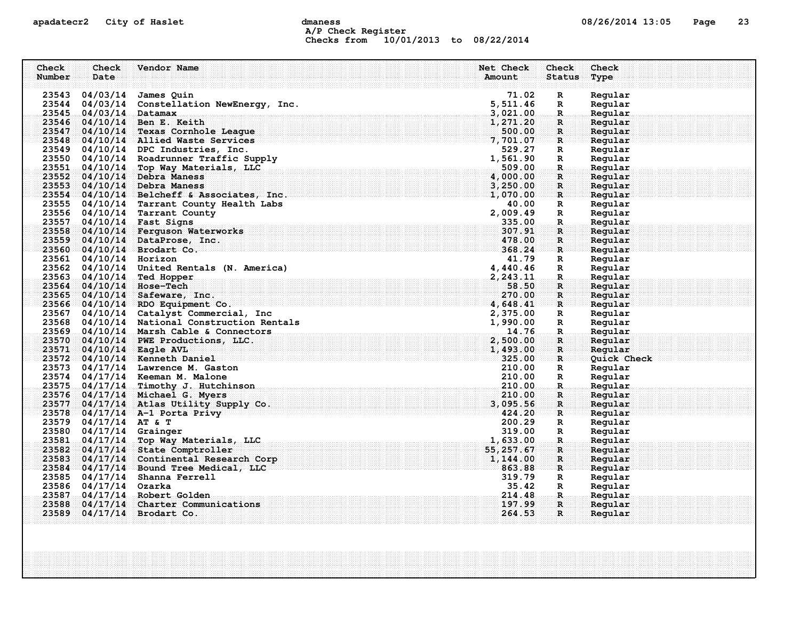# apadatecr2 City of Haslet computer dmaness computer dmanus dmaness computer computer of  $08/26/2014$  13:05 Page 23 A/P Check Register Checks from 10/01/2013 to 08/22/2014

| Check<br>Number | Check<br>Date          | Vendor Name                                                | Net Check<br>Amount | Check<br><b>Status</b>       | Check<br>Type      |
|-----------------|------------------------|------------------------------------------------------------|---------------------|------------------------------|--------------------|
|                 |                        |                                                            |                     |                              |                    |
|                 | 23543 04/03/14         | James Quin                                                 | 71.02               | R                            | Regular            |
|                 | 23544 04/03/14         | Constellation NewEnergy, Inc.                              | 5,511.46            | $\mathbf R$                  | Regular            |
|                 | 23545 04/03/14         | Datamax                                                    | 3,021.00            | $\mathbf R$                  | Regular            |
|                 |                        | 23546 04/10/14 Ben E. Keith                                | 1,271.20            | $\mathbf{R}$                 | Regular            |
|                 |                        | 23547 04/10/14 Texas Cornhole League                       | 500.00              | $\mathbf{R}$                 | Regular            |
|                 |                        | 23548 04/10/14 Allied Waste Services                       | 7,701.07            | $\mathbf{R}$                 | Regular            |
|                 |                        | 23549 04/10/14 DPC Industries, Inc.                        | 529.27              | $\mathbf R$                  | Regular            |
|                 |                        | 23550 04/10/14 Roadrunner Traffic Supply                   | 1,561.90            | $\mathbf{R}$                 | Regular            |
|                 |                        | 23551 04/10/14 Top Way Materials, LLC                      | 509.00              | $\mathbf{R}$                 | Regular            |
|                 |                        | 23552 04/10/14 Debra Maness<br>23553 04/10/14 Debra Maness | 4,000.00            | $\mathbf{R}$<br>$\mathbf{R}$ | Regular            |
|                 |                        | 23554 04/10/14 Belcheff & Associates, Inc.                 | 3,250.00            |                              | Reqular            |
|                 |                        | 23555 04/10/14 Tarrant County Health Labs                  | 1,070.00<br>40.00   | $\mathbf R$                  | Regular            |
|                 |                        | 23556 04/10/14 Tarrant County                              | 2,009.49            | R<br>R                       | Regular<br>Regular |
|                 |                        | 23557 04/10/14 Fast Signs                                  | 335.00              | $\mathbf R$                  | Regular            |
|                 |                        | 23558 04/10/14 Ferguson Waterworks                         | 307.91              | $\mathbf{R}$                 | Regular            |
|                 |                        | 23559 04/10/14 DataProse, Inc.                             | 478.00              | $\mathbf{R}$                 | Regular            |
|                 |                        | 23560 04/10/14 Brodart Co.                                 | 368.24              | $\mathbf{R}$                 | Regular            |
|                 | 23561 04/10/14 Horizon |                                                            | 41.79               | $\mathbf{R}$                 | Regular            |
|                 |                        | 23562 04/10/14 United Rentals (N. America)                 | 4,440.46            | $\mathbf R$                  | Regular            |
|                 |                        | 23563 04/10/14 Ted Hopper                                  | 2,243.11            | $\mathbf{R}$                 | Regular            |
|                 |                        | 23564 04/10/14 Hose-Tech                                   | 58.50               | R                            | Regular            |
|                 |                        | 23565 04/10/14 Safeware, Inc.                              | 270.00              | $\mathbf{R}$                 | Regular            |
|                 |                        | 23566 04/10/14 RDO Equipment Co.                           | 4,648.41            | $\mathbf{R}$                 | Regular            |
|                 |                        | 23567 04/10/14 Catalyst Commercial, Inc                    | 2,375.00            | $\mathbf R$                  | Regular            |
|                 |                        | 23568 04/10/14 National Construction Rentals               | 1,990.00            | $\mathbf R$                  | Regular            |
|                 |                        | 23569 04/10/14 Marsh Cable & Connectors                    | 14.76               | $\mathbf R$ .                | Regular            |
|                 |                        | 23570 04/10/14 PWE Productions, LLC.                       | 2,500.00            | $\mathbf R$                  | Regular            |
|                 |                        | 23571 04/10/14 Eagle AVL                                   | 1,493.00            | $\mathbf{R}$                 | Regular            |
|                 |                        | 23572 04/10/14 Kenneth Daniel                              | 325.00              | R                            | Quick Check        |
|                 |                        | 23573 04/17/14 Lawrence M. Gaston                          | 210.00              | R                            | Regular            |
|                 |                        | 23574 04/17/14 Keeman M. Malone                            | 210.00              | $\mathbb{R}$                 | Regular            |
|                 |                        | 23575 04/17/14 Timothy J. Hutchinson                       | 210.00              | $\mathbf R$                  | Regular            |
|                 |                        | 23576 04/17/14 Michael G. Myers                            | 210.00              | R                            | Reqular            |
|                 |                        | 23577 04/17/14 Atlas Utility Supply Co.                    | 3,095.56            | $\mathbf{R}$                 | Regular            |
|                 |                        | 23578 04/17/14 A-1 Porta Privy                             | 424.20              | R                            | Regular            |
|                 | 23579 04/17/14 AT & T  |                                                            | 200.29              | R                            | Regular            |
|                 | 23580 04/17/14         | Grainger                                                   | 319.00              | R                            | Regular            |
|                 |                        | 23581 04/17/14 Top Way Materials, LLC                      | 1,633.00            | $\mathbf{R}_1$               | Regular            |
|                 |                        | 23582 04/17/14 State Comptroller                           | 55, 257.67          | $\mathbf{R}$                 | Regular            |
|                 |                        | 23583 04/17/14 Continental Research Corp                   | 1,144.00            | $\mathbf{R}$                 | Regular            |
|                 |                        | 23584 04/17/14 Bound Tree Medical, LLC                     | 863.88              | R                            | Regular            |
|                 |                        | 23585 04/17/14 Shanna Ferrell                              | 319.79              | R                            | Regular            |
|                 | 23586 04/17/14 Ozarka  |                                                            | 35.42               | R                            | Regular            |
|                 |                        | 23587 04/17/14 Robert Golden                               | 214.48              | $\mathbf R$                  | Regular            |
|                 |                        | 23588 04/17/14 Charter Communications                      | 197.99              | $\mathbf{R}$                 | Reqular            |
|                 |                        | 23589 04/17/14 Brodart Co.                                 | 264.53              | $\mathbf{R}$                 | Regular            |
|                 |                        |                                                            |                     |                              |                    |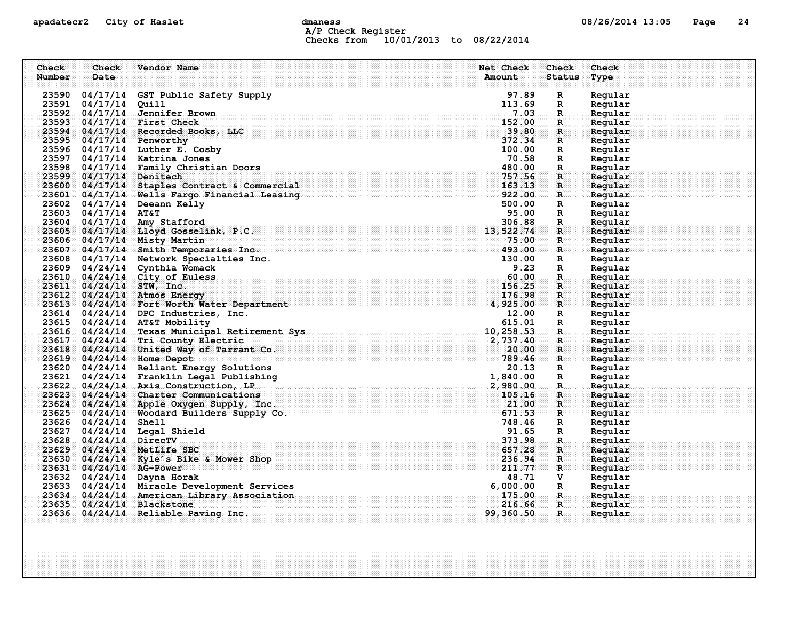# apadatecr2 City of Haslet dmaness dmaness and the control of the 13:05 Page 24 A/P Check Register Checks from 10/01/2013 to 08/22/2014

| Check  | Check                    | Vendor Name                                                    | Net Check        | Check              | Check              |
|--------|--------------------------|----------------------------------------------------------------|------------------|--------------------|--------------------|
| Number | Date                     |                                                                | Amount           | <b>Status</b>      | Type               |
|        |                          |                                                                |                  |                    |                    |
|        |                          | 23590 04/17/14 GST Public Safety Supply                        | 97.89            | R                  | Regular            |
|        | 23591 04/17/14 Quill     |                                                                | 113.69           | R                  | Regular            |
|        |                          | 23592 04/17/14 Jennifer Brown                                  | 7.03             | $\mathbf R$        | Regular            |
|        |                          | 23593 04/17/14 First Check                                     | 152.00           | $\mathbf{R}$       | Regular            |
|        |                          | 23594 04/17/14 Recorded Books, LLC                             | 39.80            | $\mathbf{R}$       | Regular            |
|        |                          | 23595 04/17/14 Penworthy                                       | 372.34<br>100.00 | R                  | Regular<br>Regular |
|        |                          | 23596 04/17/14 Luther E. Cosby<br>23597 04/17/14 Katrina Jones | 70.58            | R                  |                    |
|        |                          | 23598 04/17/14 Family Christian Doors                          | 480.00           | R<br>$\mathbf R$ . | Regular<br>Regular |
|        | 23599 04/17/14 Denitech  |                                                                | 757.56           | R                  | Regular            |
|        |                          | 23600 04/17/14 Staples Contract & Commercial                   | 163.13           | $\mathbf R$        | Regular            |
|        |                          | 23601 04/17/14 Wells Fargo Financial Leasing                   | 922.00           | $\mathbf{R}$       | Regular            |
|        |                          | 23602 04/17/14 Deeann Kelly                                    | 500.00           | R                  | Regular            |
|        | 23603 04/17/14 AT&T      |                                                                | 95.00            | R                  | Regular            |
|        |                          | 23604 04/17/14 Amy Stafford                                    | 306.88           | R.                 | Regular            |
|        |                          | 23605 04/17/14 Lloyd Gosselink, P.C.                           | 13,522.74        | $\mathbf{R}$ .     | Regular            |
|        |                          | 23606 04/17/14 Misty Martin                                    | 75.00            | $\mathbf R$ .      | Regular            |
|        |                          | 23607 04/17/14 Smith Temporaries Inc.                          | 493.00           | $\mathbf{R}$       | Regular            |
|        |                          | 23608 04/17/14 Network Specialties Inc.                        | 130.00           | R                  | Regular            |
|        |                          | 23609 04/24/14 Cynthia Womack                                  | 9.23             | R                  | Regular            |
|        |                          | 23610 04/24/14 City of Euless                                  | 60.00            | $\mathbf R$        | Regular            |
|        | 23611 04/24/14 STW, Inc. |                                                                | 156.25           | $\mathbf R$        | Regular            |
|        |                          | 23612 04/24/14 Atmos Energy                                    | 176.98           | $\mathbf R$        | Regular            |
|        |                          | 23613 04/24/14 Fort Worth Water Department                     | 4,925.00         | $\mathbf{R}$       | Regular            |
|        |                          | 23614 04/24/14 DPC Industries, Inc.                            | 12.00            | R                  | Regular            |
|        |                          | 23615 04/24/14 AT&T Mobility                                   | 615.01           | R                  | Regular            |
|        |                          | 23616 04/24/14 Texas Municipal Retirement Sys 10,258.53        |                  | $\mathbf R$        | Regular            |
|        |                          | 23617 04/24/14 Tri County Electric                             | 2,737.40         | $\mathbf R$ :      | Regular            |
|        |                          | 23618 04/24/14 United Way of Tarrant Co.                       | 20.00            | $\mathbf{R}$       | Regular            |
|        |                          | 23619 04/24/14 Home Depot                                      | 789.46           | $\mathbf{R}$       | Regular            |
|        |                          | 23620 04/24/14 Reliant Energy Solutions                        | 20.13            | R                  | Regular            |
|        |                          | 23621 04/24/14 Franklin Legal Publishing                       | 1,840.00         | R                  | Regular            |
|        |                          | 23622 04/24/14 Axis Construction, LP                           | 2,980.00         | R.                 | Regular            |
|        |                          | 23623 04/24/14 Charter Communications                          | 105.16           | $\mathbf{R}$ :     | Regular            |
|        |                          | 23624 04/24/14 Apple Oxygen Supply, Inc.                       | 21.00            | $\mathbf{R}$       | Regular            |
|        |                          | 23625 04/24/14 Woodard Builders Supply Co.                     | 671.53           | $\mathbf{R}$       | Regular            |
|        | 23626 04/24/14 Shell     |                                                                | 748.46           | R                  | Regular            |
|        |                          | 23627 04/24/14 Legal Shield                                    | 91.65            | R                  | Regular            |
|        | 23628 04/24/14 DirecTV   |                                                                | 373.98           | R.                 | Regular            |
|        |                          | 23629 04/24/14 MetLife SBC                                     | 657.28           | R                  | Regular            |
|        |                          | 23630 04/24/14 Kyle's Bike & Mower Shop                        | 236.94           | R                  | Regular            |
|        | 23631 04/24/14 AG-Power  |                                                                | 211.77           | R                  | Regular            |
|        |                          | 23632 04/24/14 Dayna Horak                                     | 48.71            | v                  | Regular            |
|        |                          | 23633 04/24/14 Miracle Development Services                    | 6,000.00         | R                  | Regular            |
|        |                          | 23634 04/24/14 American Library Association                    | 175.00           | -R.,               | Regular            |
|        |                          | 23635 04/24/14 Blackstone                                      | 216.66           | $\mathbf{R}$       | Reqular            |
|        |                          | 23636 04/24/14 Reliable Paving Inc.                            | 99,360.50        | $\mathbf{R}$       | Regular            |
|        |                          |                                                                |                  |                    |                    |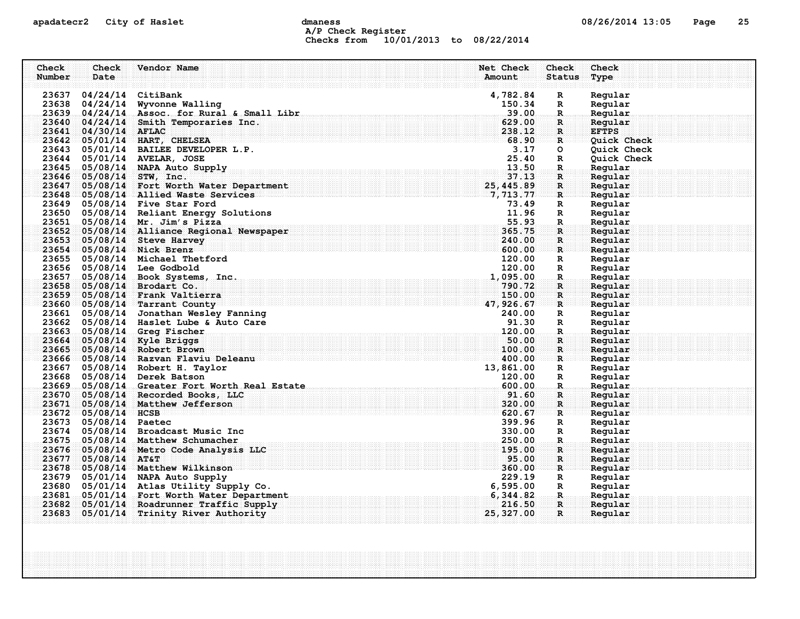# apadatecr2 City of Haslet computer dmaness computer dmanus dmaness computer computer of  $08/26/2014$  13:05 Page 25 A/P Check Register Checks from 10/01/2013 to 08/22/2014

| Check  | Check                   | Vendor Name                                                                            | Net Check        | Check                         | Check                  |
|--------|-------------------------|----------------------------------------------------------------------------------------|------------------|-------------------------------|------------------------|
| Number | Date                    |                                                                                        | Amount           | <b>Status</b>                 | Type                   |
|        |                         |                                                                                        |                  |                               |                        |
|        | 23637 04/24/14 CitiBank |                                                                                        | 4,782.84         | $\mathbf R$                   | Regular                |
|        |                         | 23638 04/24/14 Wyvonne Walling                                                         | 150.34           | $\mathbf R$                   | Regular                |
|        |                         | 23639 04/24/14 Assoc. for Rural & Small Libr                                           | 39.00            | $\mathbf R$                   | Regular                |
|        |                         | 23640 04/24/14 Smith Temporaries Inc.                                                  | 629.00           | R                             | Reqular                |
|        | 23641 04/30/14 AFLAC    |                                                                                        | 238.12<br>68.90  | $\mathbf{R}$                  | <b>EFTPS</b>           |
|        |                         | 23642 05/01/14 HART, CHELSEA<br>23643 05/01/14 BAILEE DEVELOPER L.P.                   | 3.17             | $\mathbf{R}$                  | Quick Check            |
|        |                         |                                                                                        | 25.40            | $\circ$                       | Quick Check            |
|        |                         | 23644 05/01/14 AVELAR, JOSE<br>23645 05/08/14 NAPA Auto Supply                         | 13.50            | R<br>$\mathbf R$              | Quick Check<br>Regular |
|        |                         | 23646 05/08/14 STW, Inc.                                                               | 37.13            | $\mathbf{R}$                  | Regular                |
|        |                         | 23647 05/08/14 Fort Worth Water Department                                             | 25, 445.89       | R                             | Regular                |
|        |                         | 23648 05/08/14 Allied Waste Services                                                   | 7,713.77         | $\mathbf{R}$                  | Regular                |
|        |                         | 23649 05/08/14 Five Star Ford                                                          | 73.49            | R                             | Regular                |
|        |                         | 23650 05/08/14 Reliant Energy Solutions                                                | 11.96            | $\mathbf R$                   | Regular                |
|        |                         | 23651 05/08/14 Mr. Jim's Pizza                                                         | 55.93            | R.                            | Regular                |
|        |                         | 23652 05/08/14 Alliance Regional Newspaper                                             | 365.75           | $\mathbf{R}$                  | Regular                |
|        |                         | 23653 05/08/14 Steve Harvey                                                            | 240.00           | $\mathbf R$                   | Regular                |
|        |                         | 23654 05/08/14 Nick Brenz                                                              | 600.00           | R                             | Regular                |
|        |                         | 23655 05/08/14 Michael Thetford                                                        | 120.00           | R                             | Regular                |
|        |                         | 23656 05/08/14 Lee Godbold                                                             | 120.00           | $\mathbf{R}$                  | Regular                |
|        |                         | 23657 05/08/14 Book Systems, Inc.                                                      | 1,095.00         | $\mathbf{R}$                  | Regular                |
|        |                         | 23658 05/08/14 Brodart Co.                                                             | 790.72           | $\mathbf R$                   | Regular                |
|        |                         | 23659 05/08/14 Frank Valtierra                                                         | 150.00           | $\mathbf{R}$                  | Reqular                |
|        |                         | 23660 05/08/14 Tarrant County                                                          | 47,926.67        | R                             | Regular                |
|        |                         | 23661 05/08/14 Jonathan Wesley Fanning                                                 | 240.00           | R                             | Regular                |
|        |                         | 23662 05/08/14 Haslet Lube & Auto Care                                                 | 91.30            | $\mathbf{R}$                  | Regular                |
|        |                         | 23663 05/08/14 Greg Fischer                                                            | 120.00           | $\mathbf R$ .                 | Reqular                |
|        |                         | 23664 05/08/14 Kyle Briggs                                                             | 50.00            | R                             | Regular                |
|        |                         | 23665 05/08/14 Robert Brown                                                            | 100.00           | $\mathbf{R}$                  | Regular                |
|        |                         | 23666 05/08/14 Razvan Flaviu Deleanu                                                   | 400.00           | $\mathbf R$ .                 | Regular                |
|        |                         | 23667 05/08/14 Robert H. Taylor                                                        | 13,861.00        | R                             | Regular                |
|        |                         | 23668 05/08/14 Derek Batson                                                            | 120.00           | R                             | Regular                |
|        |                         | 23669 05/08/14 Greater Fort Worth Real Estate                                          | 600.00           | R.                            | Regular                |
|        |                         | 23670 05/08/14 Recorded Books, LLC                                                     | 91.60            | $\mathbf R$                   | Regular                |
|        |                         | 23671 05/08/14 Matthew Jefferson                                                       | 320.00           | $\mathbf{R}$                  | Regular                |
|        | $23672$ 05/08/14 HCSB   |                                                                                        | 620.67           | R                             | Regular                |
|        | 23673 05/08/14 Paetec   |                                                                                        | 399.96           | R                             | Regular                |
|        |                         | 23674 05/08/14 Broadcast Music Inc                                                     | 330.00           | R                             | Regular                |
|        |                         | 23675 05/08/14 Matthew Schumacher                                                      | 250.00           | R.                            | Regular                |
|        |                         | 23676 05/08/14 Metro Code Analysis LLC                                                 | 195.00           | R                             | Regular                |
|        | 23677 05/08/14 AT&T     |                                                                                        | 95.00            | $\mathbf R$                   | Regular                |
|        |                         | 23678 05/08/14 Matthew Wilkinson                                                       | 360.00<br>229.19 | $\mathbf{R}$                  | Regular                |
|        |                         | 23679 05/01/14 NAPA Auto Supply<br>23680 05/01/14 Atlas Utility Supply Co.             | 6, 595.00        | $\mathbf{R}$                  | Regular<br>Regular     |
|        |                         |                                                                                        | 6,344.82         | R                             | Regular                |
|        |                         | 23681 05/01/14 Fort Worth Water Department<br>23682 05/01/14 Roadrunner Traffic Supply | 216.50           | $\mathbf R$ .<br>$\mathbf{R}$ | Reqular                |
|        |                         | 23683 05/01/14 Trinity River Authority                                                 | 25, 327.00       | $\mathbf{R}$                  | Regular                |
|        |                         |                                                                                        |                  |                               |                        |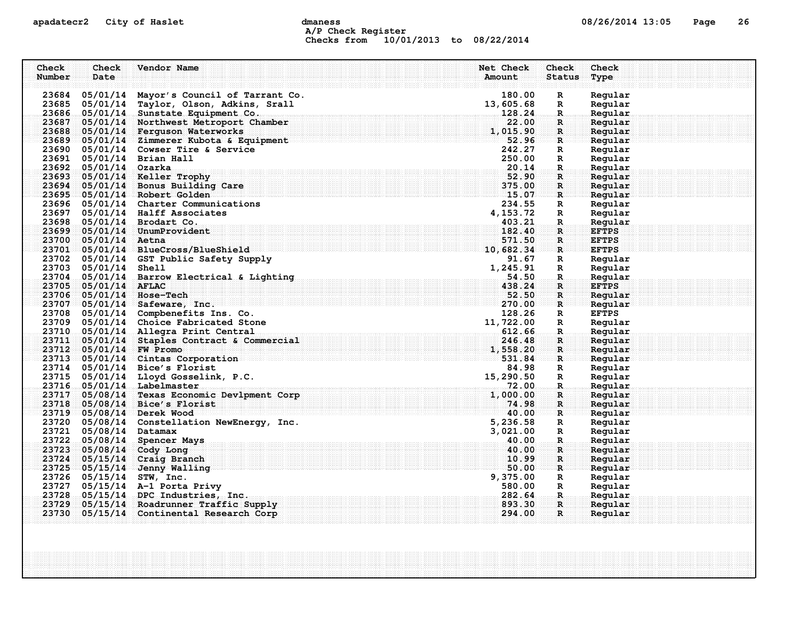# apadatecr2 City of Haslet dmaness dmaness and the US/26/2014 13:05 Page 26 A/P Check Register Checks from 10/01/2013 to 08/22/2014

| Check<br>Number | Check<br>Date           | Vendor Name                                                        | Net Check<br>Amount | <b>Check</b><br><b>Status</b> | Check<br>Type      |
|-----------------|-------------------------|--------------------------------------------------------------------|---------------------|-------------------------------|--------------------|
|                 |                         |                                                                    |                     |                               |                    |
|                 |                         | 23684 05/01/14 Mayor's Council of Tarrant Co.                      | 180.00              | $\mathbf{R}$                  | Regular            |
|                 |                         | 23685 05/01/14 Taylor, Olson, Adkins, Srall                        | 13,605.68           | R                             | Regular            |
|                 |                         | 23686 05/01/14 Sunstate Equipment Co.                              | 128.24              | $\mathbf R$ .                 | Regular            |
|                 |                         | 23687 05/01/14 Northwest Metroport Chamber                         | 22.00               | R                             | Regular            |
|                 |                         | 23688 05/01/14 Ferguson Waterworks                                 | 1,015.90            | R                             | Regular            |
|                 |                         | 23689 05/01/14 Zimmerer Kubota & Equipment                         | 52.96               | $\mathbf{R}$                  | Regular            |
|                 |                         | 23690 05/01/14 Cowser Tire & Service                               | 242.27              | R                             | Regular            |
|                 |                         | 23691 05/01/14 Brian Hall                                          | 250.00              | R                             | Regular            |
|                 | 23692 05/01/14 Ozarka   |                                                                    | 20.14<br>52.90      | $\mathbf R$ .                 | Regular            |
|                 |                         | 23693 05/01/14 Keller Trophy                                       | 375.00              | R<br>$\mathbf{R}$             | Regular            |
|                 |                         | 23694 05/01/14 Bonus Building Care<br>23695 05/01/14 Robert Golden | 15.07               | R                             | Regular            |
|                 |                         | 23696 05/01/14 Charter Communications                              | 234.55              | R                             | Regular<br>Regular |
|                 |                         | 23697 05/01/14 Halff Associates                                    | 4, 153. 72          | R                             | Regular            |
|                 |                         | 23698 05/01/14 Brodart Co.                                         | 403.21              | R.                            | Regular            |
|                 |                         | 23699 05/01/14 UnumProvident                                       | 182.40              | R                             | <b>EFTPS</b>       |
|                 | 23700 05/01/14 Aetna    |                                                                    | 571.50              | $\mathbf R$                   | <b>EFTPS</b>       |
|                 |                         | 23701 05/01/14 BlueCross/BlueShield<br>. $10,682.34$ . $10$        |                     | $\mathbf{R}$                  | <b>EFTPS</b>       |
|                 |                         | 23702 05/01/14 GST Public Safety Supply                            | 91.67               | R                             | Regular            |
|                 | 23703 05/01/14 Shell    |                                                                    | 1,245.91            | $\mathbf R$                   | Regular            |
|                 |                         | 23704 05/01/14 Barrow Electrical & Lighting                        | 54.50               | R.                            | Regular            |
|                 | 23705 05/01/14 AFLAC    |                                                                    | 438.24              | $\mathbf R$                   | <b>EFTPS</b>       |
|                 |                         | 23706 05/01/14 Hose-Tech                                           | 52.50               | R                             | Regular            |
|                 |                         | 23707 05/01/14 Safeware, Inc.                                      | 270.00              | $\mathbf{R}$                  | Reqular            |
|                 |                         | 23708 05/01/14 Compbenefits Ins. Co.                               | 128.26              | R                             | <b>EFTPS</b>       |
|                 |                         | 23709 05/01/14 Choice Fabricated Stone                             | 11,722.00           | $\mathbb{R}$                  | Regular            |
|                 |                         | 23710 05/01/14 Allegra Print Central                               | 612.66              | $\mathbf{R}$                  | Regular            |
|                 |                         | 23711 05/01/14 Staples Contract & Commercial                       | 246.48              | R                             | Regular            |
|                 | 23712 05/01/14 FW Promo |                                                                    | 1,558.20            | R                             | Regular            |
|                 |                         | 23713 05/01/14 Cintas Corporation                                  | 531.84              | R                             | Reqular            |
|                 |                         | 23714 05/01/14 Bice's Florist                                      | 84.98               | R                             | Regular            |
|                 |                         | 23715 05/01/14 Lloyd Gosselink, P.C.                               | 15,290.50           | $\mathbb{R}$                  | Regular            |
|                 |                         | 23716 05/01/14 Labelmaster                                         | 72.00               | $\mathbf R$ .                 | Regular            |
|                 |                         | 23717 05/08/14 Texas Economic Devlpment Corp                       | 1,000.00            | $\mathbf R$                   | Regular            |
|                 |                         | 23718 05/08/14 Bice's Florist                                      | 74.98               | R                             | Regular            |
|                 |                         | 23719 05/08/14 Derek Wood                                          | 40.00               | $\mathbf{R}$                  | Regular            |
|                 |                         | 23720 05/08/14 Constellation NewEnergy, Inc.                       | 5,236.58            | R                             | Regular            |
|                 | 23721 05/08/14 Datamax  |                                                                    | 3,021.00            | $\mathbb{R}$                  | Regular            |
|                 |                         | 23722 05/08/14 Spencer Mays                                        | 40.00               | $\mathbf{R}$                  | Regular            |
|                 |                         | 23723 05/08/14 Cody Long                                           | 40.00               | $\mathbf{R}$                  | Regular            |
|                 |                         | 23724 05/15/14 Craig Branch                                        | 10.99               | R                             | Regular            |
|                 |                         | 23725 05/15/14 Jenny Walling                                       | 50.00               | $\mathbf R$                   | Regular            |
|                 |                         | 23726 05/15/14 STW, Inc.                                           | 9,375.00            | $\mathbb{R}$                  | Regular            |
|                 |                         | 23727 05/15/14 A-1 Porta Privy                                     | 580.00              | R                             | Regular            |
|                 |                         | 23728 05/15/14 DPC Industries, Inc.                                | 282.64              | R.,                           | Regular            |
|                 |                         | 23729 05/15/14 Roadrunner Traffic Supply                           | 893.30<br>294.00    | $\mathbf{R}$<br>R             | Regular<br>Regular |
|                 |                         | 23730 05/15/14 Continental Research Corp                           |                     |                               |                    |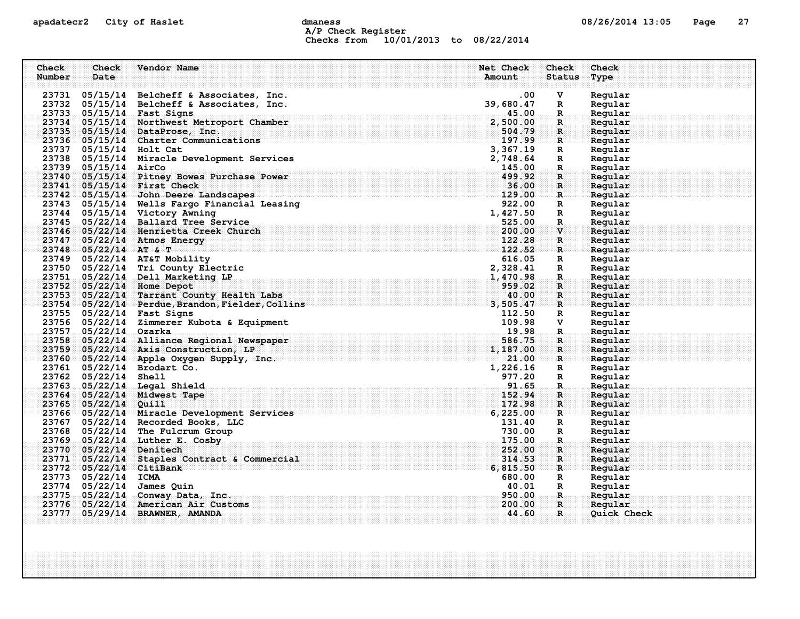# apadatecr2 City of Haslet and dmaness dmaness and the US/26/2014 13:05 Page 27 A/P Check Register Checks from 10/01/2013 to 08/22/2014

| Check  | Check                   | Vendor Name                                                                       | Net Check          | Check             | Check              |
|--------|-------------------------|-----------------------------------------------------------------------------------|--------------------|-------------------|--------------------|
| Number | Date                    |                                                                                   | Amount             | <b>Status</b>     | Type               |
|        |                         |                                                                                   |                    |                   |                    |
| 23731  |                         | 05/15/14 Belcheff & Associates, Inc.                                              | $.00 \,$           | v                 | Regular            |
|        |                         | 23732 05/15/14 Belcheff & Associates, Inc.                                        | 39,680.47          | R                 | Regular            |
|        |                         | 23733 05/15/14 Fast Signs                                                         | 45.00              | $\mathbf R$ .     | Regular            |
|        |                         | 23734 05/15/14 Northwest Metroport Chamber                                        | 2,500.00           | R                 | Regular            |
|        |                         | 23735 05/15/14 DataProse, Inc.                                                    | 504.79             | R                 | Regular            |
|        |                         | 23736 05/15/14 Charter Communications                                             | 197.99             | R                 | Regular            |
|        | 23737 05/15/14 Holt Cat |                                                                                   | 3,367.19           | R                 | Regular            |
|        |                         | 23738 05/15/14 Miracle Development Services                                       | 2,748.64           | R                 | Regular            |
|        | 23739 05/15/14 AirCo    |                                                                                   | 145.00             | R.                | Regular            |
|        |                         | 23740 05/15/14 Pitney Bowes Purchase Power                                        | 499.92             | $\mathbf{R}$      | Regular            |
|        |                         | 23741 05/15/14 First Check                                                        | 36.00              | R                 | Regular            |
|        |                         | 23742 05/15/14 John Deere Landscapes                                              | 129.00             | $\mathbf{R}$      | Regular            |
|        |                         | 23743 05/15/14 Wells Fargo Financial Leasing                                      | 922.00             | R                 | Regular            |
|        |                         | 23744 05/15/14 Victory Awning                                                     | 1,427.50           | R                 | Regular            |
|        |                         | 23745 05/22/14 Ballard Tree Service                                               | 525.00             | R.                | Regular            |
|        |                         | 23746 05/22/14 Henrietta Creek Church                                             | 200.00             | $\mathbf{v}$      | Regular            |
|        |                         | 23747 05/22/14 Atmos Energy                                                       | 122.28             | $\mathbf{R}$      | Regular            |
|        | $23748$ 05/22/14 AT & T | . $122.52$                                                                        |                    | R                 | Regular            |
|        |                         | 23749 05/22/14 AT&T Mobility                                                      | 616.05             | R                 | Regular            |
|        |                         | 23750 05/22/14 Tri County Electric                                                | 2,328.41           | $\mathbf R$       | Regular            |
|        |                         | 23751 05/22/14 Dell Marketing LP                                                  | 1,470.98           | R.                | Regular            |
|        |                         | 23752 05/22/14 Home Depot                                                         | 959.02             | $\mathbf R$       | Regular            |
|        |                         | 23753 05/22/14 Tarrant County Health Labs                                         | 40.00              | R                 | Reqular            |
|        |                         | 23754 05/22/14 Perdue, Brandon, Fielder, Collins                                  | 3,505.47           | $\mathbf{R}$      | Regular            |
|        |                         | 23755 05/22/14 Fast Signs                                                         | 112.50             | R                 | Regular            |
|        |                         | 23756 05/22/14 Zimmerer Kubota & Equipment                                        | 109.98             | v                 | Regular            |
|        | 23757 05/22/14 Ozarka   |                                                                                   | 19.98              | $\mathbf R$ .     | Regular            |
|        |                         | 23758 05/22/14 Alliance Regional Newspaper                                        | 586.75             | R.                | Regular            |
|        |                         | 23759 05/22/14 Axis Construction, LP                                              | 1,187.00           | $\mathbf{R}$      | Regular            |
|        |                         | 23760 05/22/14 Apple Oxygen Supply, Inc.                                          | 21.00              | $\mathbf{R}$      | Reqular            |
|        |                         | 23761 05/22/14 Brodart Co.                                                        | 1,226.16           | $\mathbf R$       | Regular            |
|        | 23762 05/22/14 Shell    |                                                                                   | 977.20             | R                 | Regular            |
|        |                         | 23763 05/22/14 Legal Shield                                                       | 91.65              | $\mathbf{R}$      | Regular            |
|        |                         | 23764 05/22/14 Midwest Tape                                                       | 152.94             | $\mathbf{R}$      | Regular            |
|        | 23765 05/22/14 Quill    |                                                                                   | 172.98             | R                 | Reqular            |
|        |                         | 23766 05/22/14 Miracle Development Services<br>23767 05/22/14 Recorded Books, LLC | 6,225.00<br>131.40 | R                 | Reqular            |
|        |                         | 23768 05/22/14 The Fulcrum Group                                                  | 730.00             | R                 | Regular<br>Regular |
|        |                         | 23769 05/22/14 Luther E. Cosby                                                    | 175.00             | R<br>$\mathbf{R}$ | Regular            |
|        | 23770 05/22/14 Denitech |                                                                                   | 252.00             |                   |                    |
|        |                         | 23771 05/22/14 Staples Contract & Commercial                                      | 314.53             | R<br>R            | Regular<br>Regular |
|        | 23772 05/22/14 CitiBank |                                                                                   | 6,815.50           | $\mathbf{R}$      | Regular            |
|        | 23773 05/22/14 ICMA     |                                                                                   | 680.00             | R                 | Regular            |
|        |                         | 23774 05/22/14 James Quin                                                         | 40.01              | R                 | Regular            |
|        |                         | 23775 05/22/14 Conway Data, Inc.                                                  | 950.00             | $\mathbf{R}$ .    | Regular            |
| 23776  |                         | 05/22/14 American Air Customs                                                     | 200.00             | R.                | Regular            |
| 23777  |                         | 05/29/14 BRAWNER, AMANDA                                                          | 44.60              | $\mathbf{R}$      | Quick Check        |
|        |                         |                                                                                   |                    |                   |                    |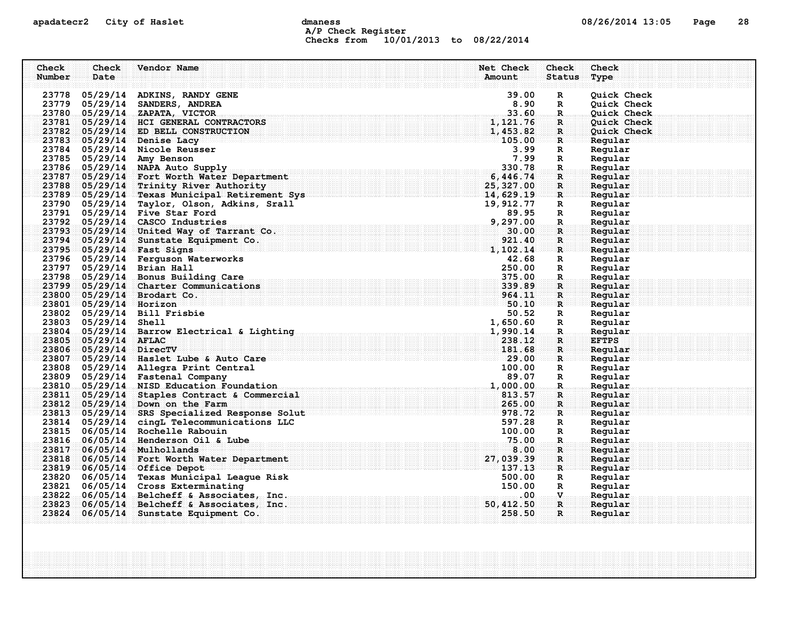## apadatecr2 City of Haslet computer dmaness computer dmanus dmaness computer computer of  $08/26/2014$  13:05 Page 28 A/P Check Register Checks from 10/01/2013 to 08/22/2014

| Check<br>Number | Check<br>Date          | Vendor Name                                                                                           | Net Check<br>Amount | Check<br><b>Status</b>                 | Check<br>Type      |
|-----------------|------------------------|-------------------------------------------------------------------------------------------------------|---------------------|----------------------------------------|--------------------|
|                 |                        | 23778 05/29/14 ADKINS, RANDY GENE                                                                     | 39.00               | R                                      | Quick Check        |
|                 |                        | 23779 05/29/14 SANDERS, ANDREA                                                                        | 8.90                | R                                      | Quick Check        |
|                 |                        | 23780 05/29/14 ZAPATA, VICTOR                                                                         | 33.60               | $\mathbf{R}$                           | Quick Check        |
| 23781           |                        | 05/29/14 HCI GENERAL CONTRACTORS                                                                      | 1, 121.76           | $\mathbf R$                            | Quick Check        |
|                 |                        | 23782 05/29/14 ED BELL CONSTRUCTION                                                                   | 1,453.82            | $\mathbf{R}$                           | <b>Ouick Check</b> |
|                 |                        | 23783 05/29/14 Denise Lacy                                                                            | 105.00              | R                                      | Reqular            |
|                 |                        | 23784 05/29/14 Nicole Reusser                                                                         | 3.99                | R                                      | Regular            |
|                 |                        | 23785 05/29/14 Amy Benson                                                                             | 7.99                | R                                      | Regular            |
|                 |                        | 23786 05/29/14 NAPA Auto Supply                                                                       | 330.78              | $\mathbf R$                            | Regular            |
| 23787           |                        | 05/29/14 Fort Worth Water Department                                                                  | 6,446.74            | $\mathbf{R}$                           | Regular            |
|                 |                        | 23788 05/29/14 Trinity River Authority                                                                | 25,327.00           | $\mathbf R$                            | Reqular            |
|                 |                        | 23789 05/29/14 Texas Municipal Retirement Sys 19 14,629.19                                            |                     | R                                      | Regular            |
|                 |                        | 23790 05/29/14 Taylor, Olson, Adkins, Srall                                                           | 19,912.77           | R                                      | Regular            |
|                 |                        | 23791 05/29/14 Five Star Ford                                                                         | 89.95               | R                                      | Regular            |
|                 |                        | 23792 05/29/14 CASCO Industries                                                                       | 9,297.00            | R.                                     | Regular            |
|                 |                        | 23793 05/29/14 United Way of Tarrant Co.                                                              | 30.00               | $\mathbf{R}$                           | Regular            |
|                 |                        | 23794 05/29/14 Sunstate Equipment Co.                                                                 | 921.40              | $\mathbf{R}$                           | Regular            |
|                 |                        | 23795 05/29/14 Fast Signs                                                                             | 1,102.14            | $\mathbf{R}$ . The set of $\mathbf{R}$ | Regular            |
|                 |                        | 23796 05/29/14 Ferguson Waterworks                                                                    | 42.68               | R                                      | Regular            |
|                 |                        | 23797 05/29/14 Brian Hall                                                                             | 250.00              | R                                      | Regular            |
|                 |                        | 23798 05/29/14 Bonus Building Care                                                                    | 375.00              | $\mathbf{R}$                           | Regular            |
|                 |                        | 23799 05/29/14 Charter Communications                                                                 | 339.89              | $\mathbf{R}$                           | Regular            |
| 23800           |                        | $05/29/14$ Brodart Co.                                                                                | 964.11              | R.                                     | Regular            |
|                 | 23801 05/29/14 Horizon | . So a set of the set of the set of the set of $\mathbf{50.10}$                                       |                     | R                                      | Regular            |
| 23802           |                        | 05/29/14 Bill Frisbie                                                                                 | 50.52               | R                                      | Regular            |
|                 | 23803 05/29/14 Shell   |                                                                                                       | 1,650.60            | R                                      | Regular            |
| 23804           |                        | 05/29/14 Barrow Electrical & Lighting 2014 2014 12:30:30 12:30:30 12:30 12:30 12:30 12:30 12:30 12:30 | 1,990.14            | $\mathbf{R}$                           | Regular            |
| 23805           | 05/29/14 AFLAC         |                                                                                                       | 238.12              | $\mathbf{R}$                           | <b>EFTPS</b>       |
|                 | 23806 05/29/14 DirecTV | $\frac{1}{25.00}$                                                                                     | 181.68              | $\mathbf{R}$                           | Regular            |
|                 |                        | 23807 05/29/14 Haslet Lube & Auto Care                                                                | 100.00              | R                                      | Regular            |
|                 |                        | 23808 05/29/14 Allegra Print Central<br>23809 05/29/14 Fastenal Company                               | 89.07               | R<br>R                                 | Regular<br>Regular |
|                 |                        | 23810 05/29/14 NISD Education Foundation                                                              | 1,000.00            | $\mathbf{R}$ .                         | Regular            |
| 23811           |                        | 05/29/14 Staples Contract & Commercial                                                                | 813.57              | R                                      | Regular            |
| 23812           |                        | 05/29/14 Down on the Farm                                                                             | 265.00              | $\mathbf{R}$                           | Regular            |
|                 |                        | 23813 05/29/14 SRS Specialized Response Solut                                                         |                     | R                                      | Reqular            |
|                 |                        | 23814 05/29/14 cingL Telecommunications LLC                                                           | 597.28              | R                                      | Regular            |
|                 |                        | 23815 06/05/14 Rochelle Rabouin                                                                       | 100.00              | $\mathbf R$                            | Regular            |
|                 |                        | 23816 06/05/14 Henderson Oil & Lube<br>$\mathbf{75.00}$ .                                             |                     | $\mathbf{R}$                           | Regular            |
|                 |                        | 23817 06/05/14 Mulhollands                                                                            | 8.00                | R                                      | Regular            |
| 23818           |                        | 06/05/14 Fort Worth Water Department                                                                  | 27,039.39           | R                                      | Regular            |
|                 |                        | 23819 06/05/14 Office Depot                                                                           | 137.13              | $\mathbf{R}$                           | Regular            |
|                 |                        | 23820 06/05/14 Texas Municipal League Risk                                                            | 500.00              | R                                      | Regular            |
|                 |                        | 23821 06/05/14 Cross Exterminating                                                                    | 150.00              | $\mathbf R$                            | Regular            |
| 23822           |                        | 06/05/14 Belcheff & Associates, Inc.                                                                  | .00.                | . V .                                  | Regular            |
| 23823           |                        | 06/05/14 Belcheff & Associates, Inc.                                                                  | 50, 412.50          | $\mathbf{R}$                           | Reqular            |
| 23824           |                        | 06/05/14 Sunstate Equipment Co.                                                                       | 258.50              | $\mathbf{R}$                           | Regular            |
|                 |                        |                                                                                                       |                     |                                        |                    |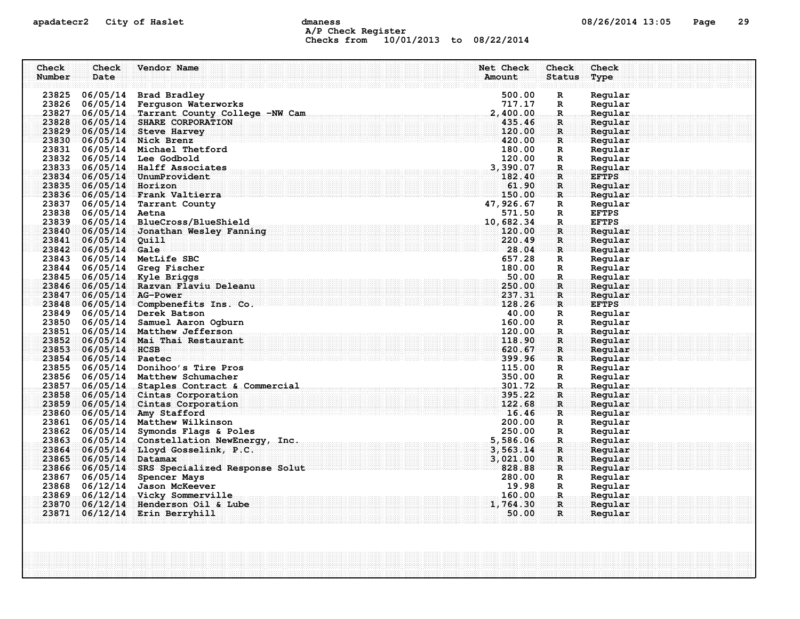## apadatecr2 City of Haslet computer dmaness computer dmanus dmaness computer computer of  $08/26/2014$  13:05 Page 29 A/P Check Register Checks from 10/01/2013 to 08/22/2014

| Check          | Check                      | Vendor Name                                   | Net Check       | Check                       | Check              |
|----------------|----------------------------|-----------------------------------------------|-----------------|-----------------------------|--------------------|
| Number         | Date                       |                                               | Amount          | <b>Status</b>               | Type               |
|                |                            |                                               |                 |                             |                    |
| 23825          |                            | 06/05/14 Brad Bradley                         | 500.00          | R                           | Regular            |
| 23826          |                            | 06/05/14 Ferguson Waterworks                  | 717.17          | $\mathbf{R}$                | Regular            |
| 23827          |                            | 06/05/14 Tarrant County College -NW Cam       | 2,400.00        | $\mathbf{R}$ .              | Regular            |
| 23828          |                            | 06/05/14 SHARE CORPORATION                    | 435.46          | $\mathbf{R}$                | Regular            |
| 23829          |                            | 06/05/14 Steve Harvey                         | 120.00          | $\mathbb{R}$                | Regular            |
|                |                            | 23830 06/05/14 Nick Brenz                     | 420.00          | R                           | Regular            |
| 23831          |                            | 06/05/14 Michael Thetford                     | 180.00          | R                           | Regular            |
| 23832          |                            | 06/05/14 Lee Godbold                          | 120.00          | $\mathbb{R}$                | Regular            |
| 23833          |                            | 06/05/14 Halff Associates                     | 3,390.07        | $\mathbf R$                 | Regular            |
| 23834          |                            | 06/05/14 UnumProvident                        | 182.40          | $\mathbf{R}$                | <b>EFTPS</b>       |
|                | 23835 06/05/14 Horizon     |                                               | 61.90           | $\mathbf{R}$                | Regular            |
|                |                            | 23836 06/05/14 Frank Valtierra                | 150.00          | $\mathbf{R}$                | Regular            |
| 23837          |                            | 06/05/14 Tarrant County                       | 47, 926.67      | $\mathbf R$                 | Regular            |
| 23838          | 06/05/14 Aetna             |                                               | 571.50          | $\mathbf{R}$                | <b>EFTPS</b>       |
| 23839          |                            | 06/05/14 BlueCross/BlueShield                 | 10,682.34       | $\mathbf{R}$                | <b>EFTPS</b>       |
| 23840<br>23841 |                            | 06/05/14 Jonathan Wesley Fanning              | 120.00          | R<br>$\mathbf{R}$           | Regular            |
|                | $06/05/14$ Quill           |                                               | 220.49<br>28.04 |                             | Regular            |
| 23843          | $23842\quad 06/05/14$ Gale | 06/05/14 MetLife SBC                          | 657.28          | $\mathbf{R}$<br>$\mathbf R$ | Regular<br>Regular |
| 23844          |                            |                                               | 180.00          | $\mathbb{R}$                | Regular            |
| 23845          |                            | 06/05/14 Greg Fischer<br>06/05/14 Kyle Briggs | 50.00           | $\mathbb{R}$                | Regular            |
|                |                            | 23846 06/05/14 Razvan Flaviu Deleanu          | 250.00          | R                           | Regular            |
| 23847          |                            | 06/05/14 AG-Power                             | 237.31          | $\mathbf{R}$                | Regular            |
|                |                            | 23848 06/05/14 Compbenefits Ins. Co.          | 128.26          | $\mathbf{R}$                | <b>EFTPS</b>       |
| 23849          |                            | 06/05/14 Derek Batson                         | 40.00           | R                           | Regular            |
| 23850          |                            | 06/05/14 Samuel Aaron Ogburn                  | 160.00          | R                           | Regular            |
| 23851          |                            | 06/05/14 Matthew Jefferson                    | 120.00          | $\mathbf{R}$                | Regular            |
| 23852          |                            | 06/05/14 Mai Thai Restaurant                  | 118.90          | $\mathbf R$                 | Regular            |
| 23853          | $06/05/14$ HCSB            |                                               | 620.67          | $\mathbf{R}$                | Regular            |
|                | 23854 06/05/14 Paetec      |                                               | 399.96          | $\mathbf R$ .               | Regular            |
| 23855          |                            | 06/05/14 Donihoo's Tire Pros                  | 115.00          | $\mathbf{R}$                | Regular            |
| 23856          |                            | 06/05/14 Matthew Schumacher                   | 350.00          | R                           | Regular            |
| 23857          |                            | 06/05/14 Staples Contract & Commercial        | 301.72          | $\mathbf{R}$                | Regular            |
| 23858          |                            | 06/05/14 Cintas Corporation                   | 395.22          | R                           | Regular            |
| 23859          |                            | 06/05/14 Cintas Corporation                   | 122.68          | $\mathbb{R}$                | Regular            |
|                |                            | 23860 06/05/14 Amy Stafford                   | 16.46           | $\mathbf{R}$                | Regular            |
| 23861          |                            | 06/05/14 Matthew Wilkinson                    | 200.00          | $\mathbb{R}$                | Regular            |
| 23862          |                            | 06/05/14 Symonds Flags & Poles                | 250.00          | $\mathbb{R}$                | Regular            |
| 23863          |                            | 06/05/14 Constellation NewEnergy, Inc.        | 5,586.06        | $\mathbf{R}$                | Regular            |
| 23864          |                            | 06/05/14 Lloyd Gosselink, P.C.                | 3,563.14        | $\mathbf R$                 | Regular            |
|                | 23865 06/05/14 Datamax     |                                               | 3,021.00        | $\mathbf{R}$                | Regular            |
|                |                            | 23866 06/05/14 SRS Specialized Response Solut | 828.88          | $\mathbf{R}$                | Regular            |
| 23867          |                            | 06/05/14 Spencer Mays                         | 280.00          | $\mathbf R$                 | Regular            |
| 23868          | 06/12/14                   | Jason McKeever                                | 19.98           | $\mathbb{R}$                | Regular            |
|                |                            | 23869 06/12/14 Vicky Sommerville              | 160.00          | $\mathbf{R}$ .              | Regular            |
| 23870          |                            | $06/12/14$ Henderson Oil & Lube               | 1,764.30        | $\mathbf{R}$                | Reqular            |
| 23871          |                            | 06/12/14 Erin Berryhill                       | 50.00           | $\mathbf{R}$                | Regular            |
|                |                            |                                               |                 |                             |                    |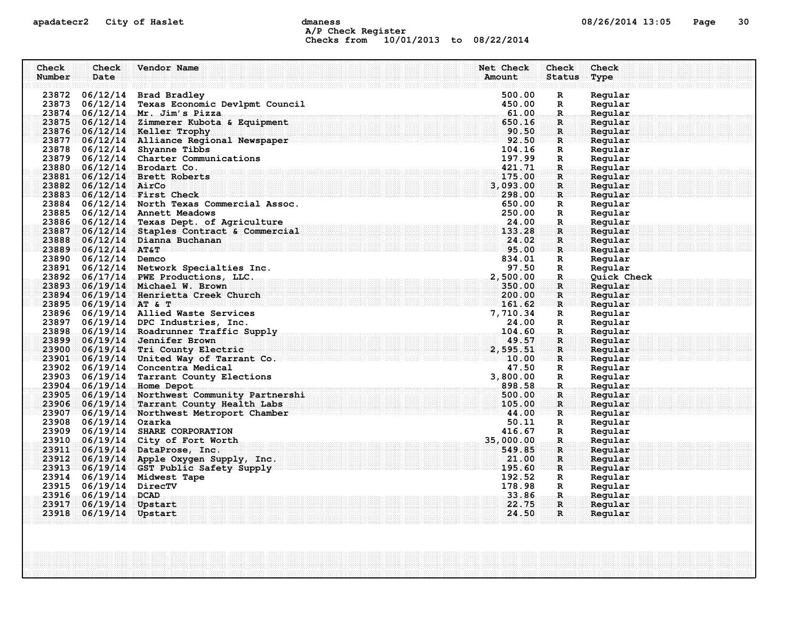# apadatecr2 City of Haslet dmaness dmaness and the US/26/2014 13:05 Page 30 A/P Check Register Checks from 10/01/2013 to 08/22/2014

| Check  | Check                   | Vendor Name                                   | Net Check                                            | Check         | Check       |
|--------|-------------------------|-----------------------------------------------|------------------------------------------------------|---------------|-------------|
| Number | Date                    |                                               | Amount                                               | <b>Status</b> | Type        |
|        |                         |                                               |                                                      |               |             |
| 23872  | 06/12/14                | <b>Brad Bradley</b>                           | 500.00                                               | R             | Regular     |
|        |                         | 23873 06/12/14 Texas Economic Devlpmt Council | 450.00                                               | R             | Regular     |
|        |                         | 23874 06/12/14 Mr. Jim's Pizza                | 61.00                                                | R.            | Regular     |
|        |                         | 23875 06/12/14 Zimmerer Kubota & Equipment    | 650.16                                               | $\mathbf{R}$  | Reqular     |
|        |                         | 23876 06/12/14 Keller Trophy                  | 90.50                                                | $\mathbf R$   | Regular     |
|        |                         | 23877 06/12/14 Alliance Regional Newspaper    | 92.50                                                | $\mathbf{R}$  | Regular     |
|        |                         | 23878 06/12/14 Shyanne Tibbs                  | 104.16                                               | R             | Regular     |
|        |                         | 23879 06/12/14 Charter Communications         | 197.99                                               | R             | Regular     |
| 23880  |                         | 06/12/14 Brodart Co.                          | 421.71                                               | $\mathbf R$   | Regular     |
| 23881  |                         | 06/12/14 Brett Roberts                        | 175.00                                               | R             | Regular     |
| 23882  | $06/12/14$ AirCo        |                                               | 3,093.00                                             | $\mathbf R$   | Regular     |
|        |                         | 23883 06/12/14 First Check                    | 298.00                                               | $\mathbf{R}$  | Regular     |
|        |                         | 23884 06/12/14 North Texas Commercial Assoc.  | 650.00                                               | R             | Regular     |
|        |                         | 23885 06/12/14 Annett Meadows                 | 250.00                                               | R             | Regular     |
|        |                         | 23886 06/12/14 Texas Dept. of Agriculture     | 24.00                                                | $\mathbf R$   | Regular     |
| 23887  |                         | 06/12/14 Staples Contract & Commercial        | 133.28                                               | $\mathbf R$   | Regular     |
|        |                         | 23888 06/12/14 Dianna Buchanan                | 24.02                                                | $\mathbf{R}$  | Regular     |
|        | $23889$ $06/12/14$ AT&T |                                               | 95.00                                                | $\mathbf{R}$  | Regular     |
|        | 23890 06/12/14 Demco    |                                               | 834.01                                               | R             | Regular     |
|        |                         | 23891 06/12/14 Network Specialties Inc.       | 97.50                                                | R             | Regular     |
|        |                         | 23892 06/17/14 PWE Productions, LLC.          | 2,500.00                                             | $\mathbf{R}$  | Quick Check |
|        |                         | 23893 06/19/14 Michael W. Brown               | 350.00                                               | $\mathbf R$   | Regular     |
|        |                         | 23894 06/19/14 Henrietta Creek Church         | 200.00                                               | $\mathbf{R}$  | Reqular     |
|        | 23895 $06/19/14$ AT & T |                                               | 161.62                                               | $\mathbf{R}$  | Regular     |
|        |                         | 23896 06/19/14 Allied Waste Services          | 7,710.34                                             | $\mathbf R$   | Regular     |
|        |                         | 23897 06/19/14 DPC Industries, Inc.           | 24.00                                                | R             | Regular     |
|        |                         | 23898 06/19/14 Roadrunner Traffic Supply      | 104.60                                               | $\mathbf{R}$  | Regular     |
|        |                         | 23899 06/19/14 Jennifer Brown                 | 49.57                                                | R.            | Regular     |
|        |                         | 23900 06/19/14 Tri County Electric            | 2,595.51                                             | R             | Regular     |
|        |                         | 23901 06/19/14 United Way of Tarrant Co.      | 10.00                                                | ार            | Reqular     |
|        |                         | 23902 06/19/14 Concentra Medical              | 47.50                                                | R             | Regular     |
|        |                         | 23903 06/19/14 Tarrant County Elections       | 3,800.00                                             | R             | Regular     |
|        |                         | 23904 06/19/14 Home Depot                     | 898.58                                               | $\mathbf R$   | Regular     |
|        |                         | 23905 06/19/14 Northwest Community Partnershi | 500.00                                               | R             | Regular     |
|        |                         | 23906 06/19/14 Tarrant County Health Labs     | 105.00                                               | $\mathbf{R}$  | Regular     |
|        |                         | 23907 06/19/14 Northwest Metroport Chamber    | . The contract of the contract of $\mathbf{44:00}$ . | $\mathbf{R}$  | Regular     |
|        | 23908 06/19/14          | Ozarka                                        | 50.11                                                | R             | Regular     |
|        |                         | 23909 06/19/14 SHARE CORPORATION              | 416.67                                               | R             | Regular     |
|        |                         | 23910 06/19/14 City of Fort Worth             | 35,000.00                                            | R.            | Regular     |
|        |                         | 23911 06/19/14 DataProse, Inc.                | 549.85                                               | R             | Regular     |
|        |                         | 23912 06/19/14 Apple Oxygen Supply, Inc.      | 21.00                                                | R             | Regular     |
|        |                         | 23913 06/19/14 GST Public Safety Supply       | 195.60                                               | R             | Regular     |
|        |                         | 23914 06/19/14 Midwest Tape                   | 192.52                                               | R             | Regular     |
|        | 23915 06/19/14 DirecTV  |                                               | 178.98                                               | R             | Regular     |
|        | 23916 06/19/14 DCAD     |                                               | 33.86                                                | -R.,          | Regular     |
|        | 23917 06/19/14 Upstart  |                                               | 22.75                                                | R             | Regular     |
|        | 23918 06/19/14 Upstart  |                                               | 24.50                                                | $\mathbf{R}$  | Regular     |
|        |                         |                                               |                                                      |               |             |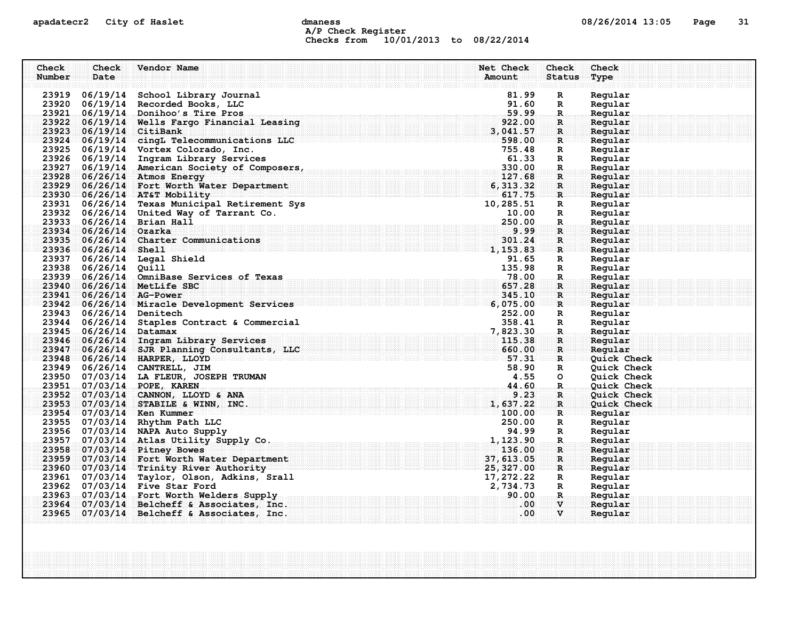## apadatecr2 City of Haslet control dmaness control dmaness control and the US/26/2014 13:05 Page 31 A/P Check Register Checks from 10/01/2013 to 08/22/2014

| Check  | Check                   | Vendor Name                                                                                                                                              | Net Check      | Check             | Check              |
|--------|-------------------------|----------------------------------------------------------------------------------------------------------------------------------------------------------|----------------|-------------------|--------------------|
| Number | Date                    |                                                                                                                                                          | Amount         | <b>Status</b>     | Type               |
|        |                         |                                                                                                                                                          |                |                   |                    |
|        |                         | 23919 06/19/14 School Library Journal                                                                                                                    | 81.99          | $\mathbf{R}$      | Regular            |
|        |                         | 23920 06/19/14 Recorded Books, LLC<br>23921 06/19/14 Donihoo's Tire Pros                                                                                 | 91.60<br>59.99 | R                 | Regular            |
|        |                         | 23922 06/19/14 Wells Fargo Financial Leasing                                                                                                             | 922.00         | $\mathbb{R}$      | Regular<br>Regular |
|        | 23923 06/19/14 CitiBank |                                                                                                                                                          | 3,041.57       | R<br>$\mathbf{R}$ | Regular            |
|        |                         | 23924 06/19/14 cingL Telecommunications LLC                                                                                                              | 598.00         | R                 | Regular            |
|        |                         | 23925 06/19/14 Vortex Colorado, Inc.                                                                                                                     | 755.48         | R                 | Regular            |
|        |                         | 23926 06/19/14 Ingram Library Services                                                                                                                   | 61.33          | $\mathbf{R}$      | Regular            |
|        |                         | 23926 06/19/14 Ingram Library Services<br>23927 06/19/14 American Society of Composers,                                                                  | 330.00         | R.                | Regular            |
|        |                         | 23928 06/26/14 Atmos Energy                                                                                                                              | 127.68         | R                 | Regular            |
|        |                         | 23929 06/26/14 Fort Worth Water Department                                                                                                               | 6,313.32       | $\mathbf R$       | Regular            |
|        |                         | 23930 06/26/14 AT&T Mobility                                                                                                                             | 617.75         | R                 | Regular            |
|        |                         | 23931 06/26/14 Texas Municipal Retirement Sys                                                                                                            | 10,285.51      | R                 | Regular            |
|        |                         | 23932 06/26/14 United Way of Tarrant Co.                                                                                                                 | 10.00          | $\mathbf R$       | Regular            |
|        |                         | 23933 06/26/14 Brian Hall                                                                                                                                | 250.00         | R.                | Regular            |
|        | 23934 06/26/14 Ozarka   |                                                                                                                                                          | 9.99           | $\mathbf{R}$      | Regular            |
|        |                         | 23935 06/26/14 Charter Communications                                                                                                                    | 301.24         | $\mathbf R$       | Regular            |
|        | 23936 06/26/14 Shell    |                                                                                                                                                          | 1, 153.83      | R                 | Regular            |
|        |                         | 23937 06/26/14 Legal Shield                                                                                                                              | 91.65          | R                 | Regular            |
|        | 23938 06/26/14 Quill    |                                                                                                                                                          | 135.98         | $\mathbb{R}$      | Regular            |
|        |                         | 23939 06/26/14 OmniBase Services of Texas                                                                                                                | 78.00          | $\mathbf R$ .     | Regular            |
|        |                         | 23940 06/26/14 MetLife SBC                                                                                                                               | 657.28         | R                 | Regular            |
|        | 23941 06/26/14 AG-Power |                                                                                                                                                          | 345.10         | R                 | Regular            |
|        |                         | 23942 06/26/14 Miracle Development Services                                                                                                              | 6,075.00       | $\mathbf{R}$      | Regular            |
|        | 23943 06/26/14 Denitech |                                                                                                                                                          | 252.00         | R                 | Regular            |
|        |                         | 23944 06/26/14 Staples Contract & Commercial<br>al<br>LC<br>LC and a straight and a straight and a straight and a straight and a straight and a straight | 358.41         | $\mathbb{R}$      | Regular            |
|        | 23945 06/26/14 Datamax  |                                                                                                                                                          | 7,823.30       | $\mathbf R$ .     | Regular            |
|        |                         | 23946 06/26/14 Ingram Library Services                                                                                                                   | 115.38         | $\mathbf R$ :     | Regular            |
|        |                         | 23947 06/26/14 SJR Planning Consultants, LLC                                                                                                             | 660.00         | $\mathbf{R}$      | Regular            |
|        |                         | 23948 06/26/14 HARPER, LLOYD                                                                                                                             | 57.31          | $\mathbf{R}$ .    | Quick Check        |
|        |                         | 23949 06/26/14 CANTRELL, JIM                                                                                                                             | 58.90          | $\mathbf R$       | Quick Check        |
|        |                         | 23950 07/03/14 LA FLEUR, JOSEPH TRUMAN                                                                                                                   | 4.55<br>44.60  | $\circ$           | Quick Check        |
|        |                         | 23951 07/03/14 POPE, KAREN                                                                                                                               | 9.23           | $\mathbf R$ .     | Ouick Check        |
|        |                         | 23952 07/03/14 CANNON, LLOYD & ANA<br>23953 07/03/14 STABILE & WINN, INC.                                                                                | 1,637.22       | $\mathbf R$<br>R  | Quick Check        |
|        |                         | 23954 07/03/14 Ken Kummer                                                                                                                                | 100.00         | $\mathbf R$       | <b>Ouick Check</b> |
|        |                         | 23955 07/03/14 Rhythm Path LLC                                                                                                                           | 250.00         | R                 | Regular<br>Regular |
|        |                         | 23956 07/03/14 NAPA Auto Supply                                                                                                                          | 94.99          | R                 | Regular            |
|        |                         | 23957 07/03/14 Atlas Utility Supply Co.                                                                                                                  | 1,123.90       | $\mathbf{R}_1$    | Regular            |
|        |                         | 23958 07/03/14 Pitney Bowes                                                                                                                              | 136.00         | $\mathbf R$       | Regular            |
|        |                         | 23959 07/03/14 Fort Worth Water Department                                                                                                               | 37, 613.05     | $\mathbf R$       | Regular            |
|        |                         | 23960 07/03/14 Trinity River Authority                                                                                                                   | 25,327.00      | $\mathbf{R}$      | Regular            |
|        |                         | 23961 07/03/14 Taylor, Olson, Adkins, Srall                                                                                                              | 17,272.22      | $\mathbf{R}$      | Regular            |
|        |                         | 23962 07/03/14 Five Star Ford                                                                                                                            | 2,734.73       | $\mathbf R$       | Regular            |
|        |                         | 23963 07/03/14 Fort Worth Welders Supply                                                                                                                 | 90.00          | .R.               | Regular            |
|        |                         | 23964 07/03/14 Belcheff & Associates, Inc.                                                                                                               | $.00 \,$       | $\mathbf{V}$      | Reqular            |
|        |                         | 23965 07/03/14 Belcheff & Associates, Inc.                                                                                                               | .00            | $\mathbf{v}$      | Regular            |
|        |                         |                                                                                                                                                          |                |                   |                    |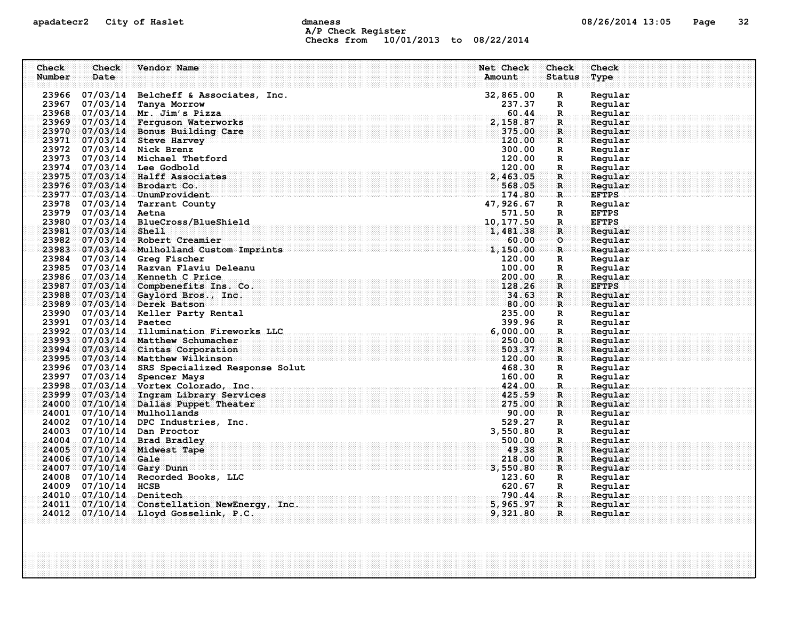# apadatecr2 City of Haslet dmaness dmaness and the US/26/2014 13:05 Page 32 A/P Check Register Checks from 10/01/2013 to 08/22/2014

| Number<br>Date<br>Amount<br><b>Status</b><br>Type<br>23966 07/03/14<br>32,865.00<br>Regular<br>Belcheff & Associates, Inc.<br>R<br>23967 07/03/14 Tanya Morrow<br>237.37<br>R<br>Regular<br>23968 07/03/14 Mr. Jim's Pizza<br>60.44<br>Regular<br>R.<br>23969 07/03/14 Ferguson Waterworks<br>2,158.87<br>$\mathbf{R}$<br>Regular<br>23970 07/03/14 Bonus Building Care<br>375.00<br>$\mathbf{R}$<br>Reqular<br>23971 07/03/14 Steve Harvey<br>120.00<br>Regular<br>$\mathbf{R}$<br>23972 07/03/14 Nick Brenz<br>300.00<br>Reqular<br>R<br>23973 07/03/14 Michael Thetford<br>120.00<br>R<br>Reqular<br>23974 07/03/14 Lee Godbold<br>120.00<br>Regular<br>R.<br>23975 07/03/14 Halff Associates<br>2,463.05<br>R<br>Regular<br>23976 07/03/14 Brodart Co.<br>568.05<br>R<br>Regular<br>23977 07/03/14 UnumProvident<br>174.80<br><b>EFTPS</b><br>$\mathbf{R}$<br>23978 07/03/14 Tarrant County<br>47,926.67<br>R<br>Reqular<br>23979 07/03/14 Aetna<br>571.50<br><b>EFTPS</b><br>R<br>23980 07/03/14 BlueCross/BlueShield<br>10, 177.50<br><b>EFTPS</b><br>R<br>23981 07/03/14 Shell<br>1,481.38<br>Reqular<br>R<br>23982 07/03/14 Robert Creamier<br>60.00<br>$\circ$<br>Reqular<br>23983 07/03/14 Mulholland Custom Imprints<br><u> Kabupatèn Bandarésa (Kabupatèn Bandarésa (Kabupatèn Bandarésa (Kabupatèn Bandarésa (Kabupatèn Bandarésa (Kabu</u><br>1,150.00<br>Reqular<br>R<br>23984 07/03/14 Greg Fischer<br>120.00<br>Regular<br>R<br>23985 07/03/14 Razvan Flaviu Deleanu<br>100.00<br>Regular<br>R<br>23986 07/03/14 Kenneth C Price<br>200.00<br>$\mathbf R$<br>Reqular<br>23987 07/03/14 Compbenefits Ins. Co.<br>128.26<br><b>EFTPS</b><br>R<br>23988 07/03/14 Gaylord Bros., Inc.<br>34.63<br>$\mathbf R$<br>Regular<br>23989 07/03/14 Derek Batson<br>80.00<br>Regular<br>$\mathbf R$<br>23990 07/03/14 Keller Party Rental<br>235.00<br>Regular<br>R<br>23991 07/03/14 Paetec<br>399.96<br>Regular<br>R<br>23992 07/03/14 Illumination Fireworks LLC<br>6,000.00<br>$\mathbf{R}$<br>Reqular<br>23993 07/03/14 Matthew Schumacher<br>250.00<br>Reqular<br>R.<br>23994 07/03/14 Cintas Corporation<br>503.37<br>$\mathbf R$<br>Regular<br>120.00<br>23995 07/03/14 Matthew Wilkinson<br>R<br>Regular<br>23996 07/03/14 SRS Specialized Response Solut<br>468.30<br>R<br>Reqular<br>23997 07/03/14 Spencer Mays<br>160.00<br>Regular<br>R<br>23998 07/03/14 Vortex Colorado, Inc.<br>424.00<br>Regular<br>R.<br>23999 07/03/14 Ingram Library Services<br>425.59<br>Regular<br>R.<br>24000 07/10/14 Dallas Puppet Theater<br>275.00<br>Regular<br>R<br>24001 07/10/14 Mulhollands<br>90.00<br>Regular<br>R<br>24002 07/10/14 DPC Industries, Inc.<br>529.27<br>Regular<br>R<br>24003 07/10/14 Dan Proctor<br>3,550.80<br>Regular<br>R<br>24004 07/10/14 Brad Bradley<br>500.00<br>$\mathbf{R}$<br>Regular<br>49.38<br>24005 07/10/14 Midwest Tape<br>R<br>Reqular<br>24006 07/10/14<br>218.00<br>Gale<br>Regular<br>R<br>24007 07/10/14 Gary Dunn<br>3,550.80<br>$\mathbf{R}$<br>Regular<br>24008 07/10/14<br>Recorded Books, LLC<br>123.60<br>Regular<br>R<br>24009 07/10/14 HCSB<br>620.67<br>Regular<br>R<br>$07/10/14$ Denitech<br>790.44<br>24010<br>$\mathbf R$<br>Reqular<br>24011<br>5,965.97<br>07/10/14 Constellation NewEnergy, Inc.<br>$\mathbf R$<br>Regular<br>24012 07/10/14 Lloyd Gosselink, P.C.<br>9,321.80<br>R.<br>Regular | Check | <b>Check</b> | Vendor Name | Net Check | Check | Check |
|----------------------------------------------------------------------------------------------------------------------------------------------------------------------------------------------------------------------------------------------------------------------------------------------------------------------------------------------------------------------------------------------------------------------------------------------------------------------------------------------------------------------------------------------------------------------------------------------------------------------------------------------------------------------------------------------------------------------------------------------------------------------------------------------------------------------------------------------------------------------------------------------------------------------------------------------------------------------------------------------------------------------------------------------------------------------------------------------------------------------------------------------------------------------------------------------------------------------------------------------------------------------------------------------------------------------------------------------------------------------------------------------------------------------------------------------------------------------------------------------------------------------------------------------------------------------------------------------------------------------------------------------------------------------------------------------------------------------------------------------------------------------------------------------------------------------------------------------------------------------------------------------------------------------------------------------------------------------------------------------------------------------------------------------------------------------------------------------------------------------------------------------------------------------------------------------------------------------------------------------------------------------------------------------------------------------------------------------------------------------------------------------------------------------------------------------------------------------------------------------------------------------------------------------------------------------------------------------------------------------------------------------------------------------------------------------------------------------------------------------------------------------------------------------------------------------------------------------------------------------------------------------------------------------------------------------------------------------------------------------------------------------------------------------------------------------------------------------------------------------------------------------------------------------------------------------------------------------------------------------------------------------------------------------------------------------------------------------------------------|-------|--------------|-------------|-----------|-------|-------|
|                                                                                                                                                                                                                                                                                                                                                                                                                                                                                                                                                                                                                                                                                                                                                                                                                                                                                                                                                                                                                                                                                                                                                                                                                                                                                                                                                                                                                                                                                                                                                                                                                                                                                                                                                                                                                                                                                                                                                                                                                                                                                                                                                                                                                                                                                                                                                                                                                                                                                                                                                                                                                                                                                                                                                                                                                                                                                                                                                                                                                                                                                                                                                                                                                                                                                                                                                                |       |              |             |           |       |       |
|                                                                                                                                                                                                                                                                                                                                                                                                                                                                                                                                                                                                                                                                                                                                                                                                                                                                                                                                                                                                                                                                                                                                                                                                                                                                                                                                                                                                                                                                                                                                                                                                                                                                                                                                                                                                                                                                                                                                                                                                                                                                                                                                                                                                                                                                                                                                                                                                                                                                                                                                                                                                                                                                                                                                                                                                                                                                                                                                                                                                                                                                                                                                                                                                                                                                                                                                                                |       |              |             |           |       |       |
|                                                                                                                                                                                                                                                                                                                                                                                                                                                                                                                                                                                                                                                                                                                                                                                                                                                                                                                                                                                                                                                                                                                                                                                                                                                                                                                                                                                                                                                                                                                                                                                                                                                                                                                                                                                                                                                                                                                                                                                                                                                                                                                                                                                                                                                                                                                                                                                                                                                                                                                                                                                                                                                                                                                                                                                                                                                                                                                                                                                                                                                                                                                                                                                                                                                                                                                                                                |       |              |             |           |       |       |
|                                                                                                                                                                                                                                                                                                                                                                                                                                                                                                                                                                                                                                                                                                                                                                                                                                                                                                                                                                                                                                                                                                                                                                                                                                                                                                                                                                                                                                                                                                                                                                                                                                                                                                                                                                                                                                                                                                                                                                                                                                                                                                                                                                                                                                                                                                                                                                                                                                                                                                                                                                                                                                                                                                                                                                                                                                                                                                                                                                                                                                                                                                                                                                                                                                                                                                                                                                |       |              |             |           |       |       |
|                                                                                                                                                                                                                                                                                                                                                                                                                                                                                                                                                                                                                                                                                                                                                                                                                                                                                                                                                                                                                                                                                                                                                                                                                                                                                                                                                                                                                                                                                                                                                                                                                                                                                                                                                                                                                                                                                                                                                                                                                                                                                                                                                                                                                                                                                                                                                                                                                                                                                                                                                                                                                                                                                                                                                                                                                                                                                                                                                                                                                                                                                                                                                                                                                                                                                                                                                                |       |              |             |           |       |       |
|                                                                                                                                                                                                                                                                                                                                                                                                                                                                                                                                                                                                                                                                                                                                                                                                                                                                                                                                                                                                                                                                                                                                                                                                                                                                                                                                                                                                                                                                                                                                                                                                                                                                                                                                                                                                                                                                                                                                                                                                                                                                                                                                                                                                                                                                                                                                                                                                                                                                                                                                                                                                                                                                                                                                                                                                                                                                                                                                                                                                                                                                                                                                                                                                                                                                                                                                                                |       |              |             |           |       |       |
|                                                                                                                                                                                                                                                                                                                                                                                                                                                                                                                                                                                                                                                                                                                                                                                                                                                                                                                                                                                                                                                                                                                                                                                                                                                                                                                                                                                                                                                                                                                                                                                                                                                                                                                                                                                                                                                                                                                                                                                                                                                                                                                                                                                                                                                                                                                                                                                                                                                                                                                                                                                                                                                                                                                                                                                                                                                                                                                                                                                                                                                                                                                                                                                                                                                                                                                                                                |       |              |             |           |       |       |
|                                                                                                                                                                                                                                                                                                                                                                                                                                                                                                                                                                                                                                                                                                                                                                                                                                                                                                                                                                                                                                                                                                                                                                                                                                                                                                                                                                                                                                                                                                                                                                                                                                                                                                                                                                                                                                                                                                                                                                                                                                                                                                                                                                                                                                                                                                                                                                                                                                                                                                                                                                                                                                                                                                                                                                                                                                                                                                                                                                                                                                                                                                                                                                                                                                                                                                                                                                |       |              |             |           |       |       |
|                                                                                                                                                                                                                                                                                                                                                                                                                                                                                                                                                                                                                                                                                                                                                                                                                                                                                                                                                                                                                                                                                                                                                                                                                                                                                                                                                                                                                                                                                                                                                                                                                                                                                                                                                                                                                                                                                                                                                                                                                                                                                                                                                                                                                                                                                                                                                                                                                                                                                                                                                                                                                                                                                                                                                                                                                                                                                                                                                                                                                                                                                                                                                                                                                                                                                                                                                                |       |              |             |           |       |       |
|                                                                                                                                                                                                                                                                                                                                                                                                                                                                                                                                                                                                                                                                                                                                                                                                                                                                                                                                                                                                                                                                                                                                                                                                                                                                                                                                                                                                                                                                                                                                                                                                                                                                                                                                                                                                                                                                                                                                                                                                                                                                                                                                                                                                                                                                                                                                                                                                                                                                                                                                                                                                                                                                                                                                                                                                                                                                                                                                                                                                                                                                                                                                                                                                                                                                                                                                                                |       |              |             |           |       |       |
|                                                                                                                                                                                                                                                                                                                                                                                                                                                                                                                                                                                                                                                                                                                                                                                                                                                                                                                                                                                                                                                                                                                                                                                                                                                                                                                                                                                                                                                                                                                                                                                                                                                                                                                                                                                                                                                                                                                                                                                                                                                                                                                                                                                                                                                                                                                                                                                                                                                                                                                                                                                                                                                                                                                                                                                                                                                                                                                                                                                                                                                                                                                                                                                                                                                                                                                                                                |       |              |             |           |       |       |
|                                                                                                                                                                                                                                                                                                                                                                                                                                                                                                                                                                                                                                                                                                                                                                                                                                                                                                                                                                                                                                                                                                                                                                                                                                                                                                                                                                                                                                                                                                                                                                                                                                                                                                                                                                                                                                                                                                                                                                                                                                                                                                                                                                                                                                                                                                                                                                                                                                                                                                                                                                                                                                                                                                                                                                                                                                                                                                                                                                                                                                                                                                                                                                                                                                                                                                                                                                |       |              |             |           |       |       |
|                                                                                                                                                                                                                                                                                                                                                                                                                                                                                                                                                                                                                                                                                                                                                                                                                                                                                                                                                                                                                                                                                                                                                                                                                                                                                                                                                                                                                                                                                                                                                                                                                                                                                                                                                                                                                                                                                                                                                                                                                                                                                                                                                                                                                                                                                                                                                                                                                                                                                                                                                                                                                                                                                                                                                                                                                                                                                                                                                                                                                                                                                                                                                                                                                                                                                                                                                                |       |              |             |           |       |       |
|                                                                                                                                                                                                                                                                                                                                                                                                                                                                                                                                                                                                                                                                                                                                                                                                                                                                                                                                                                                                                                                                                                                                                                                                                                                                                                                                                                                                                                                                                                                                                                                                                                                                                                                                                                                                                                                                                                                                                                                                                                                                                                                                                                                                                                                                                                                                                                                                                                                                                                                                                                                                                                                                                                                                                                                                                                                                                                                                                                                                                                                                                                                                                                                                                                                                                                                                                                |       |              |             |           |       |       |
|                                                                                                                                                                                                                                                                                                                                                                                                                                                                                                                                                                                                                                                                                                                                                                                                                                                                                                                                                                                                                                                                                                                                                                                                                                                                                                                                                                                                                                                                                                                                                                                                                                                                                                                                                                                                                                                                                                                                                                                                                                                                                                                                                                                                                                                                                                                                                                                                                                                                                                                                                                                                                                                                                                                                                                                                                                                                                                                                                                                                                                                                                                                                                                                                                                                                                                                                                                |       |              |             |           |       |       |
|                                                                                                                                                                                                                                                                                                                                                                                                                                                                                                                                                                                                                                                                                                                                                                                                                                                                                                                                                                                                                                                                                                                                                                                                                                                                                                                                                                                                                                                                                                                                                                                                                                                                                                                                                                                                                                                                                                                                                                                                                                                                                                                                                                                                                                                                                                                                                                                                                                                                                                                                                                                                                                                                                                                                                                                                                                                                                                                                                                                                                                                                                                                                                                                                                                                                                                                                                                |       |              |             |           |       |       |
|                                                                                                                                                                                                                                                                                                                                                                                                                                                                                                                                                                                                                                                                                                                                                                                                                                                                                                                                                                                                                                                                                                                                                                                                                                                                                                                                                                                                                                                                                                                                                                                                                                                                                                                                                                                                                                                                                                                                                                                                                                                                                                                                                                                                                                                                                                                                                                                                                                                                                                                                                                                                                                                                                                                                                                                                                                                                                                                                                                                                                                                                                                                                                                                                                                                                                                                                                                |       |              |             |           |       |       |
|                                                                                                                                                                                                                                                                                                                                                                                                                                                                                                                                                                                                                                                                                                                                                                                                                                                                                                                                                                                                                                                                                                                                                                                                                                                                                                                                                                                                                                                                                                                                                                                                                                                                                                                                                                                                                                                                                                                                                                                                                                                                                                                                                                                                                                                                                                                                                                                                                                                                                                                                                                                                                                                                                                                                                                                                                                                                                                                                                                                                                                                                                                                                                                                                                                                                                                                                                                |       |              |             |           |       |       |
|                                                                                                                                                                                                                                                                                                                                                                                                                                                                                                                                                                                                                                                                                                                                                                                                                                                                                                                                                                                                                                                                                                                                                                                                                                                                                                                                                                                                                                                                                                                                                                                                                                                                                                                                                                                                                                                                                                                                                                                                                                                                                                                                                                                                                                                                                                                                                                                                                                                                                                                                                                                                                                                                                                                                                                                                                                                                                                                                                                                                                                                                                                                                                                                                                                                                                                                                                                |       |              |             |           |       |       |
|                                                                                                                                                                                                                                                                                                                                                                                                                                                                                                                                                                                                                                                                                                                                                                                                                                                                                                                                                                                                                                                                                                                                                                                                                                                                                                                                                                                                                                                                                                                                                                                                                                                                                                                                                                                                                                                                                                                                                                                                                                                                                                                                                                                                                                                                                                                                                                                                                                                                                                                                                                                                                                                                                                                                                                                                                                                                                                                                                                                                                                                                                                                                                                                                                                                                                                                                                                |       |              |             |           |       |       |
|                                                                                                                                                                                                                                                                                                                                                                                                                                                                                                                                                                                                                                                                                                                                                                                                                                                                                                                                                                                                                                                                                                                                                                                                                                                                                                                                                                                                                                                                                                                                                                                                                                                                                                                                                                                                                                                                                                                                                                                                                                                                                                                                                                                                                                                                                                                                                                                                                                                                                                                                                                                                                                                                                                                                                                                                                                                                                                                                                                                                                                                                                                                                                                                                                                                                                                                                                                |       |              |             |           |       |       |
|                                                                                                                                                                                                                                                                                                                                                                                                                                                                                                                                                                                                                                                                                                                                                                                                                                                                                                                                                                                                                                                                                                                                                                                                                                                                                                                                                                                                                                                                                                                                                                                                                                                                                                                                                                                                                                                                                                                                                                                                                                                                                                                                                                                                                                                                                                                                                                                                                                                                                                                                                                                                                                                                                                                                                                                                                                                                                                                                                                                                                                                                                                                                                                                                                                                                                                                                                                |       |              |             |           |       |       |
|                                                                                                                                                                                                                                                                                                                                                                                                                                                                                                                                                                                                                                                                                                                                                                                                                                                                                                                                                                                                                                                                                                                                                                                                                                                                                                                                                                                                                                                                                                                                                                                                                                                                                                                                                                                                                                                                                                                                                                                                                                                                                                                                                                                                                                                                                                                                                                                                                                                                                                                                                                                                                                                                                                                                                                                                                                                                                                                                                                                                                                                                                                                                                                                                                                                                                                                                                                |       |              |             |           |       |       |
|                                                                                                                                                                                                                                                                                                                                                                                                                                                                                                                                                                                                                                                                                                                                                                                                                                                                                                                                                                                                                                                                                                                                                                                                                                                                                                                                                                                                                                                                                                                                                                                                                                                                                                                                                                                                                                                                                                                                                                                                                                                                                                                                                                                                                                                                                                                                                                                                                                                                                                                                                                                                                                                                                                                                                                                                                                                                                                                                                                                                                                                                                                                                                                                                                                                                                                                                                                |       |              |             |           |       |       |
|                                                                                                                                                                                                                                                                                                                                                                                                                                                                                                                                                                                                                                                                                                                                                                                                                                                                                                                                                                                                                                                                                                                                                                                                                                                                                                                                                                                                                                                                                                                                                                                                                                                                                                                                                                                                                                                                                                                                                                                                                                                                                                                                                                                                                                                                                                                                                                                                                                                                                                                                                                                                                                                                                                                                                                                                                                                                                                                                                                                                                                                                                                                                                                                                                                                                                                                                                                |       |              |             |           |       |       |
|                                                                                                                                                                                                                                                                                                                                                                                                                                                                                                                                                                                                                                                                                                                                                                                                                                                                                                                                                                                                                                                                                                                                                                                                                                                                                                                                                                                                                                                                                                                                                                                                                                                                                                                                                                                                                                                                                                                                                                                                                                                                                                                                                                                                                                                                                                                                                                                                                                                                                                                                                                                                                                                                                                                                                                                                                                                                                                                                                                                                                                                                                                                                                                                                                                                                                                                                                                |       |              |             |           |       |       |
|                                                                                                                                                                                                                                                                                                                                                                                                                                                                                                                                                                                                                                                                                                                                                                                                                                                                                                                                                                                                                                                                                                                                                                                                                                                                                                                                                                                                                                                                                                                                                                                                                                                                                                                                                                                                                                                                                                                                                                                                                                                                                                                                                                                                                                                                                                                                                                                                                                                                                                                                                                                                                                                                                                                                                                                                                                                                                                                                                                                                                                                                                                                                                                                                                                                                                                                                                                |       |              |             |           |       |       |
|                                                                                                                                                                                                                                                                                                                                                                                                                                                                                                                                                                                                                                                                                                                                                                                                                                                                                                                                                                                                                                                                                                                                                                                                                                                                                                                                                                                                                                                                                                                                                                                                                                                                                                                                                                                                                                                                                                                                                                                                                                                                                                                                                                                                                                                                                                                                                                                                                                                                                                                                                                                                                                                                                                                                                                                                                                                                                                                                                                                                                                                                                                                                                                                                                                                                                                                                                                |       |              |             |           |       |       |
|                                                                                                                                                                                                                                                                                                                                                                                                                                                                                                                                                                                                                                                                                                                                                                                                                                                                                                                                                                                                                                                                                                                                                                                                                                                                                                                                                                                                                                                                                                                                                                                                                                                                                                                                                                                                                                                                                                                                                                                                                                                                                                                                                                                                                                                                                                                                                                                                                                                                                                                                                                                                                                                                                                                                                                                                                                                                                                                                                                                                                                                                                                                                                                                                                                                                                                                                                                |       |              |             |           |       |       |
|                                                                                                                                                                                                                                                                                                                                                                                                                                                                                                                                                                                                                                                                                                                                                                                                                                                                                                                                                                                                                                                                                                                                                                                                                                                                                                                                                                                                                                                                                                                                                                                                                                                                                                                                                                                                                                                                                                                                                                                                                                                                                                                                                                                                                                                                                                                                                                                                                                                                                                                                                                                                                                                                                                                                                                                                                                                                                                                                                                                                                                                                                                                                                                                                                                                                                                                                                                |       |              |             |           |       |       |
|                                                                                                                                                                                                                                                                                                                                                                                                                                                                                                                                                                                                                                                                                                                                                                                                                                                                                                                                                                                                                                                                                                                                                                                                                                                                                                                                                                                                                                                                                                                                                                                                                                                                                                                                                                                                                                                                                                                                                                                                                                                                                                                                                                                                                                                                                                                                                                                                                                                                                                                                                                                                                                                                                                                                                                                                                                                                                                                                                                                                                                                                                                                                                                                                                                                                                                                                                                |       |              |             |           |       |       |
|                                                                                                                                                                                                                                                                                                                                                                                                                                                                                                                                                                                                                                                                                                                                                                                                                                                                                                                                                                                                                                                                                                                                                                                                                                                                                                                                                                                                                                                                                                                                                                                                                                                                                                                                                                                                                                                                                                                                                                                                                                                                                                                                                                                                                                                                                                                                                                                                                                                                                                                                                                                                                                                                                                                                                                                                                                                                                                                                                                                                                                                                                                                                                                                                                                                                                                                                                                |       |              |             |           |       |       |
|                                                                                                                                                                                                                                                                                                                                                                                                                                                                                                                                                                                                                                                                                                                                                                                                                                                                                                                                                                                                                                                                                                                                                                                                                                                                                                                                                                                                                                                                                                                                                                                                                                                                                                                                                                                                                                                                                                                                                                                                                                                                                                                                                                                                                                                                                                                                                                                                                                                                                                                                                                                                                                                                                                                                                                                                                                                                                                                                                                                                                                                                                                                                                                                                                                                                                                                                                                |       |              |             |           |       |       |
|                                                                                                                                                                                                                                                                                                                                                                                                                                                                                                                                                                                                                                                                                                                                                                                                                                                                                                                                                                                                                                                                                                                                                                                                                                                                                                                                                                                                                                                                                                                                                                                                                                                                                                                                                                                                                                                                                                                                                                                                                                                                                                                                                                                                                                                                                                                                                                                                                                                                                                                                                                                                                                                                                                                                                                                                                                                                                                                                                                                                                                                                                                                                                                                                                                                                                                                                                                |       |              |             |           |       |       |
|                                                                                                                                                                                                                                                                                                                                                                                                                                                                                                                                                                                                                                                                                                                                                                                                                                                                                                                                                                                                                                                                                                                                                                                                                                                                                                                                                                                                                                                                                                                                                                                                                                                                                                                                                                                                                                                                                                                                                                                                                                                                                                                                                                                                                                                                                                                                                                                                                                                                                                                                                                                                                                                                                                                                                                                                                                                                                                                                                                                                                                                                                                                                                                                                                                                                                                                                                                |       |              |             |           |       |       |
|                                                                                                                                                                                                                                                                                                                                                                                                                                                                                                                                                                                                                                                                                                                                                                                                                                                                                                                                                                                                                                                                                                                                                                                                                                                                                                                                                                                                                                                                                                                                                                                                                                                                                                                                                                                                                                                                                                                                                                                                                                                                                                                                                                                                                                                                                                                                                                                                                                                                                                                                                                                                                                                                                                                                                                                                                                                                                                                                                                                                                                                                                                                                                                                                                                                                                                                                                                |       |              |             |           |       |       |
|                                                                                                                                                                                                                                                                                                                                                                                                                                                                                                                                                                                                                                                                                                                                                                                                                                                                                                                                                                                                                                                                                                                                                                                                                                                                                                                                                                                                                                                                                                                                                                                                                                                                                                                                                                                                                                                                                                                                                                                                                                                                                                                                                                                                                                                                                                                                                                                                                                                                                                                                                                                                                                                                                                                                                                                                                                                                                                                                                                                                                                                                                                                                                                                                                                                                                                                                                                |       |              |             |           |       |       |
|                                                                                                                                                                                                                                                                                                                                                                                                                                                                                                                                                                                                                                                                                                                                                                                                                                                                                                                                                                                                                                                                                                                                                                                                                                                                                                                                                                                                                                                                                                                                                                                                                                                                                                                                                                                                                                                                                                                                                                                                                                                                                                                                                                                                                                                                                                                                                                                                                                                                                                                                                                                                                                                                                                                                                                                                                                                                                                                                                                                                                                                                                                                                                                                                                                                                                                                                                                |       |              |             |           |       |       |
|                                                                                                                                                                                                                                                                                                                                                                                                                                                                                                                                                                                                                                                                                                                                                                                                                                                                                                                                                                                                                                                                                                                                                                                                                                                                                                                                                                                                                                                                                                                                                                                                                                                                                                                                                                                                                                                                                                                                                                                                                                                                                                                                                                                                                                                                                                                                                                                                                                                                                                                                                                                                                                                                                                                                                                                                                                                                                                                                                                                                                                                                                                                                                                                                                                                                                                                                                                |       |              |             |           |       |       |
|                                                                                                                                                                                                                                                                                                                                                                                                                                                                                                                                                                                                                                                                                                                                                                                                                                                                                                                                                                                                                                                                                                                                                                                                                                                                                                                                                                                                                                                                                                                                                                                                                                                                                                                                                                                                                                                                                                                                                                                                                                                                                                                                                                                                                                                                                                                                                                                                                                                                                                                                                                                                                                                                                                                                                                                                                                                                                                                                                                                                                                                                                                                                                                                                                                                                                                                                                                |       |              |             |           |       |       |
|                                                                                                                                                                                                                                                                                                                                                                                                                                                                                                                                                                                                                                                                                                                                                                                                                                                                                                                                                                                                                                                                                                                                                                                                                                                                                                                                                                                                                                                                                                                                                                                                                                                                                                                                                                                                                                                                                                                                                                                                                                                                                                                                                                                                                                                                                                                                                                                                                                                                                                                                                                                                                                                                                                                                                                                                                                                                                                                                                                                                                                                                                                                                                                                                                                                                                                                                                                |       |              |             |           |       |       |
|                                                                                                                                                                                                                                                                                                                                                                                                                                                                                                                                                                                                                                                                                                                                                                                                                                                                                                                                                                                                                                                                                                                                                                                                                                                                                                                                                                                                                                                                                                                                                                                                                                                                                                                                                                                                                                                                                                                                                                                                                                                                                                                                                                                                                                                                                                                                                                                                                                                                                                                                                                                                                                                                                                                                                                                                                                                                                                                                                                                                                                                                                                                                                                                                                                                                                                                                                                |       |              |             |           |       |       |
|                                                                                                                                                                                                                                                                                                                                                                                                                                                                                                                                                                                                                                                                                                                                                                                                                                                                                                                                                                                                                                                                                                                                                                                                                                                                                                                                                                                                                                                                                                                                                                                                                                                                                                                                                                                                                                                                                                                                                                                                                                                                                                                                                                                                                                                                                                                                                                                                                                                                                                                                                                                                                                                                                                                                                                                                                                                                                                                                                                                                                                                                                                                                                                                                                                                                                                                                                                |       |              |             |           |       |       |
|                                                                                                                                                                                                                                                                                                                                                                                                                                                                                                                                                                                                                                                                                                                                                                                                                                                                                                                                                                                                                                                                                                                                                                                                                                                                                                                                                                                                                                                                                                                                                                                                                                                                                                                                                                                                                                                                                                                                                                                                                                                                                                                                                                                                                                                                                                                                                                                                                                                                                                                                                                                                                                                                                                                                                                                                                                                                                                                                                                                                                                                                                                                                                                                                                                                                                                                                                                |       |              |             |           |       |       |
|                                                                                                                                                                                                                                                                                                                                                                                                                                                                                                                                                                                                                                                                                                                                                                                                                                                                                                                                                                                                                                                                                                                                                                                                                                                                                                                                                                                                                                                                                                                                                                                                                                                                                                                                                                                                                                                                                                                                                                                                                                                                                                                                                                                                                                                                                                                                                                                                                                                                                                                                                                                                                                                                                                                                                                                                                                                                                                                                                                                                                                                                                                                                                                                                                                                                                                                                                                |       |              |             |           |       |       |
|                                                                                                                                                                                                                                                                                                                                                                                                                                                                                                                                                                                                                                                                                                                                                                                                                                                                                                                                                                                                                                                                                                                                                                                                                                                                                                                                                                                                                                                                                                                                                                                                                                                                                                                                                                                                                                                                                                                                                                                                                                                                                                                                                                                                                                                                                                                                                                                                                                                                                                                                                                                                                                                                                                                                                                                                                                                                                                                                                                                                                                                                                                                                                                                                                                                                                                                                                                |       |              |             |           |       |       |
|                                                                                                                                                                                                                                                                                                                                                                                                                                                                                                                                                                                                                                                                                                                                                                                                                                                                                                                                                                                                                                                                                                                                                                                                                                                                                                                                                                                                                                                                                                                                                                                                                                                                                                                                                                                                                                                                                                                                                                                                                                                                                                                                                                                                                                                                                                                                                                                                                                                                                                                                                                                                                                                                                                                                                                                                                                                                                                                                                                                                                                                                                                                                                                                                                                                                                                                                                                |       |              |             |           |       |       |
|                                                                                                                                                                                                                                                                                                                                                                                                                                                                                                                                                                                                                                                                                                                                                                                                                                                                                                                                                                                                                                                                                                                                                                                                                                                                                                                                                                                                                                                                                                                                                                                                                                                                                                                                                                                                                                                                                                                                                                                                                                                                                                                                                                                                                                                                                                                                                                                                                                                                                                                                                                                                                                                                                                                                                                                                                                                                                                                                                                                                                                                                                                                                                                                                                                                                                                                                                                |       |              |             |           |       |       |
|                                                                                                                                                                                                                                                                                                                                                                                                                                                                                                                                                                                                                                                                                                                                                                                                                                                                                                                                                                                                                                                                                                                                                                                                                                                                                                                                                                                                                                                                                                                                                                                                                                                                                                                                                                                                                                                                                                                                                                                                                                                                                                                                                                                                                                                                                                                                                                                                                                                                                                                                                                                                                                                                                                                                                                                                                                                                                                                                                                                                                                                                                                                                                                                                                                                                                                                                                                |       |              |             |           |       |       |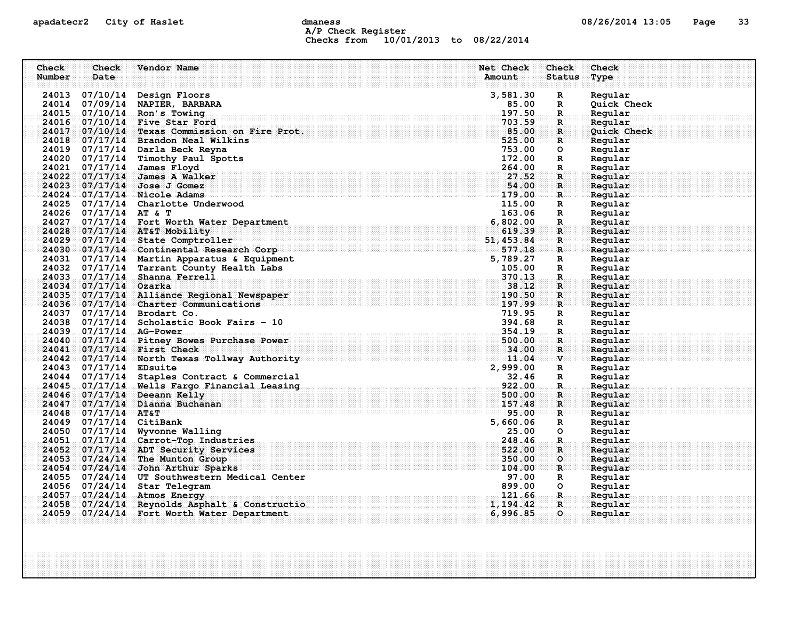## apadatecr2 City of Haslet control dmaness control dmaness control control of the defense of the definition of the definition of the definition of the definition of the definition of the definition of the definition of the A/P Check Register Checks from 10/01/2013 to 08/22/2014

| Check  | Check                   | Vendor Name                                                                  |                                                                                                                       | Net Check            | Check                        | Check                  |
|--------|-------------------------|------------------------------------------------------------------------------|-----------------------------------------------------------------------------------------------------------------------|----------------------|------------------------------|------------------------|
| Number | Date                    |                                                                              |                                                                                                                       | Amount               | <b>Status</b>                | Type                   |
|        |                         |                                                                              |                                                                                                                       |                      |                              |                        |
|        |                         | 24013 07/10/14 Design Floors                                                 |                                                                                                                       | 3,581.30             | $\mathbf R$                  | Regular                |
|        |                         | 24014 07/09/14 NAPIER, BARBARA<br>24015 07/10/14 Ron's Towing                |                                                                                                                       | 85.00<br>197.50      | $\mathbf R$<br>$\mathbb{R}$  | Quick Check<br>Regular |
|        |                         | 24016 07/10/14 Five Star Ford                                                |                                                                                                                       | 703.59               | R.                           | Regular                |
| 24017  |                         | 07/10/14 Texas Commission on Fire Prot.                                      |                                                                                                                       | 85.00                | $\mathbf R$                  | Quick Check            |
|        |                         | $24018$ 07/17/14 Brandon Neal Wilkins                                        |                                                                                                                       | 525.00               | $\mathbf R$                  | Regular                |
|        |                         | 24019 07/17/14 Darla Beck Reyna                                              |                                                                                                                       | 753.00               | $\circ$                      | Regular                |
| 24020  |                         | 07/17/14 Timothy Paul Spotts                                                 |                                                                                                                       | 172.00               | $\mathbb{R}$                 | Regular                |
| 24021  |                         | $07/17/14$ James Floyd                                                       |                                                                                                                       | 264.00               | $\mathbf{R}$ .               | Regular                |
|        |                         | 24022 07/17/14 James A Walker                                                |                                                                                                                       | 27.52                | $\mathbf{R}$                 | Regular                |
|        |                         | 24023 07/17/14 Jose J Gomez                                                  |                                                                                                                       | 54.00                | $\mathbf{R}$                 | Regular                |
|        |                         | 24024 07/17/14 Nicole Adams                                                  |                                                                                                                       | 179.00               | $\mathbf{R}$                 | Regular                |
|        |                         | 24025 07/17/14 Charlotte Underwood                                           |                                                                                                                       | 115.00               | $\mathbf R$                  | Regular                |
|        | 24026 07/17/14 AT & T   |                                                                              |                                                                                                                       | 163.06               | $\mathbf R$                  | Regular                |
|        |                         | 24027 07/17/14 Fort Worth Water Department                                   |                                                                                                                       | 6,802.00             | $\mathbf{R}$                 | Regular                |
|        |                         | 24028 07/17/14 AT&T Mobility                                                 |                                                                                                                       | 619.39               | $\mathbf{R}$                 | Regular                |
|        |                         | 24029 07/17/14 State Comptroller<br>24030 07/17/14 Continental Research Corp | <u>51 - Sterne Sterne Sterne Sterne Sterne Sterne Sterne Sterne Sterne Sterne Sterne Sterne Sterne Sterne Sterne </u> | 51, 453.84<br>577.18 | $\mathbf{R}$<br>$\mathbf{R}$ | Regular<br>Regular     |
|        |                         | 24031 07/17/14 Martin Apparatus & Equipment                                  |                                                                                                                       | 5,789.27             | R                            | Regular                |
|        |                         | 24032 07/17/14 Tarrant County Health Labs                                    |                                                                                                                       | 105.00               | R                            | Regular                |
|        |                         | 24033 07/17/14 Shanna Ferrell                                                |                                                                                                                       | 370.13               | $\mathbf{R}$                 | Regular                |
|        | 24034 07/17/14 Ozarka   |                                                                              |                                                                                                                       | 38.12                | $\mathbf R$                  | Regular                |
|        |                         | 24035 07/17/14 Alliance Regional Newspaper                                   |                                                                                                                       | 190.50               | $\mathbf{R}$                 | Regular                |
|        |                         | 24036 07/17/14 Charter Communications                                        |                                                                                                                       | 197.99               | $\mathbf{R}$                 | Regular                |
|        |                         | 24037 07/17/14 Brodart Co.                                                   |                                                                                                                       | 719.95               | $\mathbf R$                  | Regular                |
| 24038  |                         | 07/17/14 Scholastic Book Fairs - 10                                          |                                                                                                                       | 394.68               | R                            | Regular                |
|        | 24039 07/17/14 AG-Power |                                                                              |                                                                                                                       | 354.19               | $\mathbf{R}$                 | Regular                |
| 24040  |                         | 07/17/14 Pitney Bowes Purchase Power                                         |                                                                                                                       | 500.00               | $\mathbf{R}$                 | Regular                |
|        |                         | 24041 07/17/14 First Check                                                   |                                                                                                                       | 34.00                | $\mathbf{R}$                 | Regular                |
|        |                         | 24042 07/17/14 North Texas Tollway Authority                                 | $\mathbf{11.04}$                                                                                                      |                      | $\mathbf{v}$                 | Regular                |
|        | 24043 07/17/14 EDsuite  |                                                                              |                                                                                                                       | 2,999.00             | $\mathbf R$                  | Regular                |
|        |                         | 24044 07/17/14 Staples Contract & Commercial                                 |                                                                                                                       | 32.46                | R                            | Regular                |
|        |                         | 24045 07/17/14 Wells Fargo Financial Leasing                                 |                                                                                                                       | 922.00               | R.                           | Regular                |
|        |                         | 24046 07/17/14 Deeann Kelly                                                  |                                                                                                                       | 500.00               | $\mathbf R$                  | Regular                |
| 24047  | $24048$ 07/17/14 AT&T   | 07/17/14 Dianna Buchanan                                                     |                                                                                                                       | 157.48<br>95.00      | $\mathbf{R}$<br>$\mathbf{R}$ | Regular<br>Reqular     |
|        | 24049 07/17/14 CitiBank |                                                                              |                                                                                                                       | 5,660.06             | R                            | Regular                |
| 24050  |                         | 07/17/14 Wyvonne Walling                                                     |                                                                                                                       | 25.00                | $\circ$                      | Regular                |
| 24051  |                         | 07/17/14 Carrot-Top Industries                                               |                                                                                                                       | 248.46               | $\mathbf{R}$                 | Regular                |
| 24052  |                         | 07/17/14 ADT Security Services                                               |                                                                                                                       | 522.00               | $\mathbf{R}$                 | Regular                |
| 24053  |                         | 07/24/14 The Munton Group                                                    |                                                                                                                       | 350.00               | $\circ$                      | Regular                |
|        |                         | 24054 07/24/14 John Arthur Sparks                                            |                                                                                                                       | 104.00               | $\mathbf{R}$                 | Regular                |
|        |                         | 24055 07/24/14 UT Southwestern Medical Center                                |                                                                                                                       | 97.00                | $\mathbf R$                  | Regular                |
|        |                         | 24056 07/24/14 Star Telegram                                                 |                                                                                                                       | 899.00               | $\circ$                      | Regular                |
|        |                         | 24057 07/24/14 Atmos Energy                                                  |                                                                                                                       | 121.66               | $\dots$ R $_{\odot}$         | Regular                |
| 24058  | 07/24/14                | Reynolds Asphalt & Constructio                                               |                                                                                                                       | 1,194.42             | R                            | Reqular                |
|        |                         | 24059 07/24/14 Fort Worth Water Department                                   |                                                                                                                       | 6,996.85             | $\circ$                      | Regular                |
|        |                         |                                                                              |                                                                                                                       |                      |                              |                        |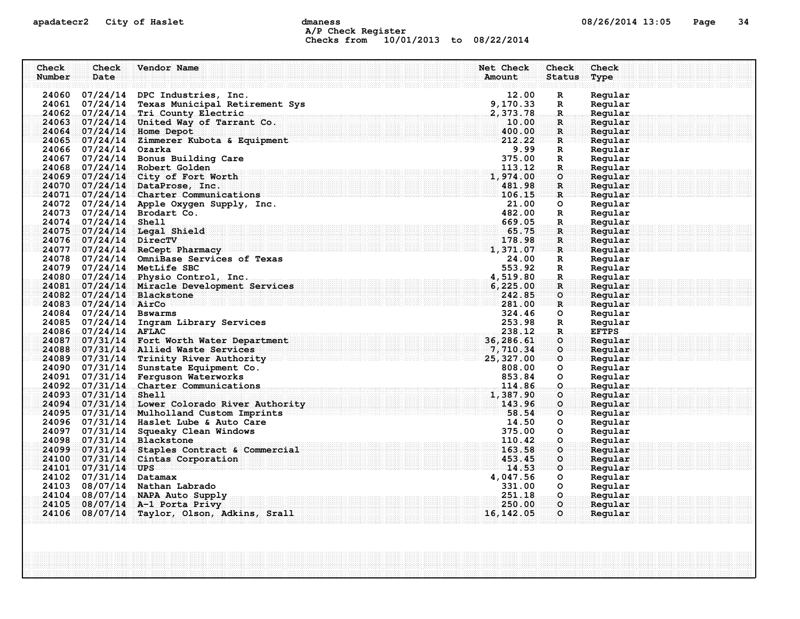## apadatecr2 City of Haslet control dmaness control dmaness control and the US/26/2014 13:05 Page 34 A/P Check Register Checks from 10/01/2013 to 08/22/2014

| Check                  | Check | Vendor Name                                                                                                                                                      | Net Check             | Check                   | Check                   |
|------------------------|-------|------------------------------------------------------------------------------------------------------------------------------------------------------------------|-----------------------|-------------------------|-------------------------|
| Number                 | Date  |                                                                                                                                                                  | Amount                | <b>Status</b>           | Type                    |
|                        |       |                                                                                                                                                                  |                       |                         |                         |
|                        |       | 24060 07/24/14 DPC Industries, Inc.                                                                                                                              | 12.00                 | $\mathbf R$             | Regular                 |
|                        |       | 24061 07/24/14 Texas Municipal Retirement Sys                                                                                                                    | 9,170.33              | R                       | Regular                 |
|                        |       | 24062 07/24/14 Tri County Electric                                                                                                                               | 2,373.78              | $\mathbf R$             | Regular                 |
|                        |       | 24063 07/24/14 United Way of Tarrant Co.                                                                                                                         | 10.00                 | R                       | Regular                 |
|                        |       | 24064 07/24/14 Home Depot                                                                                                                                        | 400.00                | $\mathbf{R}$            | Regular                 |
|                        |       | 24065 07/24/14 Zimmerer Kubota & Equipment                                                                                                                       | 212.22                | $\mathbf{R}$            | Regular                 |
| 24066 07/24/14 Ozarka  |       |                                                                                                                                                                  | 9.99                  | R                       | Regular                 |
|                        |       | 24067 07/24/14 Bonus Building Care                                                                                                                               | 375.00                | $\mathbf{R}$            | Regular                 |
|                        |       | 24068 07/24/14 Robert Golden                                                                                                                                     | 113.12                | $\mathbf{R}$            | Regular                 |
|                        |       | 24069 07/24/14 City of Fort Worth                                                                                                                                | 1,974.00              | $\circ$                 | Regular                 |
|                        |       | 24070 07/24/14 DataProse, Inc.                                                                                                                                   | 481.98                | R.                      | Regular                 |
|                        |       | 24071 07/24/14 Charter Communications                                                                                                                            | 106.15                | $\mathbf{R}$            | Regular                 |
|                        |       | 24072 07/24/14 Apple Oxygen Supply, Inc.                                                                                                                         | 21.00                 | $\circ$                 | Regular                 |
|                        |       | 24073 07/24/14 Brodart Co.                                                                                                                                       | 482.00                | $\mathbb{R}$            | Regular                 |
| 24074 07/24/14 Shell   |       |                                                                                                                                                                  | 669.05                | $\mathbf R$             | Regular                 |
|                        |       | 24075 07/24/14 Legal Shield                                                                                                                                      | 65.75                 | $\mathbf{R}$            | Regular                 |
| 24076 07/24/14 DirecTV |       |                                                                                                                                                                  | 178.98                | R.                      | Regular                 |
|                        |       | $24077 - 07/24/14$ ReCept Pharmacy                                                                                                                               | 1,371.07              | $\mathbf{R}$            | Regular                 |
|                        |       | 24078 07/24/14 OmniBase Services of Texas                                                                                                                        | 24.00                 | $\mathbf{R}$            | Regular                 |
|                        |       |                                                                                                                                                                  | 553.92                | $\mathbf{R}$            | Regular                 |
|                        |       | 24079 07/24/14 MetLife SBC<br>24080 07/24/14 Physio Control, Inc.<br>24080 07/24/14 Miracle Development Services                                                 | 4,519.80              | $\mathbf{R}$            | Regular                 |
|                        |       |                                                                                                                                                                  | 6, 225, 00            | R                       | Regular                 |
|                        |       | 24082 07/24/14 Blackstone<br>$\frac{242.85}{281.00}$                                                                                                             |                       | $\mathbf{O}$            | Regular                 |
| 24083 07/24/14 AirCo   |       |                                                                                                                                                                  |                       | $\mathbf{R}$ .          | Regular                 |
| 24084 07/24/14 Bswarms |       |                                                                                                                                                                  | 324.46                | $\circ$                 | Regular                 |
|                        |       | 24085 07/24/14 Ingram Library Services                                                                                                                           | 253.98                | R                       | Regular<br><b>EFTPS</b> |
| 24086 07/24/14 AFLAC   |       |                                                                                                                                                                  | 238.12                | $\mathbf{R}$<br>$\circ$ |                         |
|                        |       | 24087 07/31/14 Fort Worth Water Department<br>24088 07/31/14 Allied Waste Services                                                                               | 36, 286.61            | $\circ$                 | Regular                 |
|                        |       | 24089 07/31/14 Trinity River Authority                                                                                                                           | 7,710.34<br>25,327.00 | ം                       | Regular<br>Reqular      |
|                        |       | 24090 07/31/14 Sunstate Equipment Co.                                                                                                                            | 808.00                | $\circ$                 |                         |
|                        |       | 24091 07/31/14 Ferguson Waterworks                                                                                                                               | 853.84                | $\circ$                 | Regular                 |
|                        |       | 24092 07/31/14 Charter Communications                                                                                                                            | 114.86                | $\circ$                 | Regular<br>Regular      |
| 24093 07/31/14 Shell   |       |                                                                                                                                                                  | 1,387.90              | $\circ$                 | Regular                 |
| 24094                  |       | 07/31/14 Lower Colorado River Authority                                                                                                                          | 143.96                | $\circ$                 | Regular                 |
|                        |       | <u> 1989 - 1989 - 1989 - 1989 - 1989 - 1989 - 1989 - 1989 - 1989 - 1989 - 1989 - 1989 - 1989 - 1989 - 1989 - 19</u><br>24095 07/31/14 Mulholland Custom Imprints |                       | $\circ$                 | Regular                 |
|                        |       | 24096 07/31/14 Haslet Lube & Auto Care                                                                                                                           | 14.50                 | O                       | Regular                 |
|                        |       | 24097 07/31/14 Squeaky Clean Windows                                                                                                                             | 375.00                | $\circ$                 | Regular                 |
|                        |       | 24098 07/31/14 Blackstone                                                                                                                                        | 110.42                | .O.                     | Regular                 |
|                        |       | 24099 07/31/14 Staples Contract & Commercial                                                                                                                     | 163.58                | $\circ$                 | Regular                 |
|                        |       | $24100$ 07/31/14 Cintas Corporation                                                                                                                              | 453.45                | $\circ$                 | Regular                 |
| 24101 07/31/14 UPS     |       |                                                                                                                                                                  | 14.53                 | $\Omega$                | Regular                 |
| 24102 07/31/14 Datamax |       |                                                                                                                                                                  | 4,047.56              | $\circ$                 | Regular                 |
|                        |       | 24103 08/07/14 Nathan Labrado                                                                                                                                    | 331.00                | $\circ$                 | Regular                 |
|                        |       | 24104 08/07/14 NAPA Auto Supply                                                                                                                                  | 251.18                | .O.                     | Regular                 |
| 24105                  |       | $08/07/14$ A-1 Porta Privy                                                                                                                                       | 250.00                | $\Omega$                | Reqular                 |
| 24106                  |       | 08/07/14 Taylor, Olson, Adkins, Srall                                                                                                                            | 16, 142.05            | $\circ$                 | Regular                 |
|                        |       |                                                                                                                                                                  |                       |                         |                         |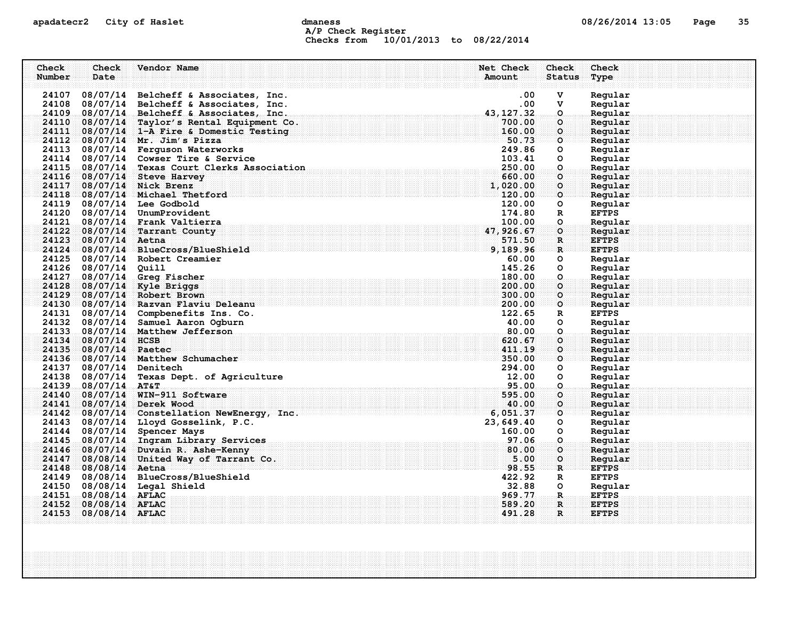# apadatecr2 City of Haslet control dmaness control dmaness control control of the defense of the definition of the definition of the definition of the definition of the definition of the definition of the definition of the A/P Check Register Checks from 10/01/2013 to 08/22/2014

| Check<br>Number | Check<br>Date           | Vendor Name                                   | Net Check<br>Amount | Check<br><b>Status</b> | Check<br>Type |
|-----------------|-------------------------|-----------------------------------------------|---------------------|------------------------|---------------|
|                 |                         |                                               |                     |                        |               |
| 24107           |                         | 08/07/14 Belcheff & Associates, Inc.          | $.00 \,$            | v                      | Regular       |
| 24108           |                         | 08/07/14 Belcheff & Associates, Inc.          | .00.                | v                      | Regular       |
| 24109           |                         | 08/07/14 Belcheff & Associates, Inc.          | 43, 127. 32         | $\circ$                | Regular       |
| 24110           |                         | 08/07/14 Taylor's Rental Equipment Co.        | 700.00              | $\circ$                | Regular       |
| 24111           |                         | 08/07/14 1-A Fire & Domestic Testing          | 160.00              | $\circ$                | Regular       |
|                 |                         | 24112 08/07/14 Mr. Jim's Pizza                | 50.73               | ാ                      | Regular       |
| 24113           |                         | 08/07/14 Ferguson Waterworks                  | 249.86              | o                      | Regular       |
| 24114           |                         | 08/07/14 Cowser Tire & Service                | 103.41              | O                      | Regular       |
|                 |                         | 24115 08/07/14 Texas Court Clerks Association | 250.00              | .O.                    | Regular       |
|                 |                         | 24116 08/07/14 Steve Harvey                   | 660.00              | $\circ$                | Regular       |
|                 |                         | 24117 08/07/14 Nick Brenz                     | 1,020.00            | $\circ$                | Regular       |
|                 |                         | 24118 08/07/14 Michael Thetford               | 120.00              | <b>O</b>               | Regular       |
|                 |                         | 24119 08/07/14 Lee Godbold                    | 120.00              | $\circ$                | Regular       |
|                 |                         | 24120 08/07/14 UnumProvident                  | 174.80              | R                      | <b>EFTPS</b>  |
|                 |                         | 24121 08/07/14 Frank Valtierra                | 100.00              | $\circ$                | Regular       |
| 24122           |                         | 08/07/14 Tarrant County                       | 47, 926.67          | $\circ$                | Regular       |
| 24123           | 08/07/14 Aetna          |                                               | 571.50              | $\mathbf{R}$           | <b>EFTPS</b>  |
|                 |                         | 24124 08/07/14 BlueCross/BlueShield           | 9,189.96            | $\mathbf R$            | <b>EFTPS</b>  |
|                 |                         | 24125 08/07/14 Robert Creamier                | 60.00               | o                      | Regular       |
|                 | 24126 08/07/14 Quill    |                                               | 145.26              | O                      | Regular       |
| 24127           |                         | 08/07/14 Greg Fischer                         | 180.00              | O                      | Regular       |
|                 |                         | 24128 08/07/14 Kyle Briggs                    | 200.00              | $\circ$                | Regular       |
| 24129           |                         | 08/07/14 Robert Brown                         | 300.00              | $\Omega$               | Regular       |
|                 |                         | 24130 08/07/14 Razvan Flaviu Deleanu          | 200.00              | $\circ$                | Reqular       |
|                 |                         | 24131 08/07/14 Compbenefits Ins. Co.          | 122.65              | R                      | <b>EFTPS</b>  |
|                 |                         | 24132 08/07/14 Samuel Aaron Ogburn            | 40.00               | o                      | Regular       |
| 24133           |                         | 08/07/14 Matthew Jefferson                    | 80.00               | O                      | Regular       |
|                 | 24134 08/07/14 HCSB     |                                               | 620.67              | $\circ$                | Regular       |
| 24135           | 08/07/14 Paetec         |                                               | 411.19              | $\circ$                | Regular       |
|                 |                         | 24136 08/07/14 Matthew Schumacher             | 350.00              | $\circ$                | Regular       |
|                 | 24137 08/07/14 Denitech |                                               | 294.00              | O                      | Regular       |
| 24138           |                         | 08/07/14 Texas Dept. of Agriculture           | 12.00               | o                      | Regular       |
| 24139           | $08/07/14$ AT&T         |                                               | 95.00               | 0.                     | Regular       |
| 24140           |                         | 08/07/14 WIN-911 Software                     | 595.00              | $\circ$                | Regular       |
| 24141           |                         | 08/07/14 Derek Wood                           | 40.00               | $\circ$                | Regular       |
|                 |                         | 24142 08/07/14 Constellation NewEnergy, Inc.  | 6,051.37            | ാ                      | Regular       |
|                 |                         | 24143 08/07/14 Lloyd Gosselink, P.C.          | 23,649.40           | o                      | Regular       |
|                 |                         | 24144 08/07/14 Spencer Mays                   | 160.00              | O                      | Regular       |
|                 |                         | 24145 08/07/14 Ingram Library Services        | 97.06               | .O.                    | Regular       |
| 24146           |                         | 08/07/14 Duvain R. Ashe-Kenny                 | 80.00               | $\circ$                | Regular       |
|                 |                         | 24147 08/08/14 United Way of Tarrant Co.      | 5.00                | $\circ$                | Regular       |
|                 | 24148 08/08/14 Aetna    |                                               | 98.55               | R                      | <b>EFTPS</b>  |
| 24149           |                         | 08/08/14 BlueCross/BlueShield                 | 422.92              | R                      | <b>EFTPS</b>  |
| 24150           |                         | 08/08/14 Legal Shield                         | 32.88               | $\circ$                | Regular       |
| 24151           | $.08/08/14$ AFLAC       |                                               | 969.77              | $\mathbf R$            | <b>EFTPS</b>  |
| 24152           | $08/08/14$ AFLAC        |                                               | 589.20              | $\mathbf{R}$           | <b>EFTPS</b>  |
| 24153           | 08/08/14 AFLAC          |                                               | 491.28              | $\mathbf{R}$           | <b>EFTPS</b>  |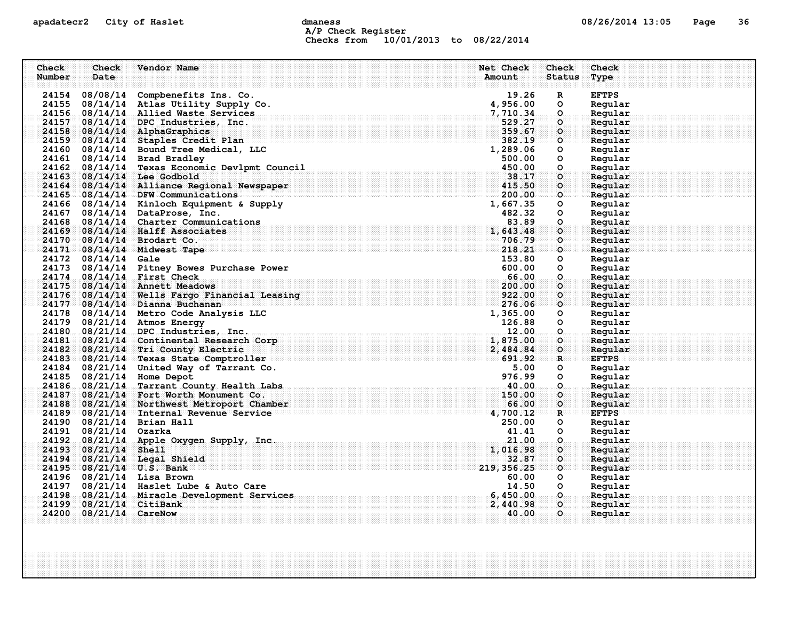# apadatecr2 City of Haslet dmaness dmaness and the US/26/2014 13:05 Page 36 A/P Check Register Checks from 10/01/2013 to 08/22/2014

| Check<br>Number | Check<br>Date           | Vendor Name                                                                                 | Net Check<br>Amount  | Check<br><b>Status</b>  | Check<br>Type      |
|-----------------|-------------------------|---------------------------------------------------------------------------------------------|----------------------|-------------------------|--------------------|
|                 |                         |                                                                                             |                      |                         |                    |
|                 |                         | 24154 08/08/14 Compbenefits Ins. Co.                                                        | 19.26<br>4,956.00    | $\mathbb{R}$<br>$\circ$ | <b>EFTPS</b>       |
|                 |                         | 24155 08/14/14 Atlas Utility Supply Co.<br>24156 08/14/14 Allied Waste Services             | 7,710.34             | $\circ$                 | Regular<br>Regular |
|                 |                         | 24157 08/14/14 DPC Industries, Inc.                                                         | 529.27               | $\circ$                 | Regular            |
|                 |                         | 24158 08/14/14 AlphaGraphics                                                                | 359.67               | $\circ$                 | Regular            |
|                 |                         | 24159 08/14/14 Staples Credit Plan                                                          | 382.19               | $\circ$                 | Regular            |
|                 |                         | 24160 08/14/14 Bound Tree Medical, LLC                                                      | 1,289.06             | $\circ$                 | Regular            |
|                 |                         | 24161 08/14/14 Brad Bradley                                                                 | 500.00               | O                       | Regular            |
|                 |                         | 24162 08/14/14 Texas Economic Devlpmt Council                                               | 450.00               | O.                      | Regular            |
|                 |                         | 24163 08/14/14 Lee Godbold                                                                  | 38.17                | ்்                      | Regular            |
|                 |                         | 24164 08/14/14 Alliance Regional Newspaper                                                  | 415.50               | $\circ$                 | Regular            |
|                 |                         | 24165 08/14/14 DFW Communications                                                           | 200.00               | $\circ$                 | Regular            |
|                 |                         | 24166 08/14/14 Kinloch Equipment & Supply                                                   | 1,667.35             | $\circ$                 | Regular            |
|                 |                         | 24167 08/14/14 DataProse, Inc.                                                              | 482.32               | $\circ$                 | Regular            |
|                 |                         | 24168 08/14/14 Charter Communications                                                       | 83.89                | $\circ$                 | Regular            |
|                 |                         | 24169 08/14/14 Halff Associates                                                             | 1,643.48             | $\circ$                 | Regular            |
|                 |                         | 24170 08/14/14 Brodart Co.                                                                  | 706.79               | $\circ$                 | Regular            |
|                 |                         | 24171 08/14/14 Midwest Tape                                                                 | 218.21               | ം                       | Reqular            |
|                 | 24172 08/14/14 Gale     |                                                                                             | 153.80               | $\circ$                 | Regular            |
|                 |                         | 24173 08/14/14 Pitney Bowes Purchase Power<br>24174 08/14/14 First Check                    | 600.00<br>66.00      | $\circ$                 | Regular            |
|                 |                         | 24175 08/14/14 Annett Meadows                                                               | 200.00               | $\Omega$                | Regular<br>Regular |
| 24176           |                         | 08/14/14 Wells Fargo Financial Leasing                                                      | 922.00               | $\circ$<br>$\Omega$     | Regular            |
|                 |                         | 24177 08/14/14 Dianna Buchanan                                                              | 276.06               | ം                       | Regular            |
|                 |                         | 24178 08/14/14 Metro Code Analysis LLC                                                      | 1,365.00             | o                       | Regular            |
|                 |                         | 24179 08/21/14 Atmos Energy                                                                 | 126.88               | $\circ$                 | Regular            |
| 24180           |                         | 08/21/14 DPC Industries, Inc.                                                               | 12.00                | .O.                     | Regular            |
| 24181           |                         | 08/21/14 Continental Research Corp                                                          | 1,875.00             | $\circ$                 | Regular            |
|                 |                         | 24182 08/21/14 Tri County Electric                                                          | 2,484.84             | $\circ$                 | Regular            |
|                 |                         | 24183 08/21/14 Texas State Comptroller                                                      | 691.92               | R                       | <b>EFTPS</b>       |
|                 |                         | 24184 08/21/14 United Way of Tarrant Co.                                                    | 5.00                 | $\circ$                 | Regular            |
|                 |                         | 24185 08/21/14 Home Depot                                                                   | 976.99               | $\circ$                 | Regular            |
|                 |                         | 24186 08/21/14 Tarrant County Health Labs                                                   | 40.00                | .O.                     | Regular            |
|                 |                         | 24187 08/21/14 Fort Worth Monument Co.                                                      | 150.00               | $\circ$                 | Regular            |
|                 |                         | 24188 08/21/14 Northwest Metroport Chamber<br><u> Alan Aman Aman Andrews Andrews Aman A</u> | 66.00                | $\Omega$                | Regular            |
|                 |                         | 24189 08/21/14 Internal Revenue Service                                                     | 4,700.12             | $\mathbf{R}$            | <b>EFTPS</b>       |
|                 |                         | 24190 08/21/14 Brian Hall                                                                   | 250.00               | $\circ$                 | Regular            |
|                 | 24191 08/21/14 Ozarka   |                                                                                             | 41.41                | O                       | Regular            |
|                 |                         | 24192 08/21/14 Apple Oxygen Supply, Inc.                                                    | 21.00                | О.                      | Regular            |
| 24193           | 08/21/14 Shell          |                                                                                             | 1,016.98             | $\circ$                 | Reqular            |
| 24194           |                         | 08/21/14 Legal Shield<br>24195 08/21/14 U.S. Bank                                           | 32.87<br>219, 356.25 | $\circ$<br>$\circ$      | Regular<br>Reqular |
|                 |                         | 24196 08/21/14 Lisa Brown                                                                   | 60.00                | $\circ$                 | Regular            |
|                 |                         | 24197 08/21/14 Haslet Lube & Auto Care                                                      | 14.50                | $\circ$                 | Regular            |
|                 |                         | 24198 08/21/14 Miracle Development Services                                                 | 6,450.00             | .O.                     | Regular            |
|                 | 24199 08/21/14 CitiBank |                                                                                             | 2,440.98             | $\circ$                 | Regular            |
|                 | 24200 08/21/14 CareNow  |                                                                                             | 40.00                | $\circ$                 | Regular            |
|                 |                         |                                                                                             |                      |                         |                    |